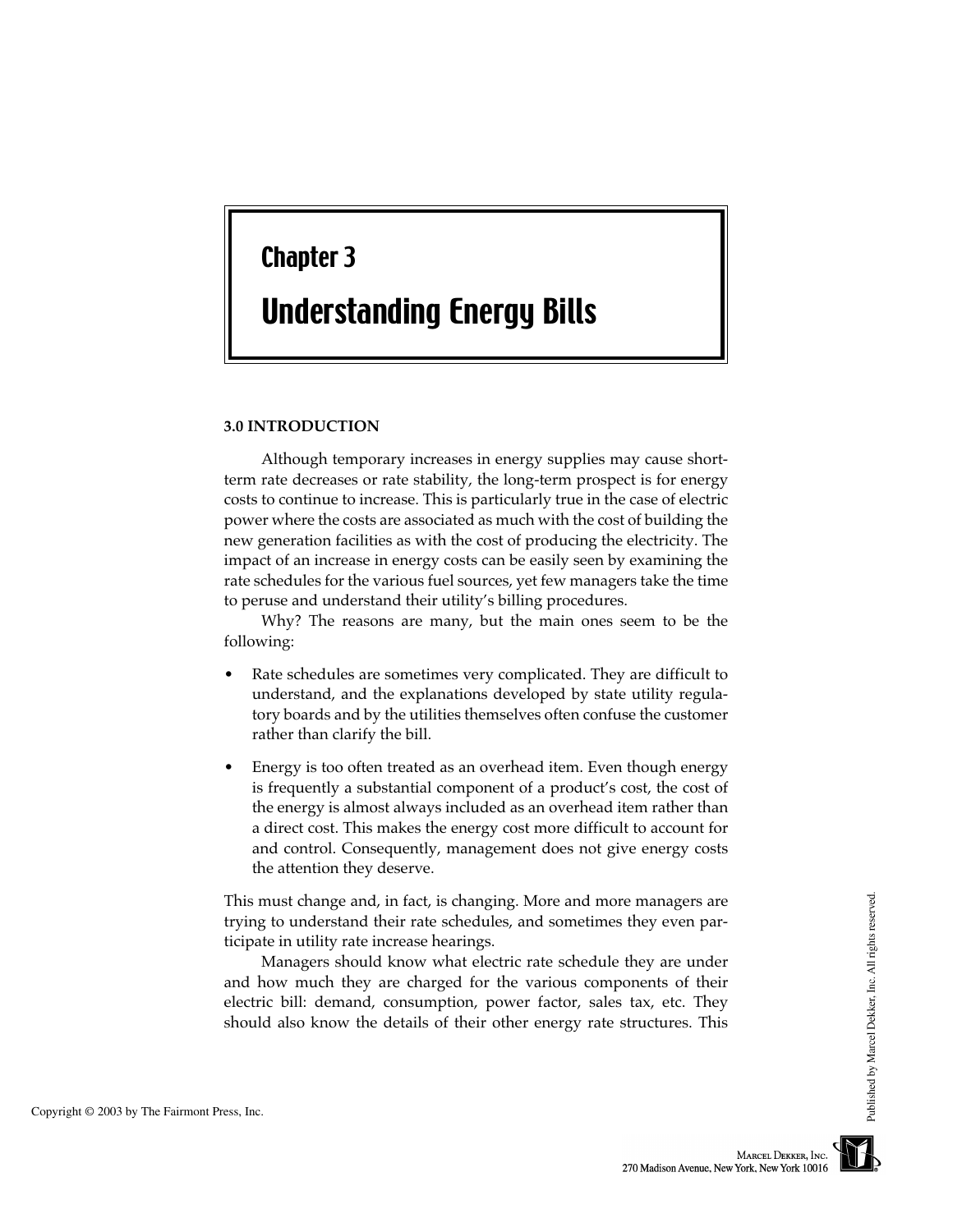# Chapter 3 Understanding Energy Bills

## **3.0 INTRODUCTION**

Although temporary increases in energy supplies may cause shortterm rate decreases or rate stability, the long-term prospect is for energy costs to continue to increase. This is particularly true in the case of electric power where the costs are associated as much with the cost of building the new generation facilities as with the cost of producing the electricity. The impact of an increase in energy costs can be easily seen by examining the rate schedules for the various fuel sources, yet few managers take the time to peruse and understand their utility's billing procedures.

Why? The reasons are many, but the main ones seem to be the following:

- Rate schedules are sometimes very complicated. They are difficult to understand, and the explanations developed by state utility regulatory boards and by the utilities themselves often confuse the customer rather than clarify the bill.
- Energy is too often treated as an overhead item. Even though energy is frequently a substantial component of a product's cost, the cost of the energy is almost always included as an overhead item rather than a direct cost. This makes the energy cost more difficult to account for and control. Consequently, management does not give energy costs the attention they deserve.

This must change and, in fact, is changing. More and more managers are trying to understand their rate schedules, and sometimes they even participate in utility rate increase hearings.

Managers should know what electric rate schedule they are under and how much they are charged for the various components of their electric bill: demand, consumption, power factor, sales tax, etc. They should also know the details of their other energy rate structures. This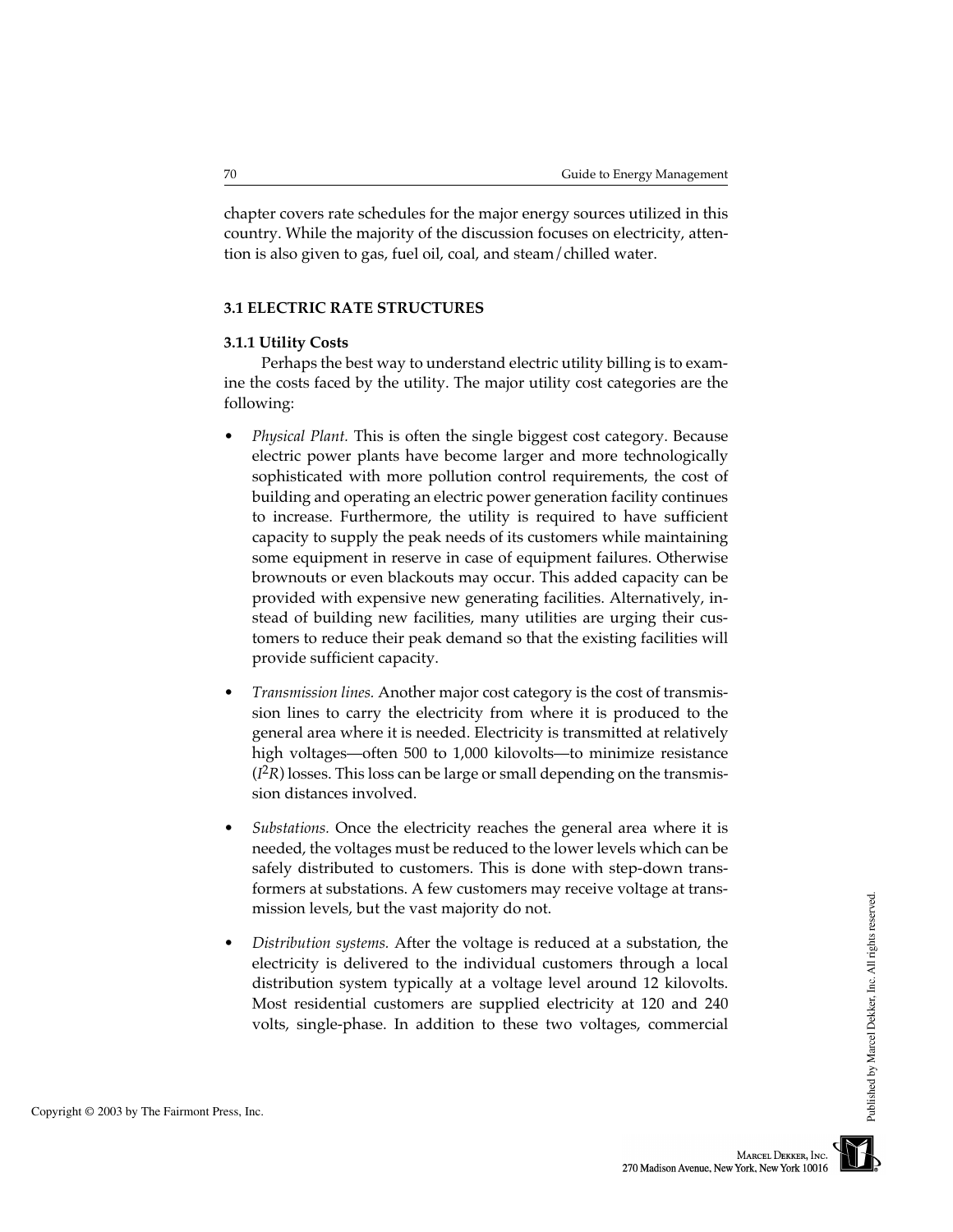chapter covers rate schedules for the major energy sources utilized in this country. While the majority of the discussion focuses on electricity, attention is also given to gas, fuel oil, coal, and steam/chilled water.

## **3.1 ELECTRIC RATE STRUCTURES**

## **3.1.1 Utility Costs**

Perhaps the best way to understand electric utility billing is to examine the costs faced by the utility. The major utility cost categories are the following:

- *Physical Plant.* This is often the single biggest cost category. Because electric power plants have become larger and more technologically sophisticated with more pollution control requirements, the cost of building and operating an electric power generation facility continues to increase. Furthermore, the utility is required to have sufficient capacity to supply the peak needs of its customers while maintaining some equipment in reserve in case of equipment failures. Otherwise brownouts or even blackouts may occur. This added capacity can be provided with expensive new generating facilities. Alternatively, instead of building new facilities, many utilities are urging their customers to reduce their peak demand so that the existing facilities will provide sufficient capacity.
- *Transmission lines.* Another major cost category is the cost of transmission lines to carry the electricity from where it is produced to the general area where it is needed. Electricity is transmitted at relatively high voltages—often 500 to 1,000 kilovolts—to minimize resistance (*I*2*R*) losses. This loss can be large or small depending on the transmission distances involved.
- *Substations.* Once the electricity reaches the general area where it is needed, the voltages must be reduced to the lower levels which can be safely distributed to customers. This is done with step-down transformers at substations. A few customers may receive voltage at transmission levels, but the vast majority do not.
- *Distribution systems.* After the voltage is reduced at a substation, the electricity is delivered to the individual customers through a local distribution system typically at a voltage level around 12 kilovolts. Most residential customers are supplied electricity at 120 and 240 volts, single-phase. In addition to these two voltages, commercial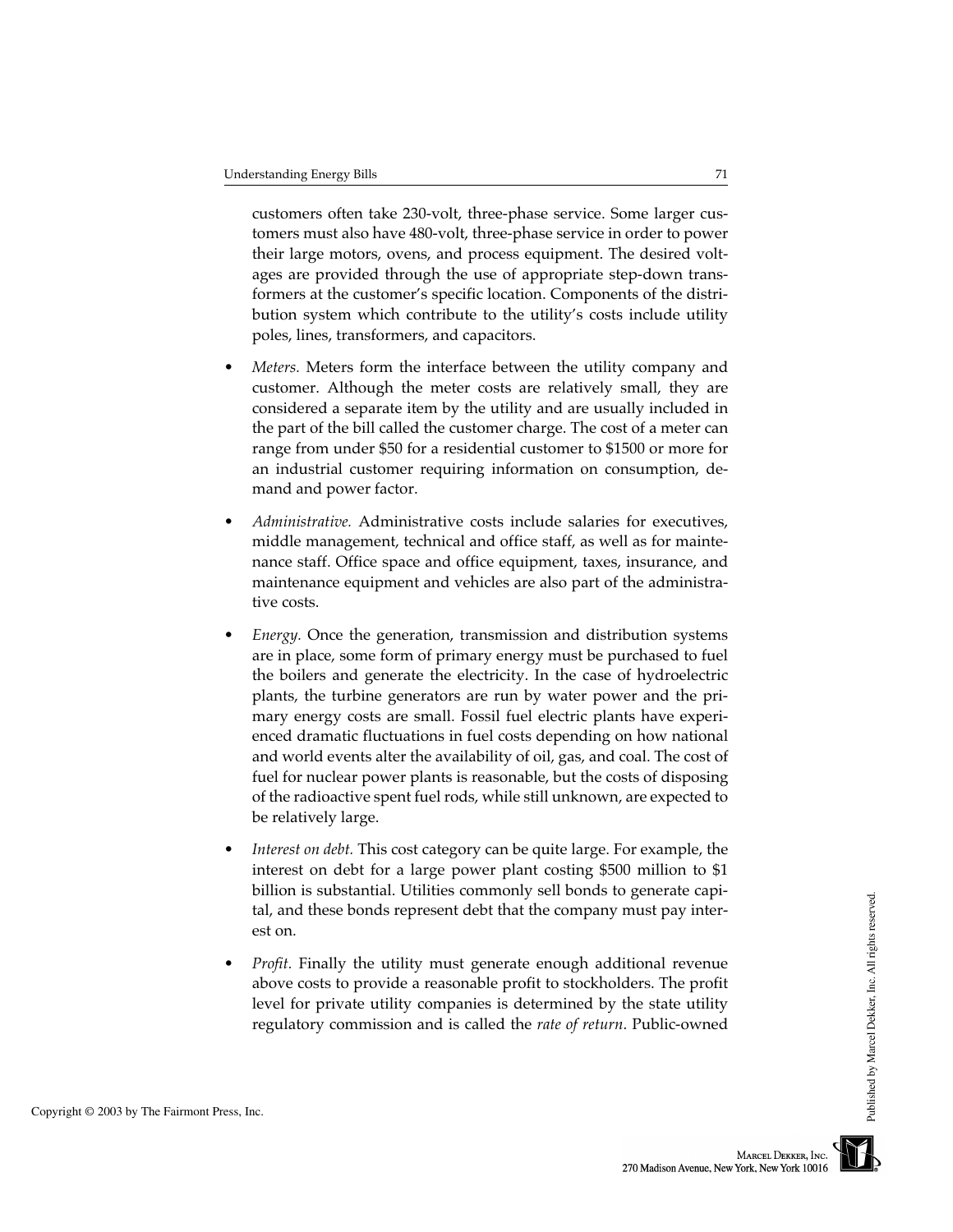customers often take 230-volt, three-phase service. Some larger customers must also have 480-volt, three-phase service in order to power their large motors, ovens, and process equipment. The desired voltages are provided through the use of appropriate step-down transformers at the customer's specific location. Components of the distribution system which contribute to the utility's costs include utility poles, lines, transformers, and capacitors.

- *Meters.* Meters form the interface between the utility company and customer. Although the meter costs are relatively small, they are considered a separate item by the utility and are usually included in the part of the bill called the customer charge. The cost of a meter can range from under \$50 for a residential customer to \$1500 or more for an industrial customer requiring information on consumption, demand and power factor.
- *Administrative.* Administrative costs include salaries for executives, middle management, technical and office staff, as well as for maintenance staff. Office space and office equipment, taxes, insurance, and maintenance equipment and vehicles are also part of the administrative costs.
- *Energy.* Once the generation, transmission and distribution systems are in place, some form of primary energy must be purchased to fuel the boilers and generate the electricity. In the case of hydroelectric plants, the turbine generators are run by water power and the primary energy costs are small. Fossil fuel electric plants have experienced dramatic fluctuations in fuel costs depending on how national and world events alter the availability of oil, gas, and coal. The cost of fuel for nuclear power plants is reasonable, but the costs of disposing of the radioactive spent fuel rods, while still unknown, are expected to be relatively large.
- *Interest on debt.* This cost category can be quite large. For example, the interest on debt for a large power plant costing \$500 million to \$1 billion is substantial. Utilities commonly sell bonds to generate capital, and these bonds represent debt that the company must pay interest on.
- *Profit.* Finally the utility must generate enough additional revenue above costs to provide a reasonable profit to stockholders. The profit level for private utility companies is determined by the state utility regulatory commission and is called the *rate of return*. Public-owned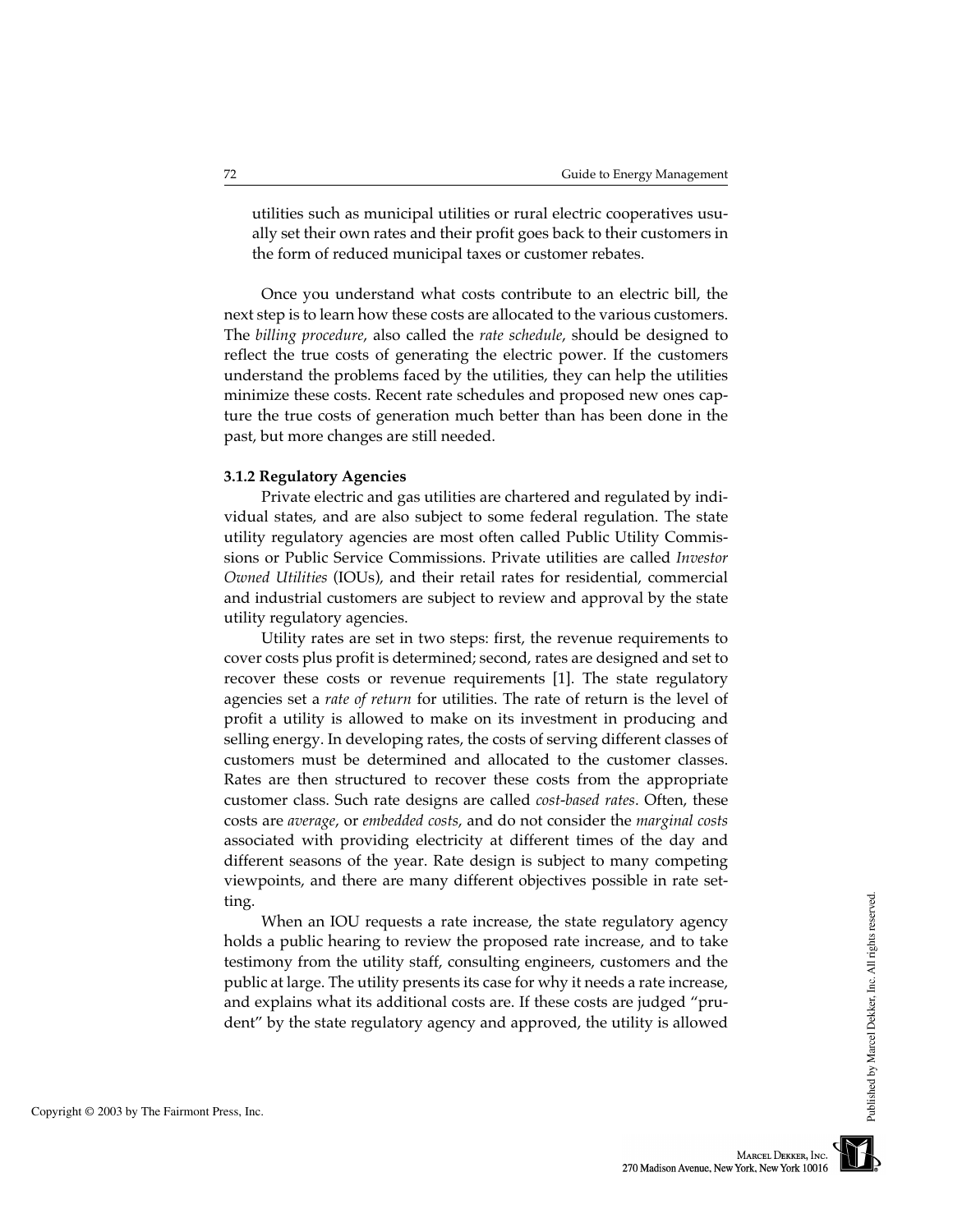utilities such as municipal utilities or rural electric cooperatives usually set their own rates and their profit goes back to their customers in the form of reduced municipal taxes or customer rebates.

Once you understand what costs contribute to an electric bill, the next step is to learn how these costs are allocated to the various customers. The *billing procedure*, also called the *rate schedule*, should be designed to reflect the true costs of generating the electric power. If the customers understand the problems faced by the utilities, they can help the utilities minimize these costs. Recent rate schedules and proposed new ones capture the true costs of generation much better than has been done in the past, but more changes are still needed.

## **3.1.2 Regulatory Agencies**

Private electric and gas utilities are chartered and regulated by individual states, and are also subject to some federal regulation. The state utility regulatory agencies are most often called Public Utility Commissions or Public Service Commissions. Private utilities are called *Investor Owned Utilities* (IOUs), and their retail rates for residential, commercial and industrial customers are subject to review and approval by the state utility regulatory agencies.

Utility rates are set in two steps: first, the revenue requirements to cover costs plus profit is determined; second, rates are designed and set to recover these costs or revenue requirements [1]. The state regulatory agencies set a *rate of return* for utilities. The rate of return is the level of profit a utility is allowed to make on its investment in producing and selling energy. In developing rates, the costs of serving different classes of customers must be determined and allocated to the customer classes. Rates are then structured to recover these costs from the appropriate customer class. Such rate designs are called *cost-based rates*. Often, these costs are *average*, or *embedded costs*, and do not consider the *marginal costs* associated with providing electricity at different times of the day and different seasons of the year. Rate design is subject to many competing viewpoints, and there are many different objectives possible in rate setting.

When an IOU requests a rate increase, the state regulatory agency holds a public hearing to review the proposed rate increase, and to take testimony from the utility staff, consulting engineers, customers and the public at large. The utility presents its case for why it needs a rate increase, and explains what its additional costs are. If these costs are judged "prudent" by the state regulatory agency and approved, the utility is allowed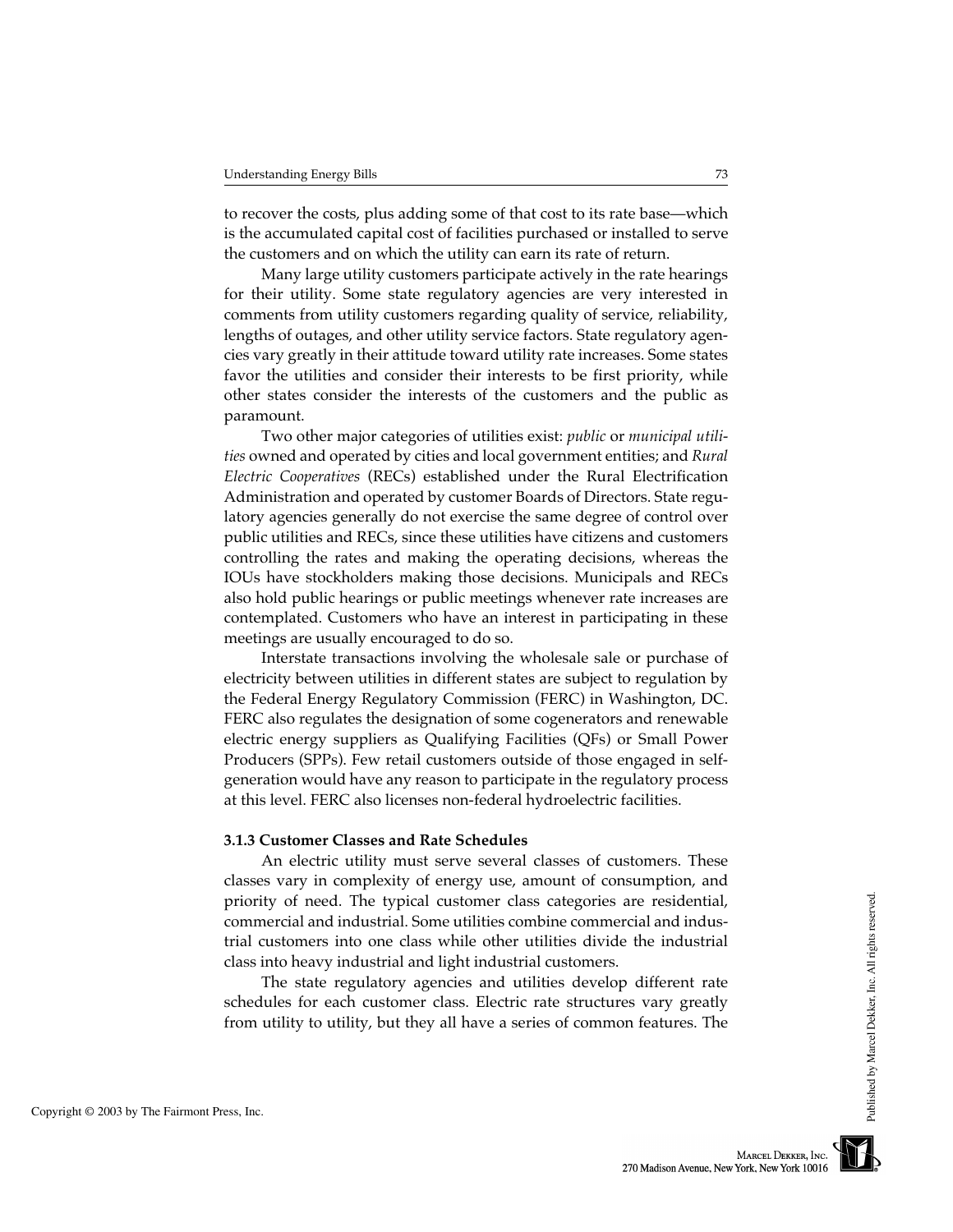to recover the costs, plus adding some of that cost to its rate base—which is the accumulated capital cost of facilities purchased or installed to serve the customers and on which the utility can earn its rate of return.

Many large utility customers participate actively in the rate hearings for their utility. Some state regulatory agencies are very interested in comments from utility customers regarding quality of service, reliability, lengths of outages, and other utility service factors. State regulatory agencies vary greatly in their attitude toward utility rate increases. Some states favor the utilities and consider their interests to be first priority, while other states consider the interests of the customers and the public as paramount.

Two other major categories of utilities exist: *public* or *municipal utilities* owned and operated by cities and local government entities; and *Rural Electric Cooperatives* (RECs) established under the Rural Electrification Administration and operated by customer Boards of Directors. State regulatory agencies generally do not exercise the same degree of control over public utilities and RECs, since these utilities have citizens and customers controlling the rates and making the operating decisions, whereas the IOUs have stockholders making those decisions. Municipals and RECs also hold public hearings or public meetings whenever rate increases are contemplated. Customers who have an interest in participating in these meetings are usually encouraged to do so.

Interstate transactions involving the wholesale sale or purchase of electricity between utilities in different states are subject to regulation by the Federal Energy Regulatory Commission (FERC) in Washington, DC. FERC also regulates the designation of some cogenerators and renewable electric energy suppliers as Qualifying Facilities (QFs) or Small Power Producers (SPPs). Few retail customers outside of those engaged in selfgeneration would have any reason to participate in the regulatory process at this level. FERC also licenses non-federal hydroelectric facilities.

## **3.1.3 Customer Classes and Rate Schedules**

An electric utility must serve several classes of customers. These classes vary in complexity of energy use, amount of consumption, and priority of need. The typical customer class categories are residential, commercial and industrial. Some utilities combine commercial and industrial customers into one class while other utilities divide the industrial class into heavy industrial and light industrial customers.

The state regulatory agencies and utilities develop different rate schedules for each customer class. Electric rate structures vary greatly from utility to utility, but they all have a series of common features. The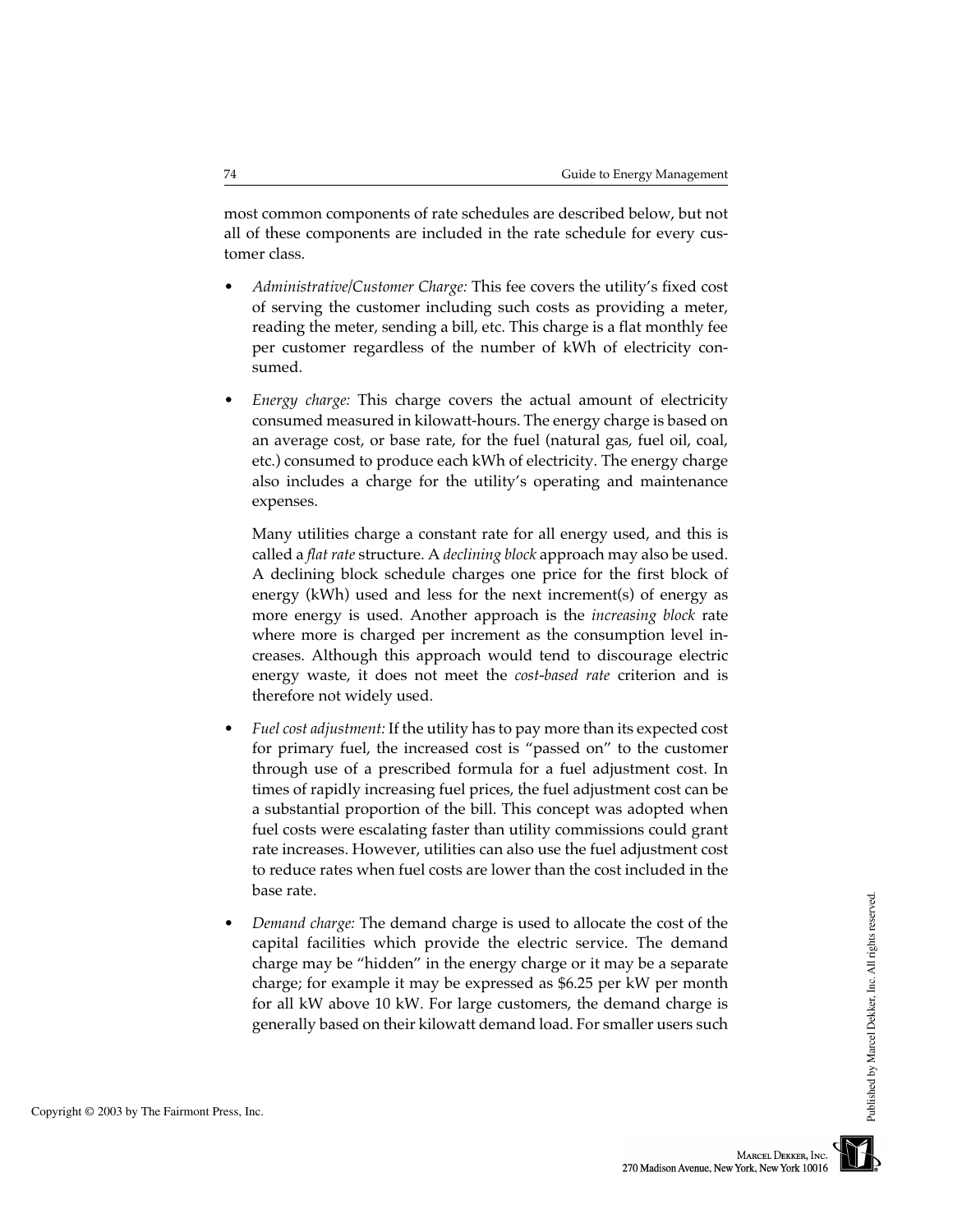most common components of rate schedules are described below, but not all of these components are included in the rate schedule for every customer class.

- *Administrative/Customer Charge:* This fee covers the utility's fixed cost of serving the customer including such costs as providing a meter, reading the meter, sending a bill, etc. This charge is a flat monthly fee per customer regardless of the number of kWh of electricity consumed.
- *Energy charge:* This charge covers the actual amount of electricity consumed measured in kilowatt-hours. The energy charge is based on an average cost, or base rate, for the fuel (natural gas, fuel oil, coal, etc.) consumed to produce each kWh of electricity. The energy charge also includes a charge for the utility's operating and maintenance expenses.

Many utilities charge a constant rate for all energy used, and this is called a *flat rate* structure. A *declining block* approach may also be used. A declining block schedule charges one price for the first block of energy (kWh) used and less for the next increment(s) of energy as more energy is used. Another approach is the *increasing block* rate where more is charged per increment as the consumption level increases. Although this approach would tend to discourage electric energy waste, it does not meet the *cost-based rate* criterion and is therefore not widely used.

- *Fuel cost adjustment:* If the utility has to pay more than its expected cost for primary fuel, the increased cost is "passed on" to the customer through use of a prescribed formula for a fuel adjustment cost. In times of rapidly increasing fuel prices, the fuel adjustment cost can be a substantial proportion of the bill. This concept was adopted when fuel costs were escalating faster than utility commissions could grant rate increases. However, utilities can also use the fuel adjustment cost to reduce rates when fuel costs are lower than the cost included in the base rate.
- *Demand charge:* The demand charge is used to allocate the cost of the capital facilities which provide the electric service. The demand charge may be "hidden" in the energy charge or it may be a separate charge; for example it may be expressed as \$6.25 per kW per month for all kW above 10 kW. For large customers, the demand charge is generally based on their kilowatt demand load. For smaller users such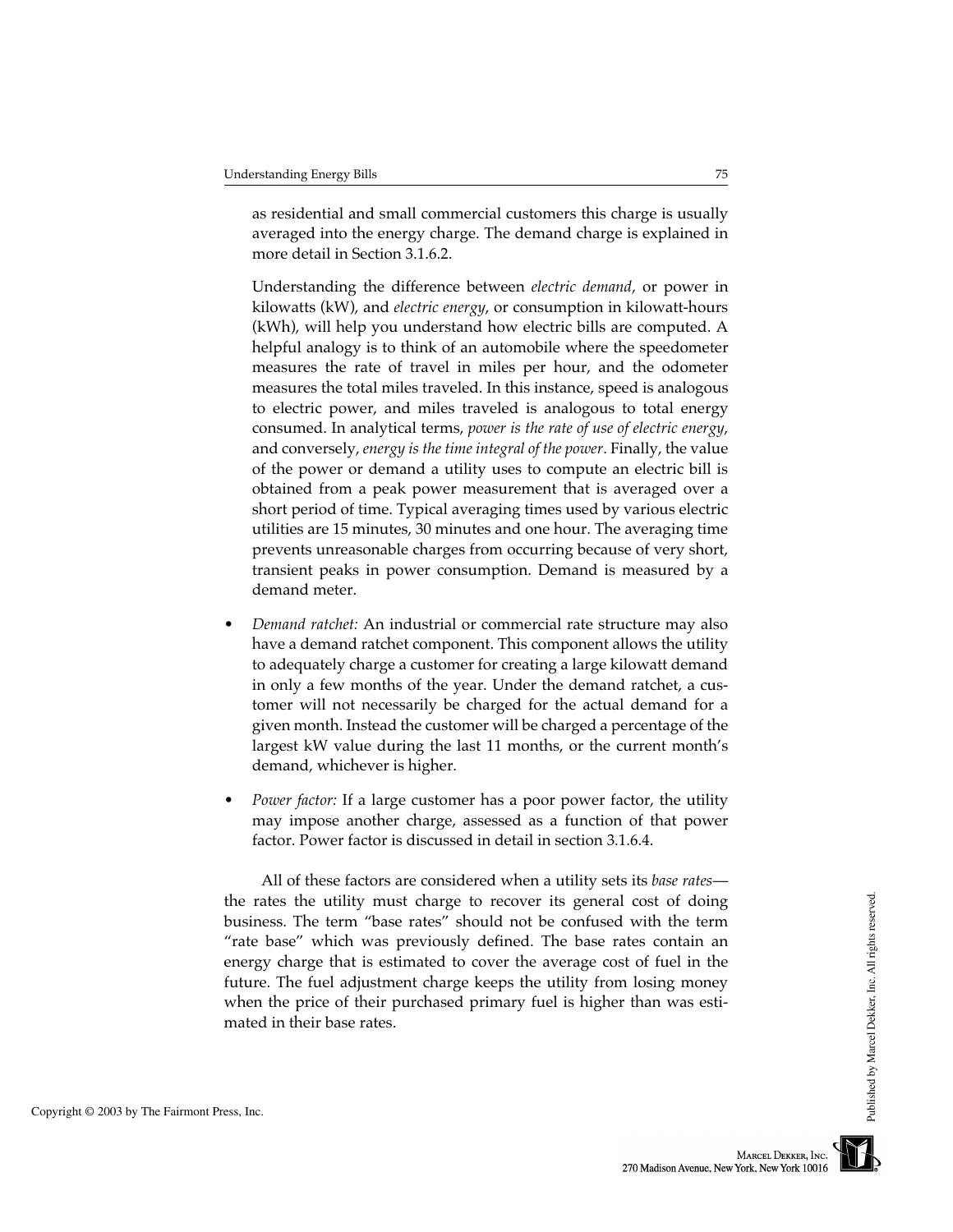as residential and small commercial customers this charge is usually averaged into the energy charge. The demand charge is explained in more detail in Section 3.1.6.2.

Understanding the difference between *electric demand*, or power in kilowatts (kW), and *electric energy*, or consumption in kilowatt-hours (kWh), will help you understand how electric bills are computed. A helpful analogy is to think of an automobile where the speedometer measures the rate of travel in miles per hour, and the odometer measures the total miles traveled. In this instance, speed is analogous to electric power, and miles traveled is analogous to total energy consumed. In analytical terms, *power is the rate of use of electric energy*, and conversely, *energy is the time integral of the power*. Finally, the value of the power or demand a utility uses to compute an electric bill is obtained from a peak power measurement that is averaged over a short period of time. Typical averaging times used by various electric utilities are 15 minutes, 30 minutes and one hour. The averaging time prevents unreasonable charges from occurring because of very short, transient peaks in power consumption. Demand is measured by a demand meter.

- *Demand ratchet:* An industrial or commercial rate structure may also have a demand ratchet component. This component allows the utility to adequately charge a customer for creating a large kilowatt demand in only a few months of the year. Under the demand ratchet, a customer will not necessarily be charged for the actual demand for a given month. Instead the customer will be charged a percentage of the largest kW value during the last 11 months, or the current month's demand, whichever is higher.
- *Power factor:* If a large customer has a poor power factor, the utility may impose another charge, assessed as a function of that power factor. Power factor is discussed in detail in section 3.1.6.4.

All of these factors are considered when a utility sets its *base rates* the rates the utility must charge to recover its general cost of doing business. The term "base rates" should not be confused with the term "rate base" which was previously defined. The base rates contain an energy charge that is estimated to cover the average cost of fuel in the future. The fuel adjustment charge keeps the utility from losing money when the price of their purchased primary fuel is higher than was estimated in their base rates.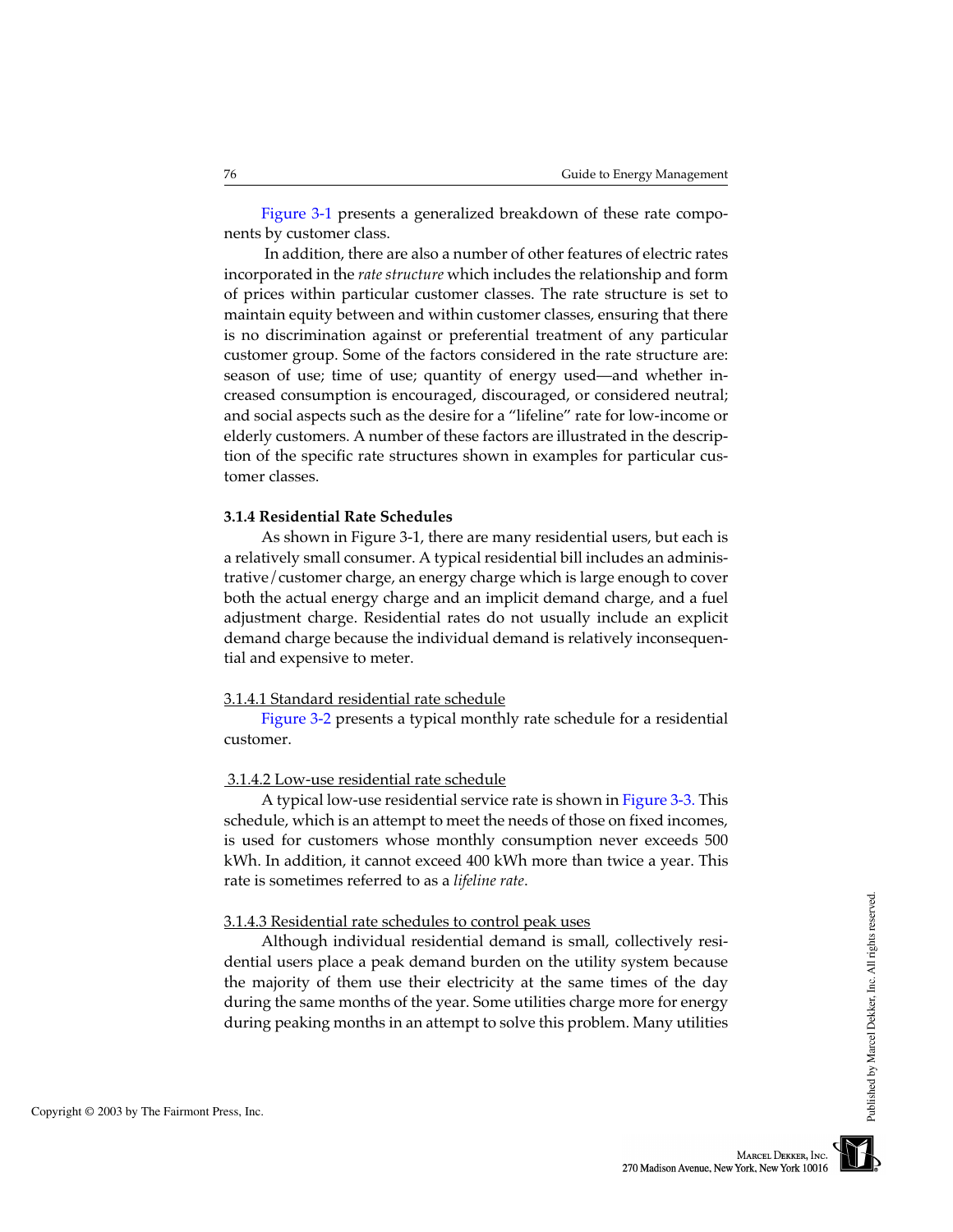[Figure 3-1](#page-8-0) presents a generalized breakdown of these rate components by customer class.

 In addition, there are also a number of other features of electric rates incorporated in the *rate structure* which includes the relationship and form of prices within particular customer classes. The rate structure is set to maintain equity between and within customer classes, ensuring that there is no discrimination against or preferential treatment of any particular customer group. Some of the factors considered in the rate structure are: season of use; time of use; quantity of energy used—and whether increased consumption is encouraged, discouraged, or considered neutral; and social aspects such as the desire for a "lifeline" rate for low-income or elderly customers. A number of these factors are illustrated in the description of the specific rate structures shown in examples for particular customer classes.

## **3.1.4 Residential Rate Schedules**

As shown in Figure 3-1, there are many residential users, but each is a relatively small consumer. A typical residential bill includes an administrative/customer charge, an energy charge which is large enough to cover both the actual energy charge and an implicit demand charge, and a fuel adjustment charge. Residential rates do not usually include an explicit demand charge because the individual demand is relatively inconsequential and expensive to meter.

## 3.1.4.1 Standard residential rate schedule

[Figure 3-2](#page-8-0) presents a typical monthly rate schedule for a residential customer.

## 3.1.4.2 Low-use residential rate schedule

A typical low-use residential service rate is shown in [Figure 3-3.](#page-8-0) This schedule, which is an attempt to meet the needs of those on fixed incomes, is used for customers whose monthly consumption never exceeds 500 kWh. In addition, it cannot exceed 400 kWh more than twice a year. This rate is sometimes referred to as a *lifeline rate*.

#### 3.1.4.3 Residential rate schedules to control peak uses

Although individual residential demand is small, collectively residential users place a peak demand burden on the utility system because the majority of them use their electricity at the same times of the day during the same months of the year. Some utilities charge more for energy during peaking months in an attempt to solve this problem. Many utilities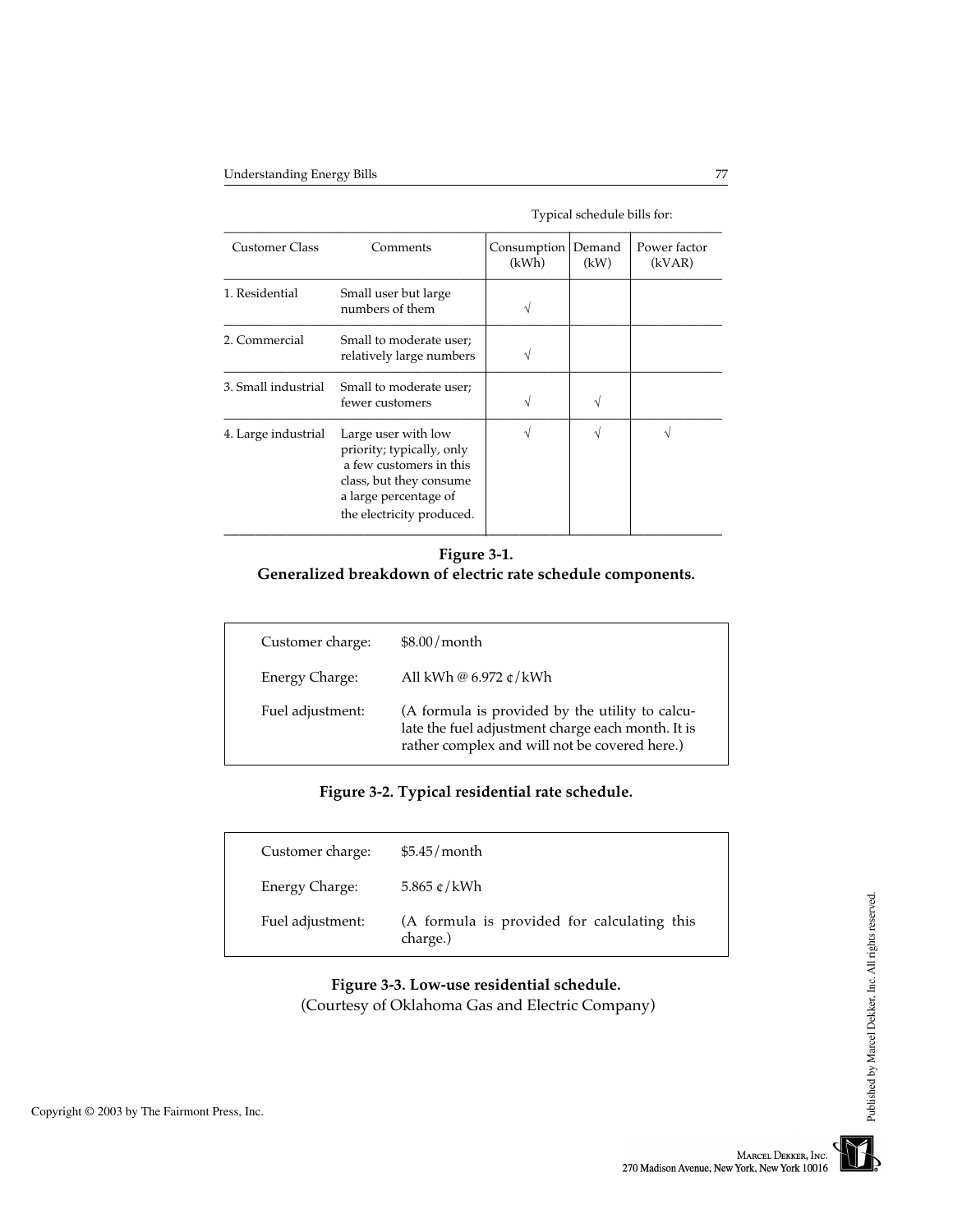Typical schedule bills for:

<span id="page-8-0"></span>

| <b>Customer Class</b> | Comments                                                                                                                                                     | Consumption   Demand<br>(kWh) | (kW) | Power factor<br>(kVAR) |
|-----------------------|--------------------------------------------------------------------------------------------------------------------------------------------------------------|-------------------------------|------|------------------------|
| 1. Residential        | Small user but large<br>numbers of them                                                                                                                      |                               |      |                        |
| 2. Commercial         | Small to moderate user;<br>relatively large numbers                                                                                                          |                               |      |                        |
| 3. Small industrial   | Small to moderate user;<br>fewer customers                                                                                                                   |                               | V    |                        |
| 4. Large industrial   | Large user with low<br>priority; typically, only<br>a few customers in this<br>class, but they consume<br>a large percentage of<br>the electricity produced. |                               | V    | N                      |

**Figure 3-1. Generalized breakdown of electric rate schedule components.**

| Customer charge: | $$8.00/m$ onth                                                                                                                                        |
|------------------|-------------------------------------------------------------------------------------------------------------------------------------------------------|
| Energy Charge:   | All kWh @ $6.972 \notin$ /kWh                                                                                                                         |
| Fuel adjustment: | (A formula is provided by the utility to calcu-<br>late the fuel adjustment charge each month. It is<br>rather complex and will not be covered here.) |

## **Figure 3-2. Typical residential rate schedule.**

| Customer charge: | $$5.45/m$ onth                                          |
|------------------|---------------------------------------------------------|
| Energy Charge:   | $5.865 \text{ c/kWh}$                                   |
| Fuel adjustment: | (A formula is provided for calculating this<br>charge.) |

## **Figure 3-3. Low-use residential schedule.**

(Courtesy of Oklahoma Gas and Electric Company)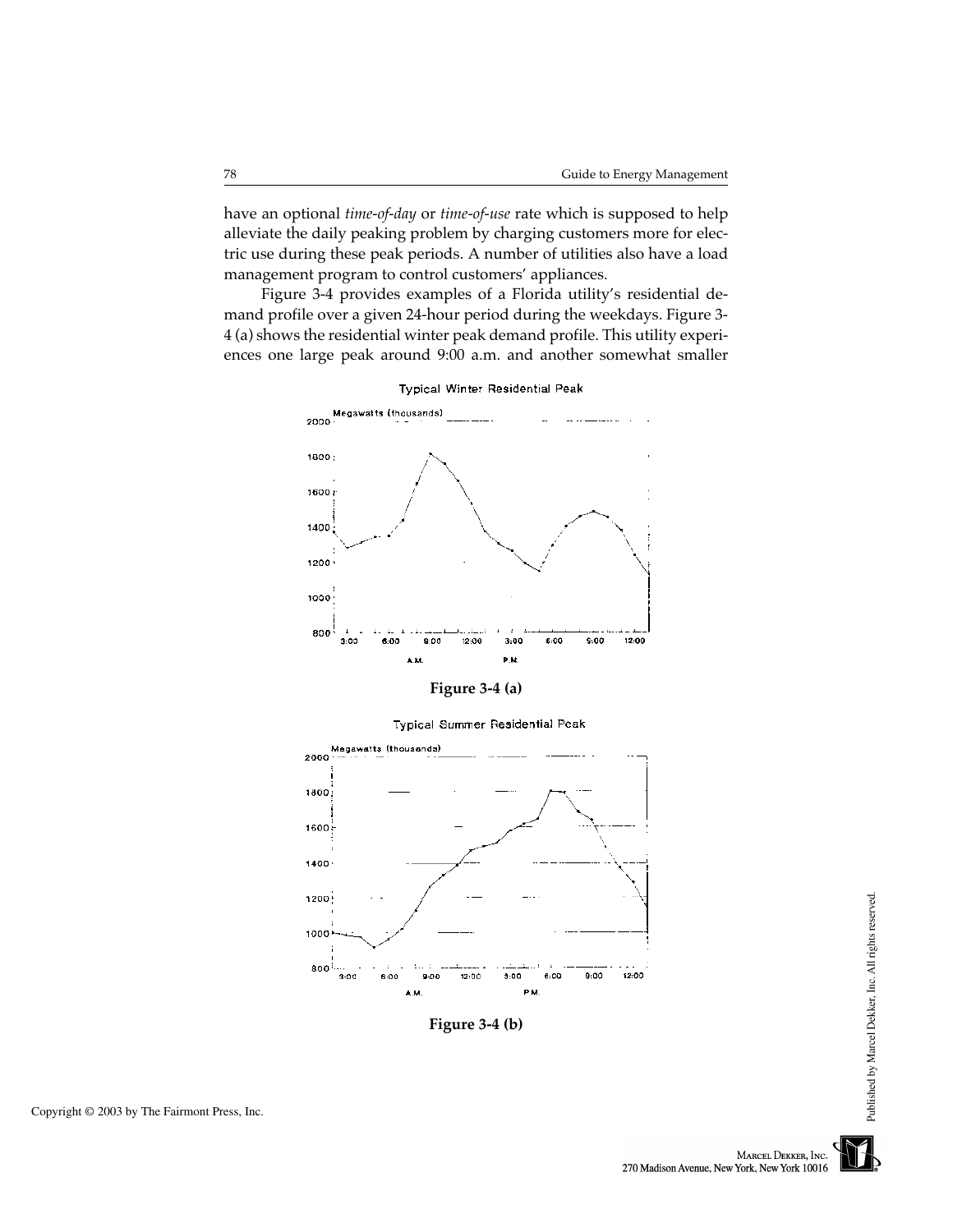<span id="page-9-0"></span>have an optional *time-of-day* or *time-of-use* rate which is supposed to help alleviate the daily peaking problem by charging customers more for electric use during these peak periods. A number of utilities also have a load management program to control customers' appliances.

Figure 3-4 provides examples of a Florida utility's residential demand profile over a given 24-hour period during the weekdays. Figure 3- 4 (a) shows the residential winter peak demand profile. This utility experiences one large peak around 9:00 a.m. and another somewhat smaller



Typical Winter Residential Peak

**Figure 3-4 (a)**



**Typical Summer Residential Peak** 

**Figure 3-4 (b)**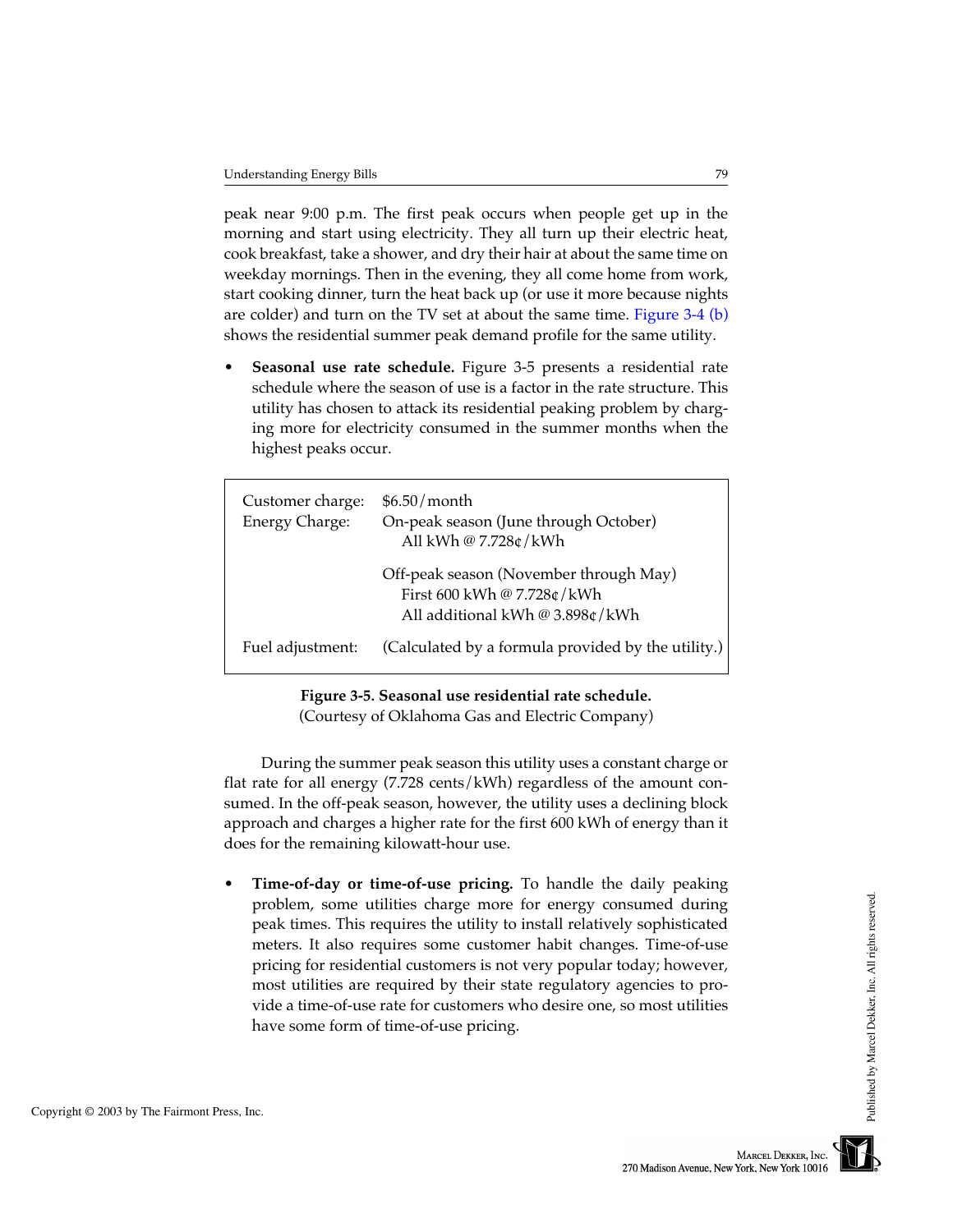peak near 9:00 p.m. The first peak occurs when people get up in the morning and start using electricity. They all turn up their electric heat, cook breakfast, take a shower, and dry their hair at about the same time on weekday mornings. Then in the evening, they all come home from work, start cooking dinner, turn the heat back up (or use it more because nights are colder) and turn on the TV set at about the same time. [Figure 3-4 \(b\)](#page-9-0) shows the residential summer peak demand profile for the same utility.

• **Seasonal use rate schedule.** Figure 3-5 presents a residential rate schedule where the season of use is a factor in the rate structure. This utility has chosen to attack its residential peaking problem by charging more for electricity consumed in the summer months when the highest peaks occur.

| Customer charge:<br><b>Energy Charge:</b> | $$6.50/m$ onth<br>On-peak season (June through October)<br>All kWh @ 7.728¢/kWh                         |
|-------------------------------------------|---------------------------------------------------------------------------------------------------------|
|                                           | Off-peak season (November through May)<br>First 600 kWh @ 7.728¢/kWh<br>All additional kWh @ 3.898¢/kWh |
| Fuel adjustment:                          | (Calculated by a formula provided by the utility.)                                                      |

**Figure 3-5. Seasonal use residential rate schedule.**

(Courtesy of Oklahoma Gas and Electric Company)

During the summer peak season this utility uses a constant charge or flat rate for all energy (7.728 cents/kWh) regardless of the amount consumed. In the off-peak season, however, the utility uses a declining block approach and charges a higher rate for the first 600 kWh of energy than it does for the remaining kilowatt-hour use.

• **Time-of-day or time-of-use pricing.** To handle the daily peaking problem, some utilities charge more for energy consumed during peak times. This requires the utility to install relatively sophisticated meters. It also requires some customer habit changes. Time-of-use pricing for residential customers is not very popular today; however, most utilities are required by their state regulatory agencies to provide a time-of-use rate for customers who desire one, so most utilities have some form of time-of-use pricing.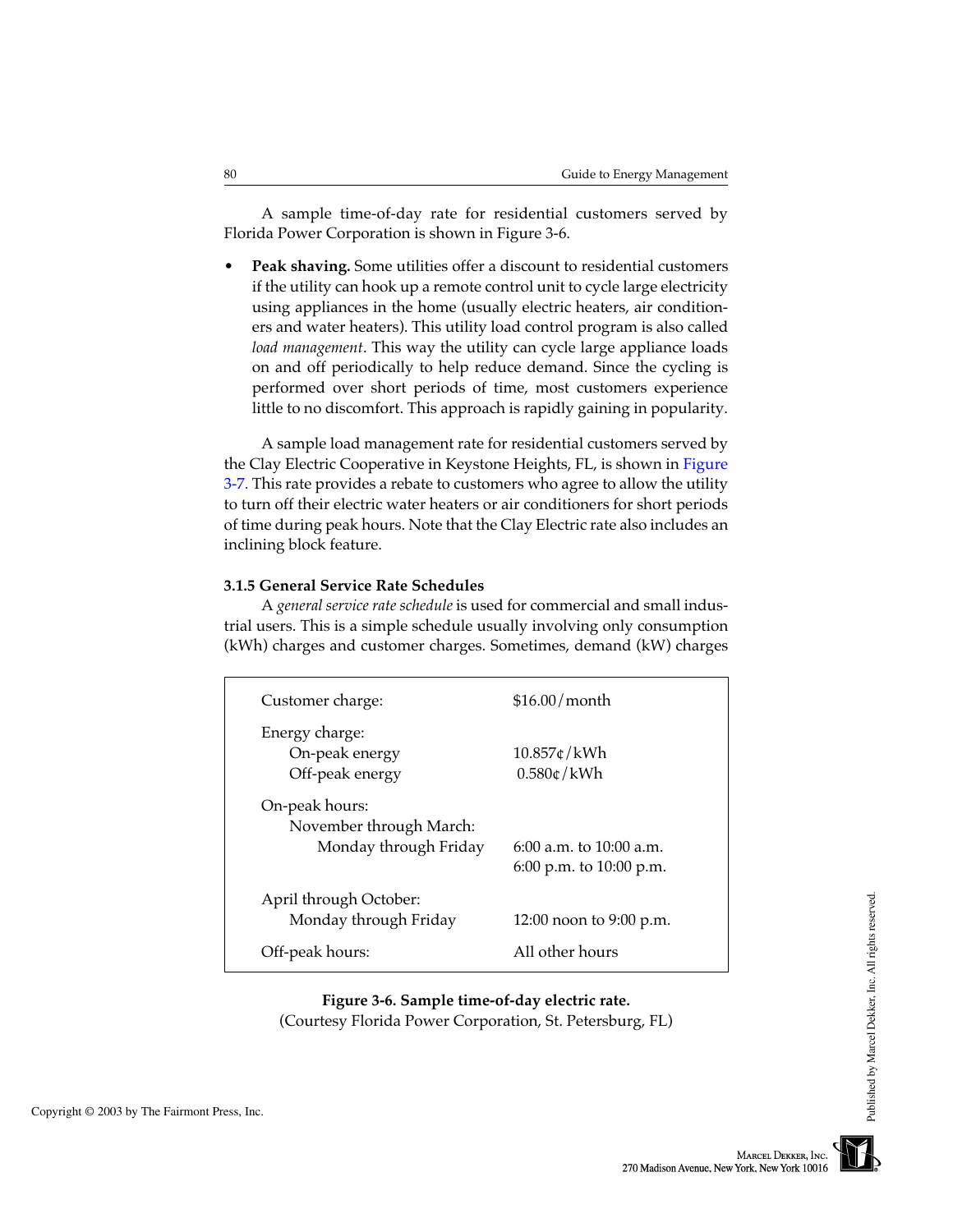A sample time-of-day rate for residential customers served by Florida Power Corporation is shown in Figure 3-6.

• **Peak shaving.** Some utilities offer a discount to residential customers if the utility can hook up a remote control unit to cycle large electricity using appliances in the home (usually electric heaters, air conditioners and water heaters). This utility load control program is also called *load management*. This way the utility can cycle large appliance loads on and off periodically to help reduce demand. Since the cycling is performed over short periods of time, most customers experience little to no discomfort. This approach is rapidly gaining in popularity.

A sample load management rate for residential customers served by the Clay Electric Cooperative in Keystone Heights, FL, is shown i[n Figure](#page-12-0) [3-7.](#page-12-0) This rate provides a rebate to customers who agree to allow the utility to turn off their electric water heaters or air conditioners for short periods of time during peak hours. Note that the Clay Electric rate also includes an inclining block feature.

## **3.1.5 General Service Rate Schedules**

A *general service rate schedule* is used for commercial and small industrial users. This is a simple schedule usually involving only consumption (kWh) charges and customer charges. Sometimes, demand (kW) charges

| Customer charge:                                                   | $$16.00/m$ onth                                        |
|--------------------------------------------------------------------|--------------------------------------------------------|
| Energy charge:<br>On-peak energy<br>Off-peak energy                | 10.857c/kWh<br>$0.580 \text{c} / \text{kWh}$           |
| On-peak hours:<br>November through March:<br>Monday through Friday | 6:00 a.m. to $10:00$ a.m.<br>6:00 p.m. to $10:00$ p.m. |
| April through October:<br>Monday through Friday                    | 12:00 noon to 9:00 p.m.                                |
| Off-peak hours:                                                    | All other hours                                        |

**Figure 3-6. Sample time-of-day electric rate.**

(Courtesy Florida Power Corporation, St. Petersburg, FL)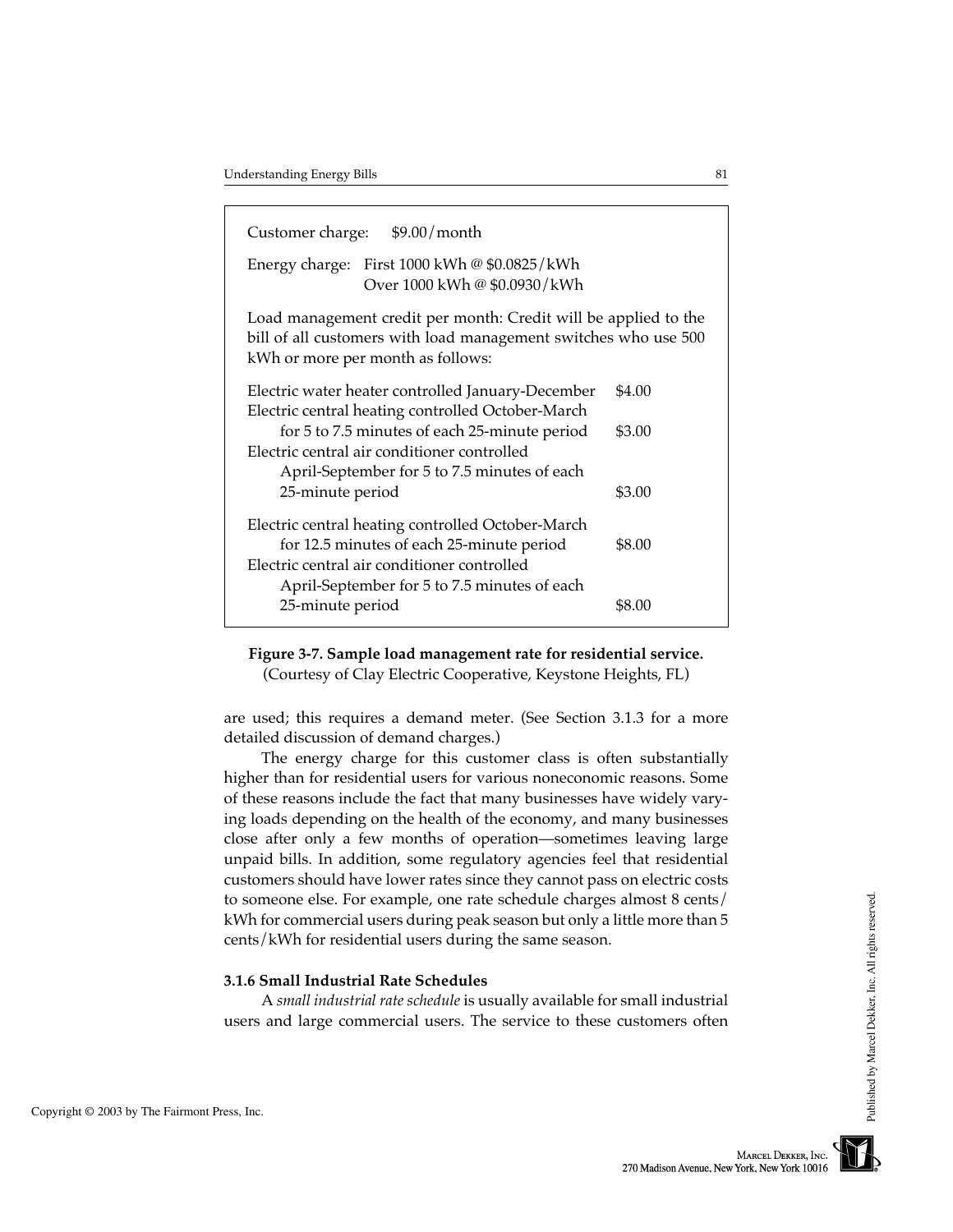<span id="page-12-0"></span>

| Customer charge: \$9.00/month                                                                                                                                                                               |        |  |  |
|-------------------------------------------------------------------------------------------------------------------------------------------------------------------------------------------------------------|--------|--|--|
| First 1000 kWh @ \$0.0825/kWh<br>Energy charge:<br>Over 1000 kWh @ \$0.0930/kWh                                                                                                                             |        |  |  |
| Load management credit per month: Credit will be applied to the<br>bill of all customers with load management switches who use 500<br>kWh or more per month as follows:                                     |        |  |  |
| Electric water heater controlled January-December                                                                                                                                                           | \$4.00 |  |  |
| Electric central heating controlled October-March<br>for 5 to 7.5 minutes of each 25-minute period<br>\$3.00<br>Electric central air conditioner controlled<br>April-September for 5 to 7.5 minutes of each |        |  |  |
| 25-minute period                                                                                                                                                                                            | \$3.00 |  |  |
| Electric central heating controlled October-March<br>for 12.5 minutes of each 25-minute period<br>Electric central air conditioner controlled                                                               | \$8.00 |  |  |
| April-September for 5 to 7.5 minutes of each<br>25-minute period                                                                                                                                            | \$8.00 |  |  |

**Figure 3-7. Sample load management rate for residential service.**

(Courtesy of Clay Electric Cooperative, Keystone Heights, FL)

are used; this requires a demand meter. (See Section 3.1.3 for a more detailed discussion of demand charges.)

The energy charge for this customer class is often substantially higher than for residential users for various noneconomic reasons. Some of these reasons include the fact that many businesses have widely varying loads depending on the health of the economy, and many businesses close after only a few months of operation—sometimes leaving large unpaid bills. In addition, some regulatory agencies feel that residential customers should have lower rates since they cannot pass on electric costs to someone else. For example, one rate schedule charges almost 8 cents/ kWh for commercial users during peak season but only a little more than 5 cents/kWh for residential users during the same season.

## **3.1.6 Small Industrial Rate Schedules**

A *small industrial rate schedule* is usually available for small industrial users and large commercial users. The service to these customers often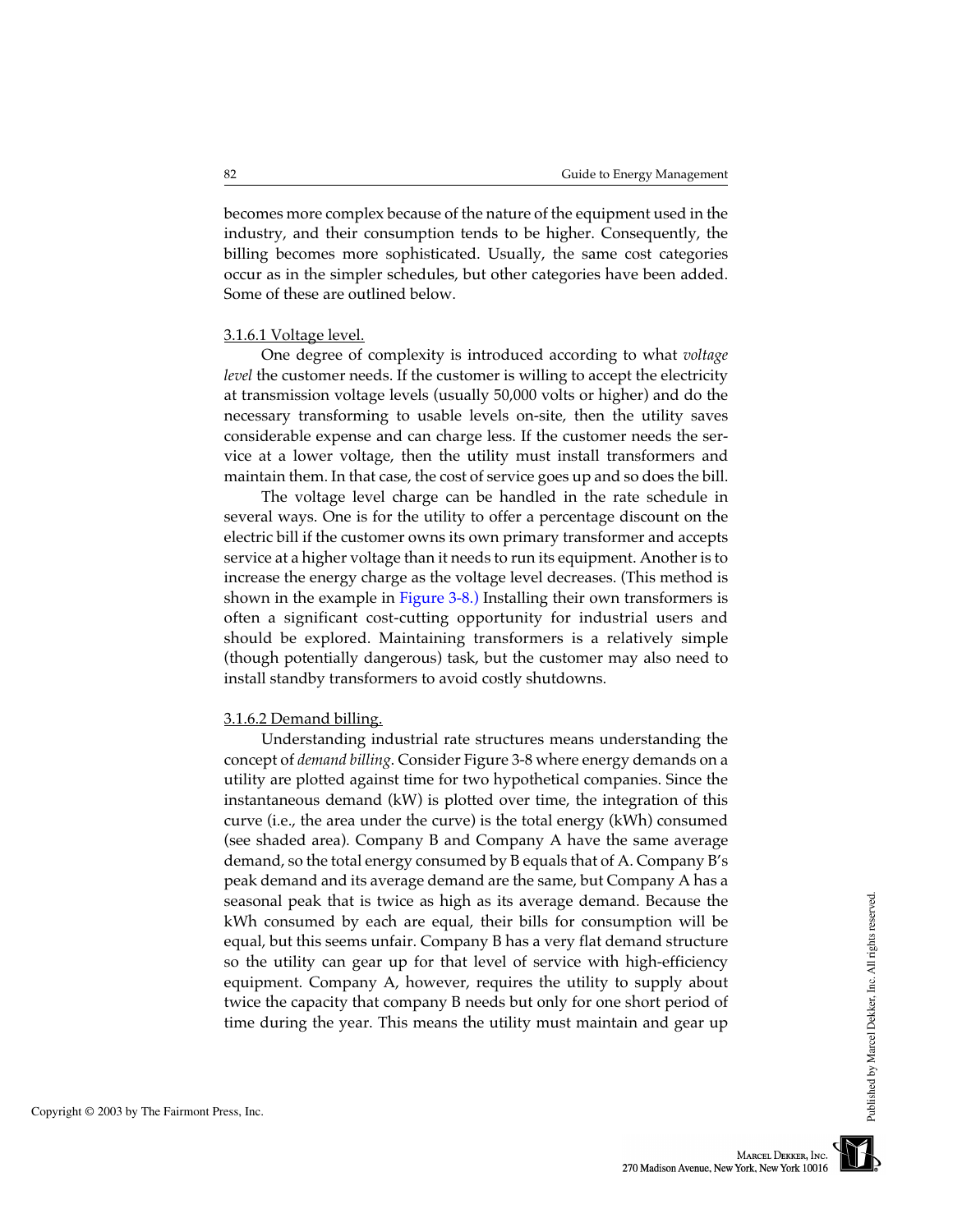becomes more complex because of the nature of the equipment used in the industry, and their consumption tends to be higher. Consequently, the billing becomes more sophisticated. Usually, the same cost categories occur as in the simpler schedules, but other categories have been added. Some of these are outlined below.

## 3.1.6.1 Voltage level.

One degree of complexity is introduced according to what *voltage level* the customer needs. If the customer is willing to accept the electricity at transmission voltage levels (usually 50,000 volts or higher) and do the necessary transforming to usable levels on-site, then the utility saves considerable expense and can charge less. If the customer needs the service at a lower voltage, then the utility must install transformers and maintain them. In that case, the cost of service goes up and so does the bill.

The voltage level charge can be handled in the rate schedule in several ways. One is for the utility to offer a percentage discount on the electric bill if the customer owns its own primary transformer and accepts service at a higher voltage than it needs to run its equipment. Another is to increase the energy charge as the voltage level decreases. (This method is shown in the example i[n Figure 3-8.\)](#page-14-0) Installing their own transformers is often a significant cost-cutting opportunity for industrial users and should be explored. Maintaining transformers is a relatively simple (though potentially dangerous) task, but the customer may also need to install standby transformers to avoid costly shutdowns.

## 3.1.6.2 Demand billing.

Understanding industrial rate structures means understanding the concept of *demand billing*. Consider Figure 3-8 where energy demands on a utility are plotted against time for two hypothetical companies. Since the instantaneous demand (kW) is plotted over time, the integration of this curve (i.e., the area under the curve) is the total energy (kWh) consumed (see shaded area). Company B and Company A have the same average demand, so the total energy consumed by B equals that of A. Company B's peak demand and its average demand are the same, but Company A has a seasonal peak that is twice as high as its average demand. Because the kWh consumed by each are equal, their bills for consumption will be equal, but this seems unfair. Company B has a very flat demand structure so the utility can gear up for that level of service with high-efficiency equipment. Company A, however, requires the utility to supply about twice the capacity that company B needs but only for one short period of time during the year. This means the utility must maintain and gear up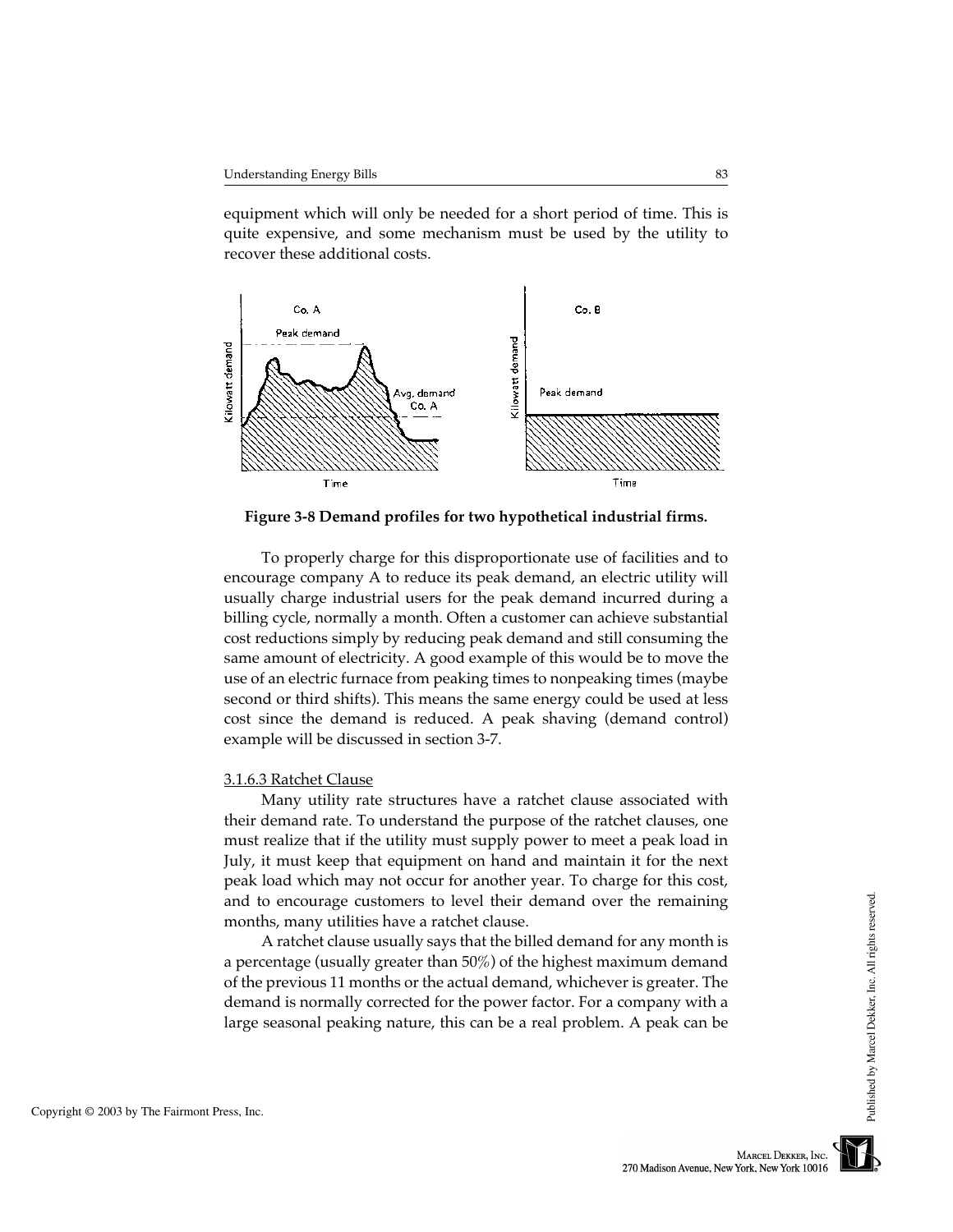equipment which will only be needed for a short period of time. This is quite expensive, and some mechanism must be used by the utility to recover these additional costs.

<span id="page-14-0"></span>

**Figure 3-8 Demand profiles for two hypothetical industrial firms.**

To properly charge for this disproportionate use of facilities and to encourage company A to reduce its peak demand, an electric utility will usually charge industrial users for the peak demand incurred during a billing cycle, normally a month. Often a customer can achieve substantial cost reductions simply by reducing peak demand and still consuming the same amount of electricity. A good example of this would be to move the use of an electric furnace from peaking times to nonpeaking times (maybe second or third shifts). This means the same energy could be used at less cost since the demand is reduced. A peak shaving (demand control) example will be discussed in section 3-7.

## 3.1.6.3 Ratchet Clause

Many utility rate structures have a ratchet clause associated with their demand rate. To understand the purpose of the ratchet clauses, one must realize that if the utility must supply power to meet a peak load in July, it must keep that equipment on hand and maintain it for the next peak load which may not occur for another year. To charge for this cost, and to encourage customers to level their demand over the remaining months, many utilities have a ratchet clause.

A ratchet clause usually says that the billed demand for any month is a percentage (usually greater than 50%) of the highest maximum demand of the previous 11 months or the actual demand, whichever is greater. The demand is normally corrected for the power factor. For a company with a large seasonal peaking nature, this can be a real problem. A peak can be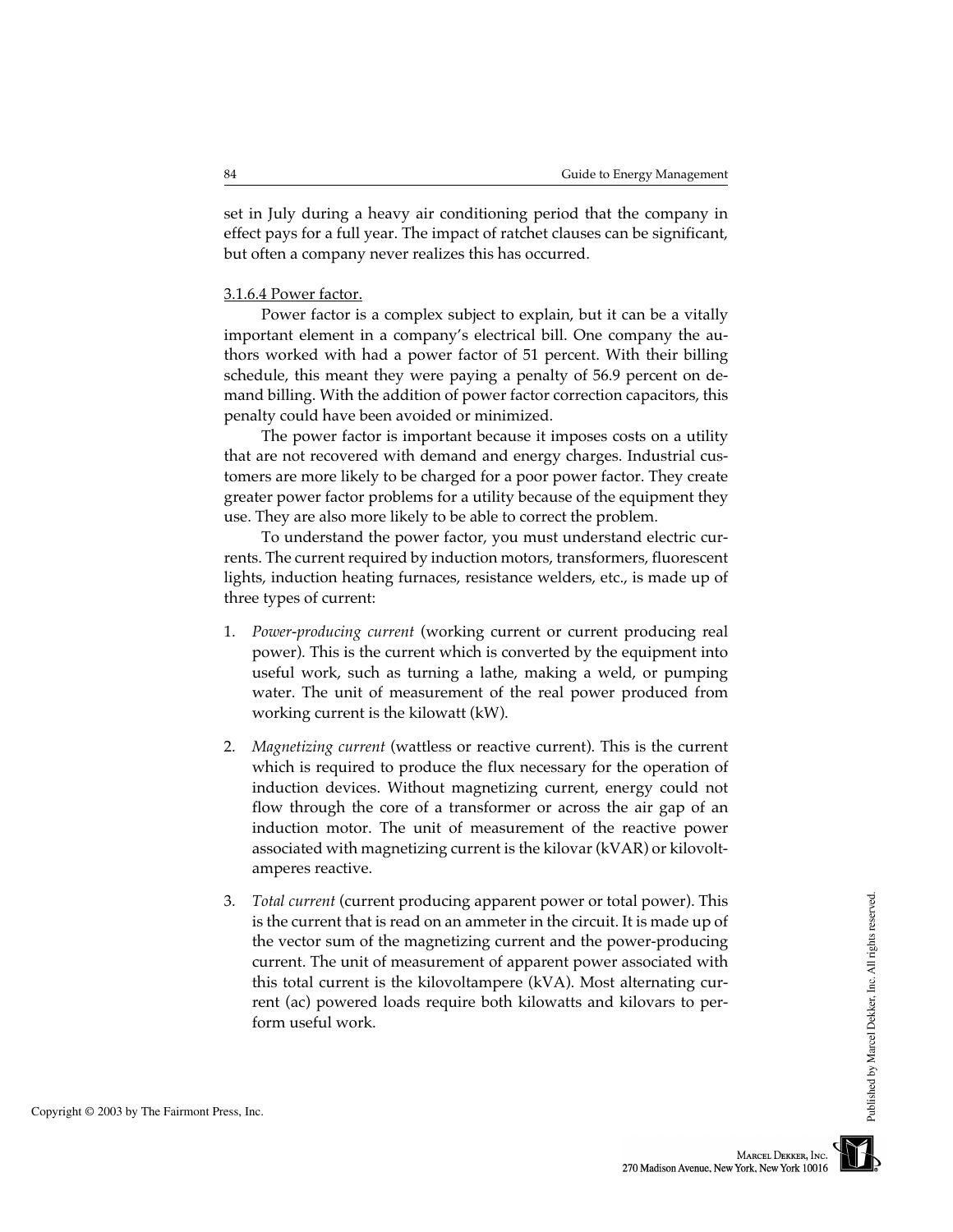set in July during a heavy air conditioning period that the company in effect pays for a full year. The impact of ratchet clauses can be significant, but often a company never realizes this has occurred.

## 3.1.6.4 Power factor.

Power factor is a complex subject to explain, but it can be a vitally important element in a company's electrical bill. One company the authors worked with had a power factor of 51 percent. With their billing schedule, this meant they were paying a penalty of 56.9 percent on demand billing. With the addition of power factor correction capacitors, this penalty could have been avoided or minimized.

The power factor is important because it imposes costs on a utility that are not recovered with demand and energy charges. Industrial customers are more likely to be charged for a poor power factor. They create greater power factor problems for a utility because of the equipment they use. They are also more likely to be able to correct the problem.

To understand the power factor, you must understand electric currents. The current required by induction motors, transformers, fluorescent lights, induction heating furnaces, resistance welders, etc., is made up of three types of current:

- 1. *Power-producing current* (working current or current producing real power). This is the current which is converted by the equipment into useful work, such as turning a lathe, making a weld, or pumping water. The unit of measurement of the real power produced from working current is the kilowatt (kW).
- 2. *Magnetizing current* (wattless or reactive current). This is the current which is required to produce the flux necessary for the operation of induction devices. Without magnetizing current, energy could not flow through the core of a transformer or across the air gap of an induction motor. The unit of measurement of the reactive power associated with magnetizing current is the kilovar (kVAR) or kilovoltamperes reactive.
- 3. *Total current* (current producing apparent power or total power). This is the current that is read on an ammeter in the circuit. It is made up of the vector sum of the magnetizing current and the power-producing current. The unit of measurement of apparent power associated with this total current is the kilovoltampere (kVA). Most alternating current (ac) powered loads require both kilowatts and kilovars to perform useful work.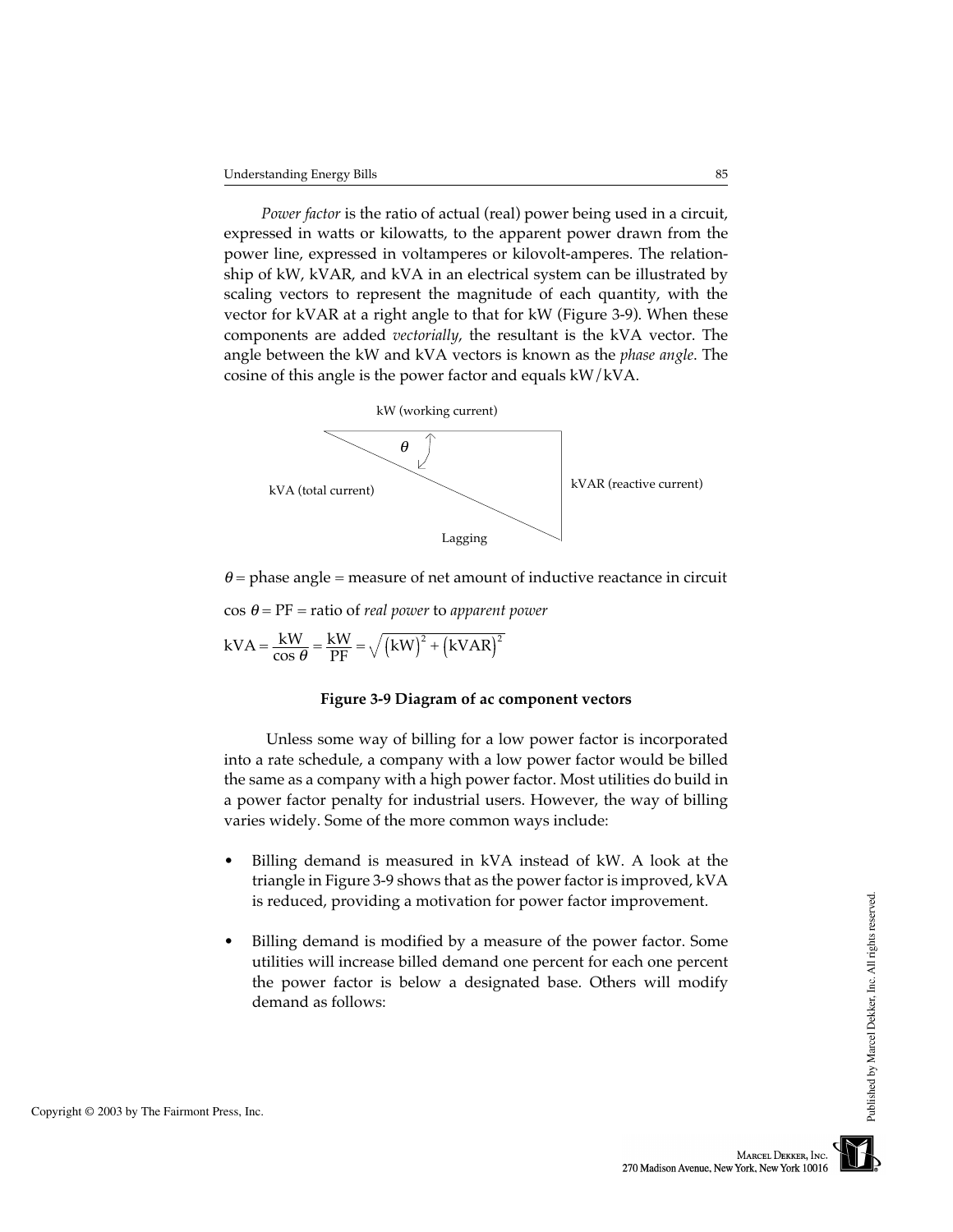*Power factor* is the ratio of actual (real) power being used in a circuit, expressed in watts or kilowatts, to the apparent power drawn from the power line, expressed in voltamperes or kilovolt-amperes. The relationship of kW, kVAR, and kVA in an electrical system can be illustrated by scaling vectors to represent the magnitude of each quantity, with the vector for kVAR at a right angle to that for kW (Figure 3-9). When these components are added *vectorially*, the resultant is the kVA vector. The angle between the kW and kVA vectors is known as the *phase angle*. The cosine of this angle is the power factor and equals kW/kVA.



 $\theta$  = phase angle = measure of net amount of inductive reactance in circuit

 $\cos \theta = PF =$  ratio of *real power* to *apparent power* 

$$
kVA = \frac{kW}{\cos \theta} = \frac{kW}{PF} = \sqrt{(kW)^{2} + (kVAR)^{2}}
$$

## **Figure 3-9 Diagram of ac component vectors**

 Unless some way of billing for a low power factor is incorporated into a rate schedule, a company with a low power factor would be billed the same as a company with a high power factor. Most utilities do build in a power factor penalty for industrial users. However, the way of billing varies widely. Some of the more common ways include:

- Billing demand is measured in kVA instead of kW. A look at the triangle in Figure 3-9 shows that as the power factor is improved, kVA is reduced, providing a motivation for power factor improvement.
- Billing demand is modified by a measure of the power factor. Some utilities will increase billed demand one percent for each one percent the power factor is below a designated base. Others will modify demand as follows: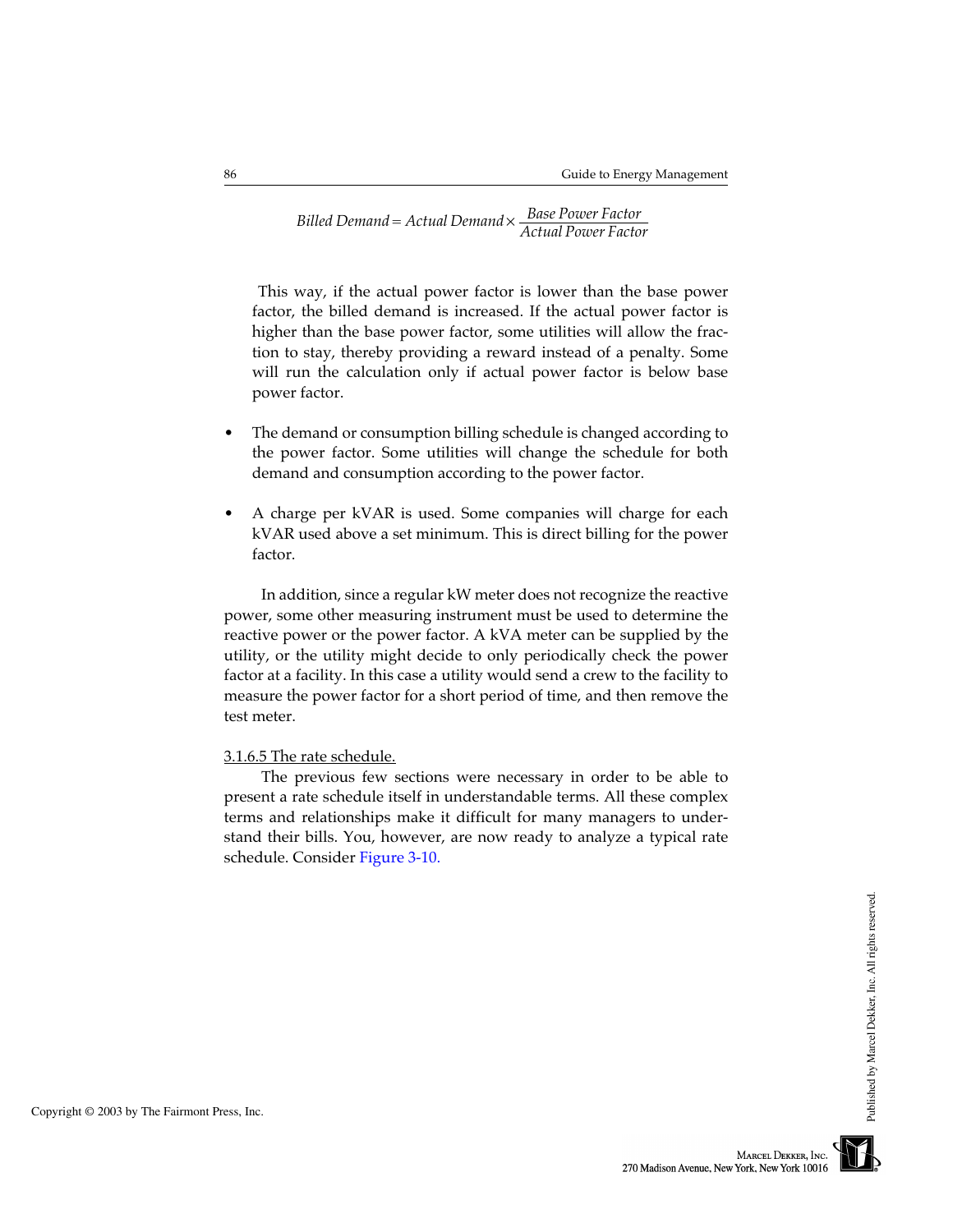*Billed Demand*<sup>=</sup> *Actual Demand* <sup>×</sup> *Base Power Factor Actual Power Factor*

 This way, if the actual power factor is lower than the base power factor, the billed demand is increased. If the actual power factor is higher than the base power factor, some utilities will allow the fraction to stay, thereby providing a reward instead of a penalty. Some will run the calculation only if actual power factor is below base power factor.

- The demand or consumption billing schedule is changed according to the power factor. Some utilities will change the schedule for both demand and consumption according to the power factor.
- A charge per kVAR is used. Some companies will charge for each kVAR used above a set minimum. This is direct billing for the power factor.

In addition, since a regular kW meter does not recognize the reactive power, some other measuring instrument must be used to determine the reactive power or the power factor. A kVA meter can be supplied by the utility, or the utility might decide to only periodically check the power factor at a facility. In this case a utility would send a crew to the facility to measure the power factor for a short period of time, and then remove the test meter.

## 3.1.6.5 The rate schedule.

The previous few sections were necessary in order to be able to present a rate schedule itself in understandable terms. All these complex terms and relationships make it difficult for many managers to understand their bills. You, however, are now ready to analyze a typical rate schedule. Consider [Figure 3-10.](#page-18-0)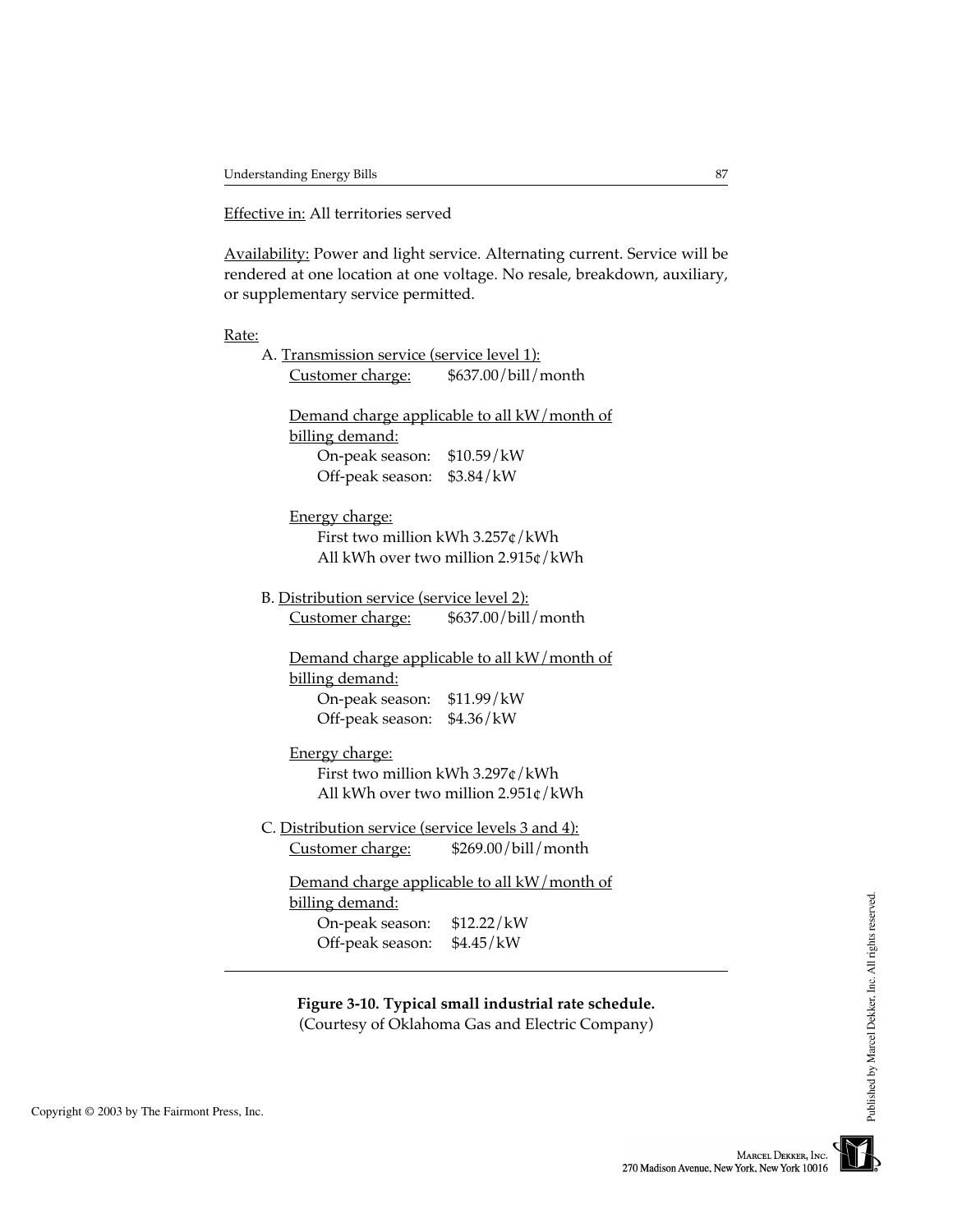<span id="page-18-0"></span>Effective in: All territories served

Availability: Power and light service. Alternating current. Service will be rendered at one location at one voltage. No resale, breakdown, auxiliary, or supplementary service permitted.

| Rate: |                                                   |                                             |
|-------|---------------------------------------------------|---------------------------------------------|
|       | A. Transmission service (service level 1):        |                                             |
|       | Customer charge:                                  | \$637.00/bill/month                         |
|       | billing demand:                                   | Demand charge applicable to all kW/month of |
|       | On-peak season: \$10.59/kW                        |                                             |
|       | Off-peak season:                                  | \$3.84/kW                                   |
|       | <b>Energy charge:</b>                             |                                             |
|       | First two million kWh 3.257¢/kWh                  |                                             |
|       |                                                   | All kWh over two million 2.915¢/kWh         |
|       | B. Distribution service (service level 2):        |                                             |
|       | Customer charge:                                  | \$637.00/bill/month                         |
|       |                                                   | Demand charge applicable to all kW/month of |
|       | billing demand:                                   |                                             |
|       | On-peak season: \$11.99/kW                        |                                             |
|       | Off-peak season: \$4.36/kW                        |                                             |
|       | Energy charge:                                    |                                             |
|       | First two million kWh 3.297¢/kWh                  |                                             |
|       |                                                   | All kWh over two million 2.951¢/kWh         |
|       | C. Distribution service (service levels 3 and 4): |                                             |
|       | <u>Customer charge:</u>                           | \$269.00/bill/month                         |
|       | billing demand:                                   | Demand charge applicable to all kW/month of |
|       | On-peak season:                                   | \$12.22/kW                                  |
|       | Off-peak season:                                  | \$4.45/kW                                   |

**Figure 3-10. Typical small industrial rate schedule.** (Courtesy of Oklahoma Gas and Electric Company)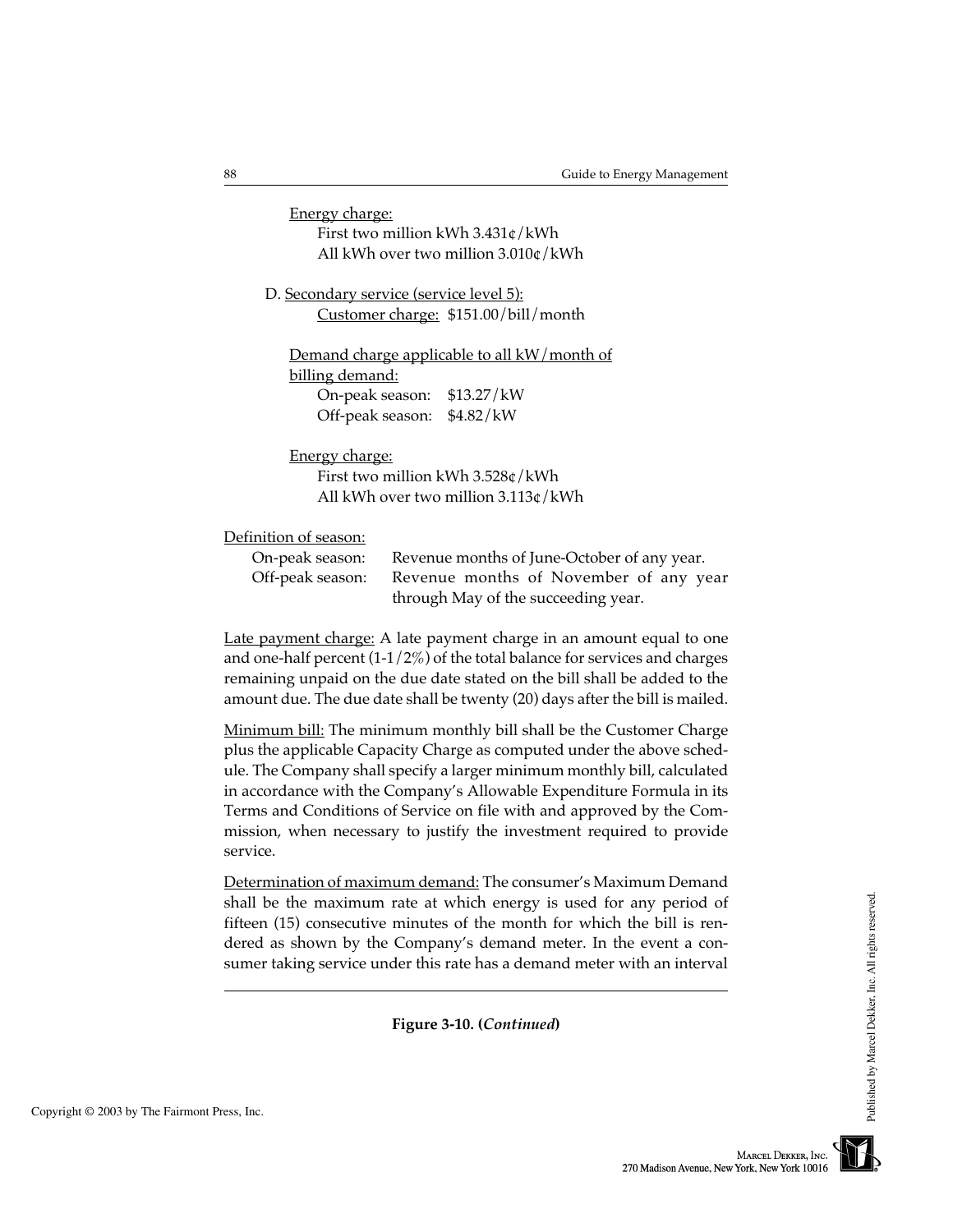| E.II | jergy cnarg |
|------|-------------|
|      |             |

First two million kWh 3.431¢/kWh All kWh over two million 3.010¢/kWh

D. Secondary service (service level 5): Customer charge: \$151.00/bill/month

Demand charge applicable to all kW/month of billing demand: On-peak season: \$13.27/kW

Off-peak season: \$4.82/kW

Energy charge: First two million kWh 3.528¢/kWh All kWh over two million 3.113¢/kWh

Definition of season:

|                  | On-peak season: Revenue months of June-October of any year. |  |
|------------------|-------------------------------------------------------------|--|
| Off-peak season: | Revenue months of November of any year                      |  |
|                  | through May of the succeeding year.                         |  |

Late payment charge: A late payment charge in an amount equal to one and one-half percent  $(1-1/2\%)$  of the total balance for services and charges remaining unpaid on the due date stated on the bill shall be added to the amount due. The due date shall be twenty (20) days after the bill is mailed.

Minimum bill: The minimum monthly bill shall be the Customer Charge plus the applicable Capacity Charge as computed under the above schedule. The Company shall specify a larger minimum monthly bill, calculated in accordance with the Company's Allowable Expenditure Formula in its Terms and Conditions of Service on file with and approved by the Commission, when necessary to justify the investment required to provide service.

Determination of maximum demand: The consumer's Maximum Demand shall be the maximum rate at which energy is used for any period of fifteen (15) consecutive minutes of the month for which the bill is rendered as shown by the Company's demand meter. In the event a consumer taking service under this rate has a demand meter with an interval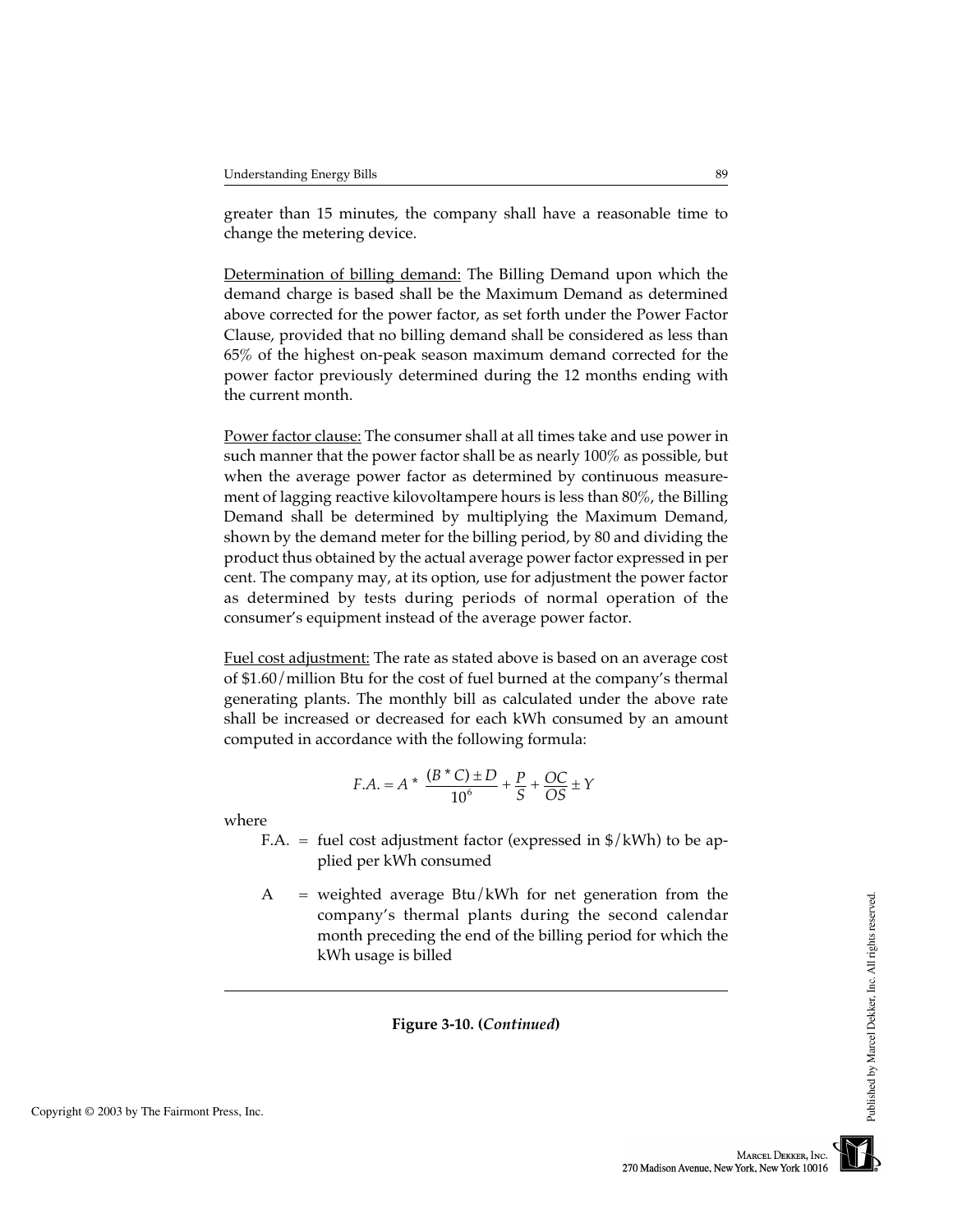greater than 15 minutes, the company shall have a reasonable time to change the metering device.

Determination of billing demand: The Billing Demand upon which the demand charge is based shall be the Maximum Demand as determined above corrected for the power factor, as set forth under the Power Factor Clause, provided that no billing demand shall be considered as less than 65% of the highest on-peak season maximum demand corrected for the power factor previously determined during the 12 months ending with the current month.

Power factor clause: The consumer shall at all times take and use power in such manner that the power factor shall be as nearly 100% as possible, but when the average power factor as determined by continuous measurement of lagging reactive kilovoltampere hours is less than 80%, the Billing Demand shall be determined by multiplying the Maximum Demand, shown by the demand meter for the billing period, by 80 and dividing the product thus obtained by the actual average power factor expressed in per cent. The company may, at its option, use for adjustment the power factor as determined by tests during periods of normal operation of the consumer's equipment instead of the average power factor.

Fuel cost adjustment: The rate as stated above is based on an average cost of \$1.60/million Btu for the cost of fuel burned at the company's thermal generating plants. The monthly bill as calculated under the above rate shall be increased or decreased for each kWh consumed by an amount computed in accordance with the following formula:

$$
F.A. = A * \frac{(B * C) \pm D}{10^{6}} + \frac{P}{S} + \frac{OC}{OS} \pm Y
$$

where

F.A.  $=$  fuel cost adjustment factor (expressed in  $\frac{1}{2}$ /kWh) to be applied per kWh consumed

 $A =$  weighted average Btu/kWh for net generation from the company's thermal plants during the second calendar month preceding the end of the billing period for which the kWh usage is billed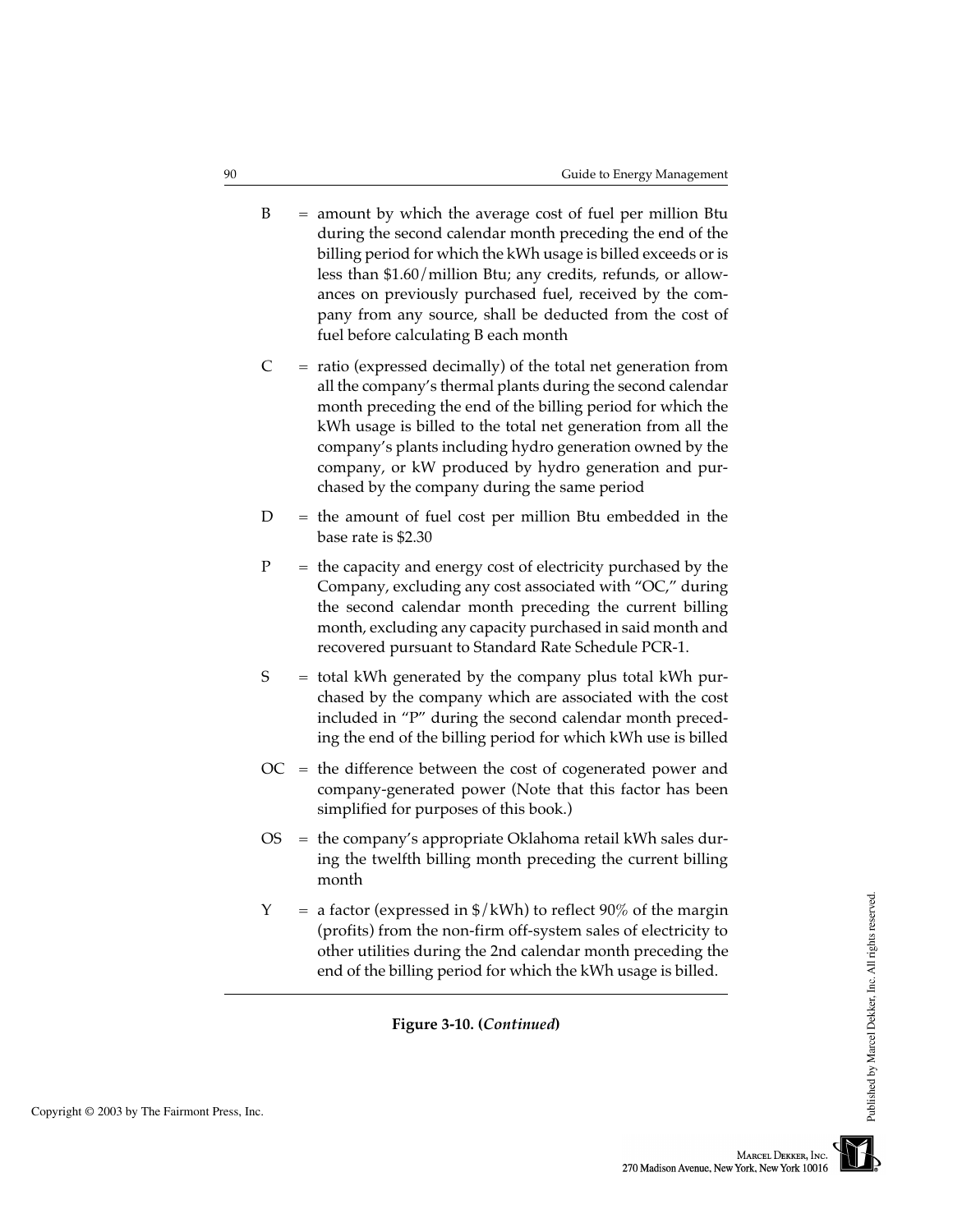- $B =$  amount by which the average cost of fuel per million Btu during the second calendar month preceding the end of the billing period for which the kWh usage is billed exceeds or is less than \$1.60/million Btu; any credits, refunds, or allowances on previously purchased fuel, received by the company from any source, shall be deducted from the cost of fuel before calculating B each month
- $C =$  ratio (expressed decimally) of the total net generation from all the company's thermal plants during the second calendar month preceding the end of the billing period for which the kWh usage is billed to the total net generation from all the company's plants including hydro generation owned by the company, or kW produced by hydro generation and purchased by the company during the same period
- $D =$  the amount of fuel cost per million Btu embedded in the base rate is \$2.30
- $P =$  the capacity and energy cost of electricity purchased by the Company, excluding any cost associated with "OC," during the second calendar month preceding the current billing month, excluding any capacity purchased in said month and recovered pursuant to Standard Rate Schedule PCR-1.
- $S =$  total kWh generated by the company plus total kWh purchased by the company which are associated with the cost included in "P" during the second calendar month preceding the end of the billing period for which kWh use is billed
- $OC$  = the difference between the cost of cogenerated power and company-generated power (Note that this factor has been simplified for purposes of this book.)
- $OS =$  the company's appropriate Oklahoma retail kWh sales during the twelfth billing month preceding the current billing month
- $Y = a$  factor (expressed in  $\frac{1}{2}$ /kWh) to reflect 90% of the margin (profits) from the non-firm off-system sales of electricity to other utilities during the 2nd calendar month preceding the end of the billing period for which the kWh usage is billed.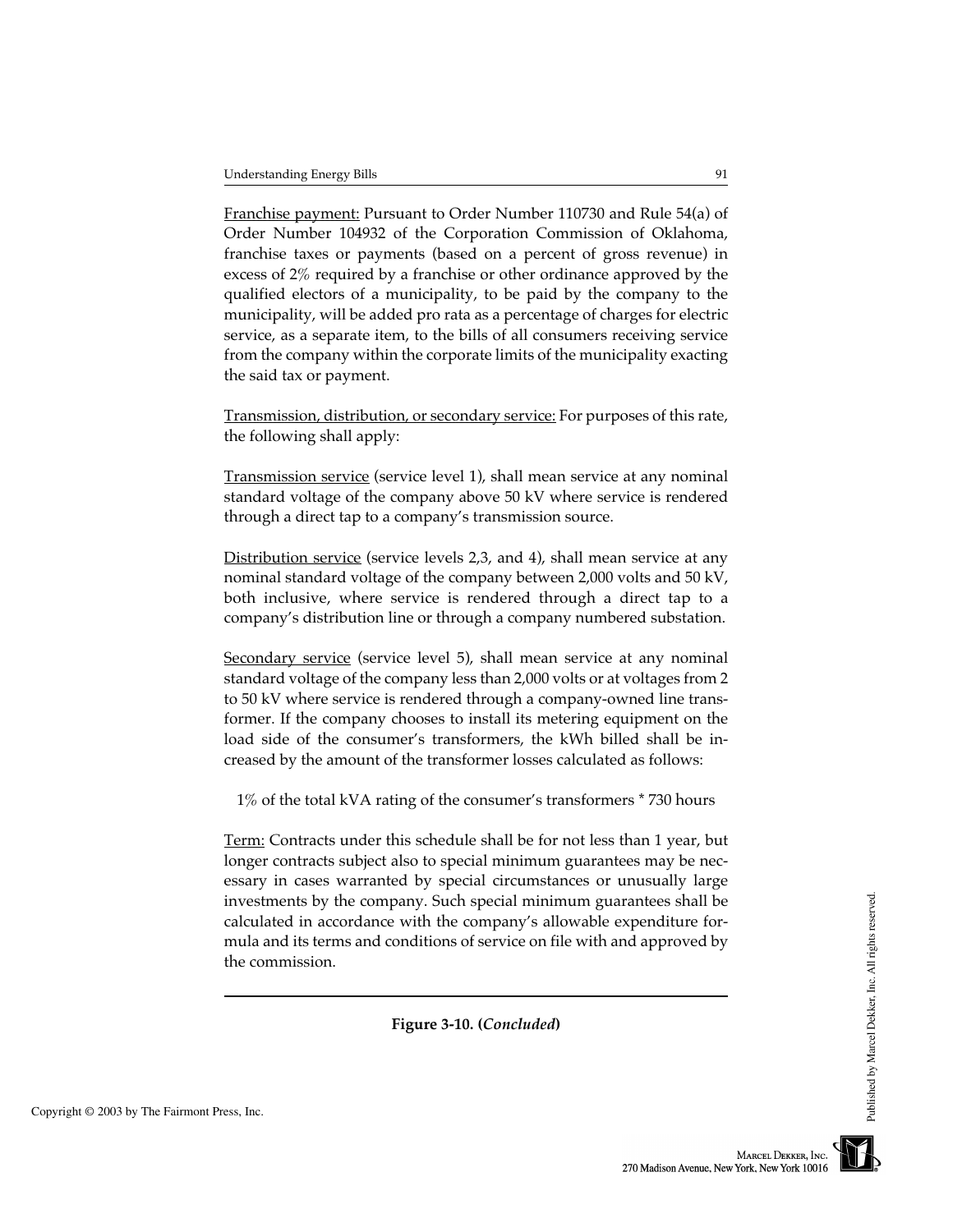Franchise payment: Pursuant to Order Number 110730 and Rule 54(a) of Order Number 104932 of the Corporation Commission of Oklahoma, franchise taxes or payments (based on a percent of gross revenue) in excess of 2% required by a franchise or other ordinance approved by the qualified electors of a municipality, to be paid by the company to the municipality, will be added pro rata as a percentage of charges for electric service, as a separate item, to the bills of all consumers receiving service from the company within the corporate limits of the municipality exacting the said tax or payment.

Transmission, distribution, or secondary service: For purposes of this rate, the following shall apply:

Transmission service (service level 1), shall mean service at any nominal standard voltage of the company above 50 kV where service is rendered through a direct tap to a company's transmission source.

Distribution service (service levels 2,3, and 4), shall mean service at any nominal standard voltage of the company between 2,000 volts and 50 kV, both inclusive, where service is rendered through a direct tap to a company's distribution line or through a company numbered substation.

Secondary service (service level 5), shall mean service at any nominal standard voltage of the company less than 2,000 volts or at voltages from 2 to 50 kV where service is rendered through a company-owned line transformer. If the company chooses to install its metering equipment on the load side of the consumer's transformers, the kWh billed shall be increased by the amount of the transformer losses calculated as follows:

1% of the total kVA rating of the consumer's transformers \* 730 hours

Term: Contracts under this schedule shall be for not less than 1 year, but longer contracts subject also to special minimum guarantees may be necessary in cases warranted by special circumstances or unusually large investments by the company. Such special minimum guarantees shall be calculated in accordance with the company's allowable expenditure formula and its terms and conditions of service on file with and approved by the commission.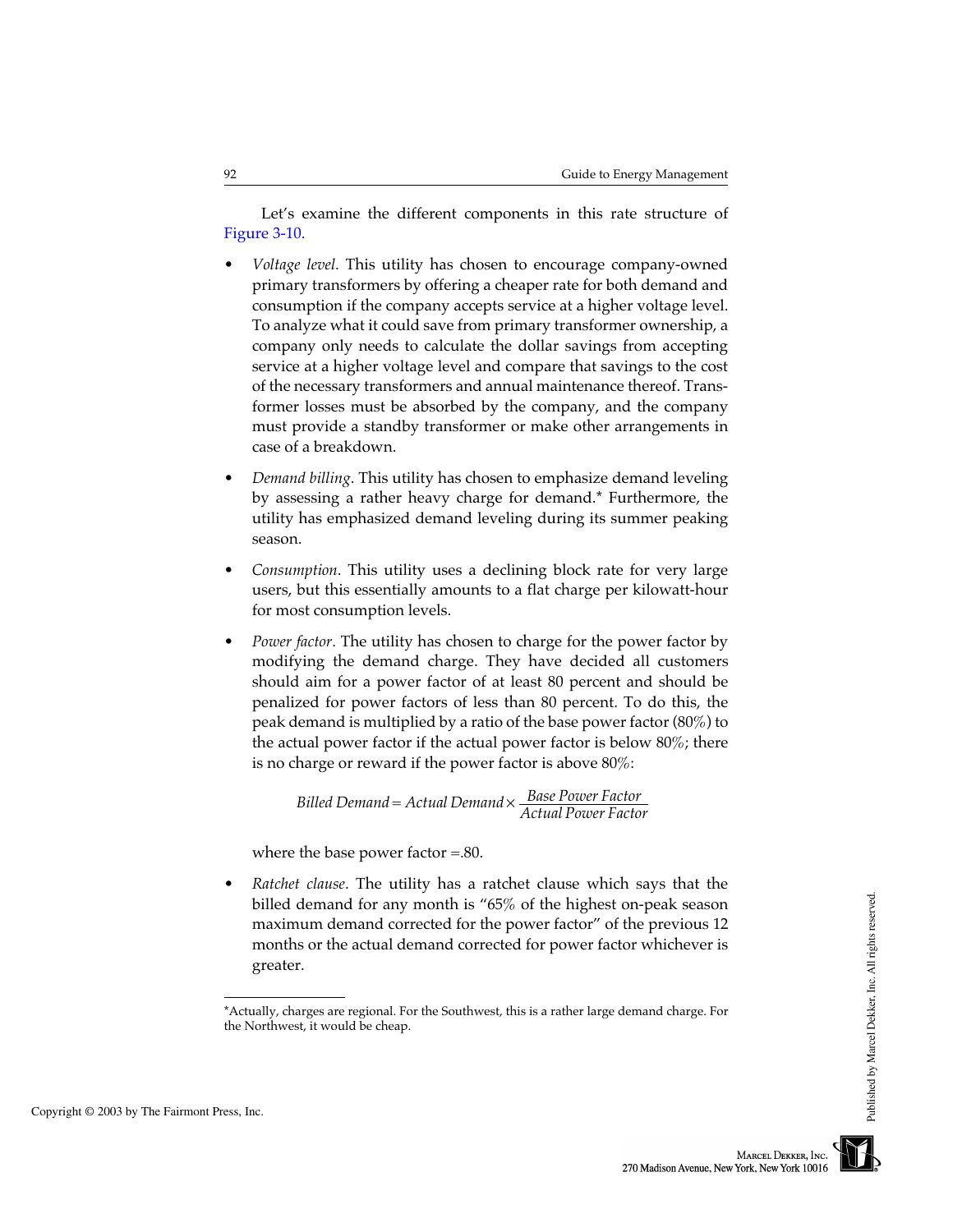Let's examine the different components in this rate structure of [Figure 3-10.](#page-18-0)

- *Voltage level*. This utility has chosen to encourage company-owned primary transformers by offering a cheaper rate for both demand and consumption if the company accepts service at a higher voltage level. To analyze what it could save from primary transformer ownership, a company only needs to calculate the dollar savings from accepting service at a higher voltage level and compare that savings to the cost of the necessary transformers and annual maintenance thereof. Transformer losses must be absorbed by the company, and the company must provide a standby transformer or make other arrangements in case of a breakdown.
- *Demand billing*. This utility has chosen to emphasize demand leveling by assessing a rather heavy charge for demand.\* Furthermore, the utility has emphasized demand leveling during its summer peaking season.
- *Consumption*. This utility uses a declining block rate for very large users, but this essentially amounts to a flat charge per kilowatt-hour for most consumption levels.
- *Power factor*. The utility has chosen to charge for the power factor by modifying the demand charge. They have decided all customers should aim for a power factor of at least 80 percent and should be penalized for power factors of less than 80 percent. To do this, the peak demand is multiplied by a ratio of the base power factor (80%) to the actual power factor if the actual power factor is below 80%; there is no charge or reward if the power factor is above 80%:

*Billed Demand*<sup>=</sup> *Actual Demand* <sup>×</sup> *Base Power Factor Actual Power Factor*

where the base power factor  $= 0.80$ .

• *Ratchet clause*. The utility has a ratchet clause which says that the billed demand for any month is "65% of the highest on-peak season maximum demand corrected for the power factor" of the previous 12 months or the actual demand corrected for power factor whichever is greater.

<sup>\*</sup>Actually, charges are regional. For the Southwest, this is a rather large demand charge. For the Northwest, it would be cheap.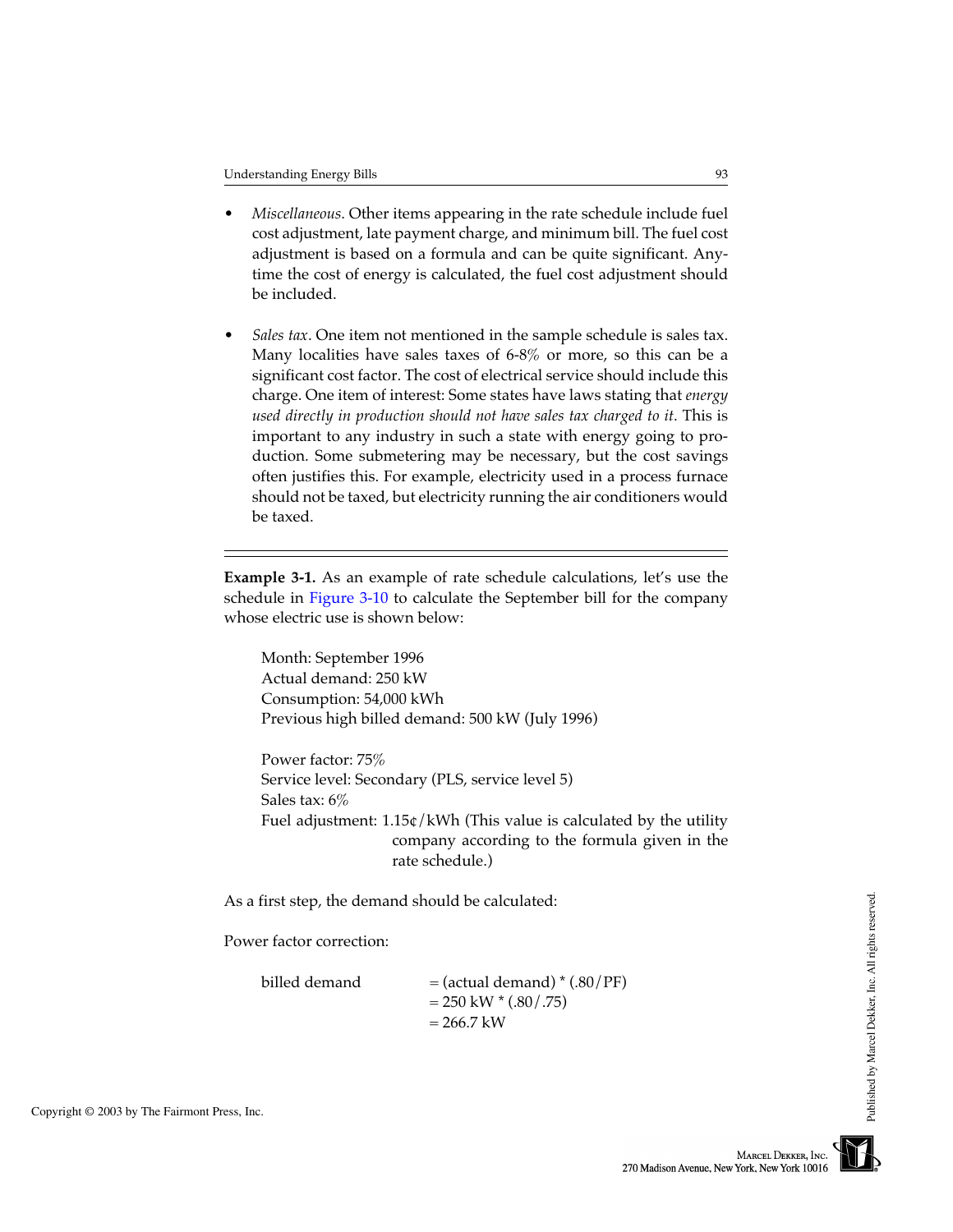- *Miscellaneous*. Other items appearing in the rate schedule include fuel cost adjustment, late payment charge, and minimum bill. The fuel cost adjustment is based on a formula and can be quite significant. Anytime the cost of energy is calculated, the fuel cost adjustment should be included.
- *Sales tax*. One item not mentioned in the sample schedule is sales tax. Many localities have sales taxes of 6-8% or more, so this can be a significant cost factor. The cost of electrical service should include this charge. One item of interest: Some states have laws stating that *energy used directly in production should not have sales tax charged to it*. This is important to any industry in such a state with energy going to production. Some submetering may be necessary, but the cost savings often justifies this. For example, electricity used in a process furnace should not be taxed, but electricity running the air conditioners would be taxed.

**Example 3-1.** As an example of rate schedule calculations, let's use the schedule i[n Figure 3-10](#page-18-0) to calculate the September bill for the company whose electric use is shown below:

Month: September 1996 Actual demand: 250 kW Consumption: 54,000 kWh Previous high billed demand: 500 kW (July 1996)

Power factor: 75% Service level: Secondary (PLS, service level 5) Sales tax: 6% Fuel adjustment: 1.15¢/kWh (This value is calculated by the utility company according to the formula given in the rate schedule.)

As a first step, the demand should be calculated:

Power factor correction:

| billed demand | $=$ (actual demand) $*(.80/PF)$ |
|---------------|---------------------------------|
|               | $= 250$ kW $*(.80/.75)$         |
|               | $= 266.7$ kW                    |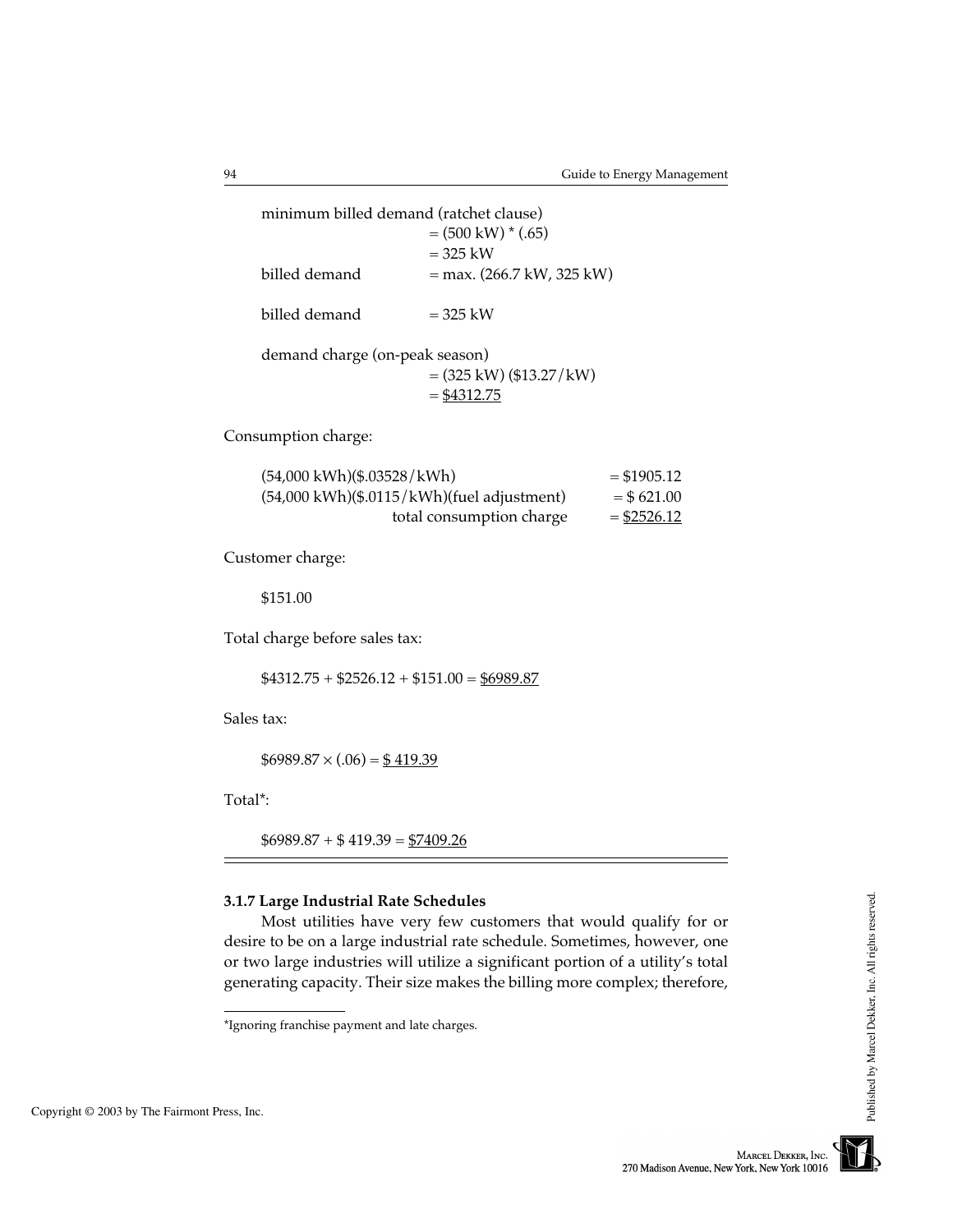minimum billed demand (ratchet clause)

|                                | $=$ (500 kW) $*(.65)$<br>$=$ 325 kW |
|--------------------------------|-------------------------------------|
| billed demand                  | $=$ max. (266.7 kW, 325 kW)         |
| billed demand                  | $=$ 325 kW                          |
| demand charge (on-peak season) |                                     |

 $=$  (325 kW) (\$13.27/kW)  $=$  \$4312.75

Consumption charge:

| $(54,000 \text{ kWh})$ $($.03528/\text{kWh})$ | $=$ \$1905.12 |
|-----------------------------------------------|---------------|
| (54,000 kWh)(\$.0115/kWh)(fuel adjustment)    | $=$ \$621.00  |
| total consumption charge                      | $=$ \$2526.12 |

Customer charge:

\$151.00

Total charge before sales tax:

 $$4312.75 + $2526.12 + $151.00 = $6989.87$ 

Sales tax:

 $$6989.87 \times (.06) = $419.39$ 

Total\*:

 $$6989.87 + $419.39 = $7409.26$ 

## **3.1.7 Large Industrial Rate Schedules**

Most utilities have very few customers that would qualify for or desire to be on a large industrial rate schedule. Sometimes, however, one or two large industries will utilize a significant portion of a utility's total generating capacity. Their size makes the billing more complex; therefore,

<sup>\*</sup>Ignoring franchise payment and late charges.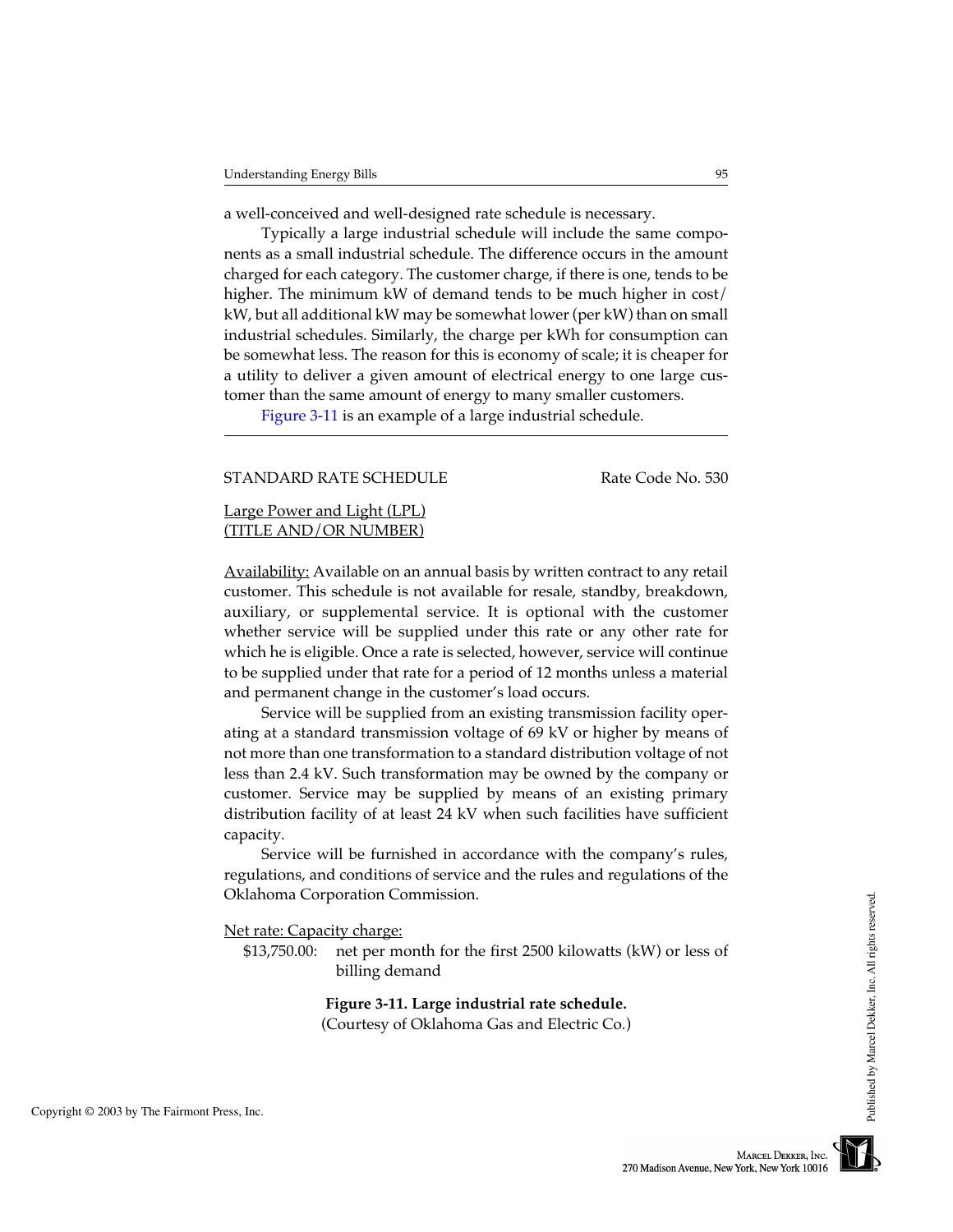a well-conceived and well-designed rate schedule is necessary.

Typically a large industrial schedule will include the same components as a small industrial schedule. The difference occurs in the amount charged for each category. The customer charge, if there is one, tends to be higher. The minimum kW of demand tends to be much higher in cost/ kW, but all additional kW may be somewhat lower (per kW) than on small industrial schedules. Similarly, the charge per kWh for consumption can be somewhat less. The reason for this is economy of scale; it is cheaper for a utility to deliver a given amount of electrical energy to one large customer than the same amount of energy to many smaller customers.

Figure 3-11 is an example of a large industrial schedule.

## STANDARD RATE SCHEDULE Rate Code No. 530

## Large Power and Light (LPL) (TITLE AND/OR NUMBER)

Availability: Available on an annual basis by written contract to any retail customer. This schedule is not available for resale, standby, breakdown, auxiliary, or supplemental service. It is optional with the customer whether service will be supplied under this rate or any other rate for which he is eligible. Once a rate is selected, however, service will continue to be supplied under that rate for a period of 12 months unless a material and permanent change in the customer's load occurs.

Service will be supplied from an existing transmission facility operating at a standard transmission voltage of 69 kV or higher by means of not more than one transformation to a standard distribution voltage of not less than 2.4 kV. Such transformation may be owned by the company or customer. Service may be supplied by means of an existing primary distribution facility of at least 24 kV when such facilities have sufficient capacity.

Service will be furnished in accordance with the company's rules, regulations, and conditions of service and the rules and regulations of the Oklahoma Corporation Commission.

Net rate: Capacity charge:

\$13,750.00: net per month for the first 2500 kilowatts (kW) or less of billing demand

## **Figure 3-11. Large industrial rate schedule.**

(Courtesy of Oklahoma Gas and Electric Co.)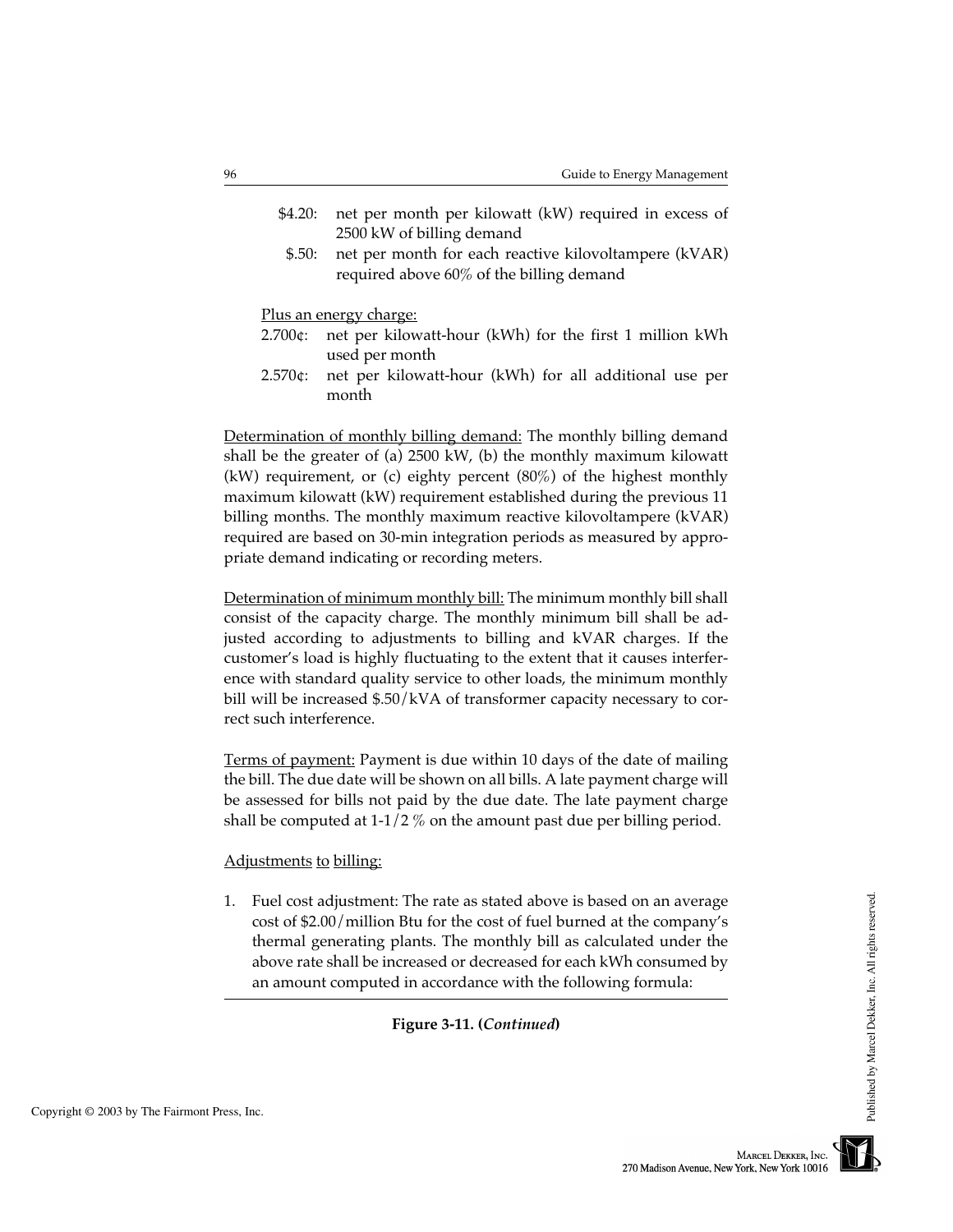- \$4.20: net per month per kilowatt (kW) required in excess of 2500 kW of billing demand
- \$.50: net per month for each reactive kilovoltampere (kVAR) required above 60% of the billing demand

## Plus an energy charge:

- 2.700¢: net per kilowatt-hour (kWh) for the first 1 million kWh used per month
- 2.570¢: net per kilowatt-hour (kWh) for all additional use per month

Determination of monthly billing demand: The monthly billing demand shall be the greater of (a) 2500 kW, (b) the monthly maximum kilowatt (kW) requirement, or (c) eighty percent (80%) of the highest monthly maximum kilowatt (kW) requirement established during the previous 11 billing months. The monthly maximum reactive kilovoltampere (kVAR) required are based on 30-min integration periods as measured by appropriate demand indicating or recording meters.

Determination of minimum monthly bill: The minimum monthly bill shall consist of the capacity charge. The monthly minimum bill shall be adjusted according to adjustments to billing and kVAR charges. If the customer's load is highly fluctuating to the extent that it causes interference with standard quality service to other loads, the minimum monthly bill will be increased \$.50/kVA of transformer capacity necessary to correct such interference.

Terms of payment: Payment is due within 10 days of the date of mailing the bill. The due date will be shown on all bills. A late payment charge will be assessed for bills not paid by the due date. The late payment charge shall be computed at 1-1/2 % on the amount past due per billing period.

## Adjustments to billing:

1. Fuel cost adjustment: The rate as stated above is based on an average cost of \$2.00/million Btu for the cost of fuel burned at the company's thermal generating plants. The monthly bill as calculated under the above rate shall be increased or decreased for each kWh consumed by an amount computed in accordance with the following formula:

## **Figure 3-11. (***Continued***)**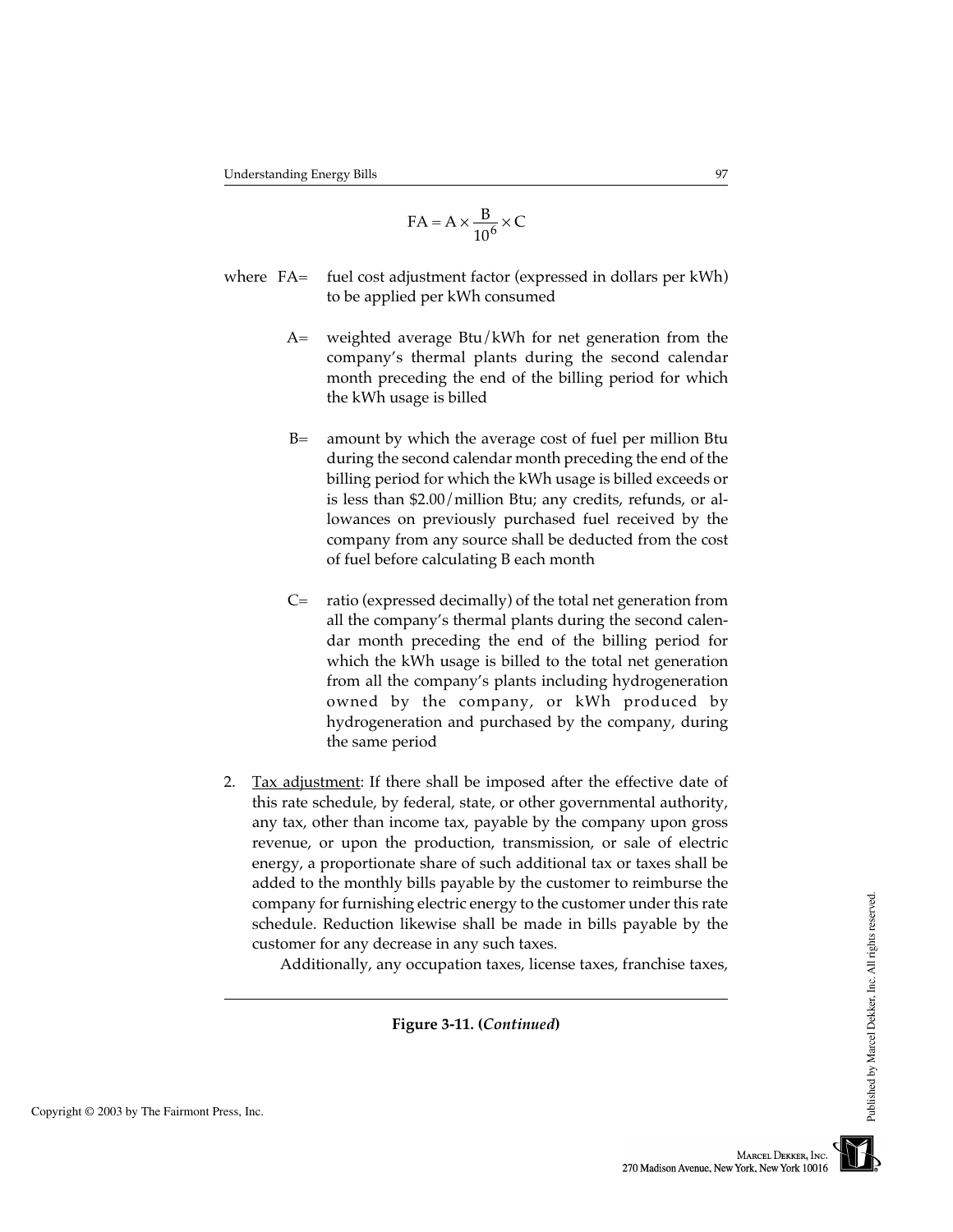$$
FA = A \times \frac{B}{10^6} \times C
$$

- where FA= fuel cost adjustment factor (expressed in dollars per kWh) to be applied per kWh consumed
	- A= weighted average Btu/kWh for net generation from the company's thermal plants during the second calendar month preceding the end of the billing period for which the kWh usage is billed
	- B= amount by which the average cost of fuel per million Btu during the second calendar month preceding the end of the billing period for which the kWh usage is billed exceeds or is less than \$2.00/million Btu; any credits, refunds, or allowances on previously purchased fuel received by the company from any source shall be deducted from the cost of fuel before calculating B each month
	- C= ratio (expressed decimally) of the total net generation from all the company's thermal plants during the second calendar month preceding the end of the billing period for which the kWh usage is billed to the total net generation from all the company's plants including hydrogeneration owned by the company, or kWh produced by hydrogeneration and purchased by the company, during the same period
- 2. Tax adjustment: If there shall be imposed after the effective date of this rate schedule, by federal, state, or other governmental authority, any tax, other than income tax, payable by the company upon gross revenue, or upon the production, transmission, or sale of electric energy, a proportionate share of such additional tax or taxes shall be added to the monthly bills payable by the customer to reimburse the company for furnishing electric energy to the customer under this rate schedule. Reduction likewise shall be made in bills payable by the customer for any decrease in any such taxes.

Additionally, any occupation taxes, license taxes, franchise taxes,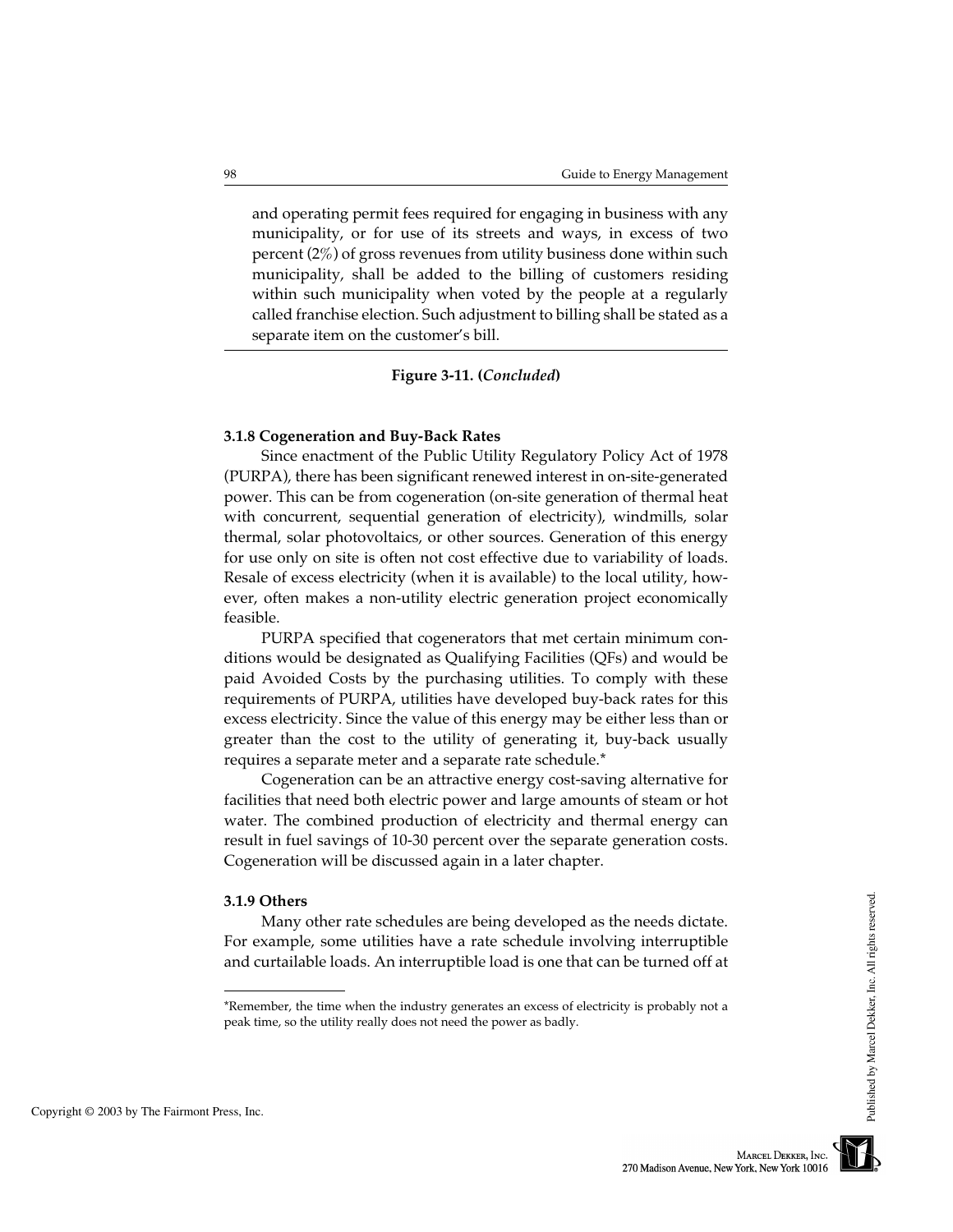and operating permit fees required for engaging in business with any municipality, or for use of its streets and ways, in excess of two percent (2%) of gross revenues from utility business done within such municipality, shall be added to the billing of customers residing within such municipality when voted by the people at a regularly called franchise election. Such adjustment to billing shall be stated as a separate item on the customer's bill.

## **Figure 3-11. (***Concluded***)**

#### **3.1.8 Cogeneration and Buy-Back Rates**

Since enactment of the Public Utility Regulatory Policy Act of 1978 (PURPA), there has been significant renewed interest in on-site-generated power. This can be from cogeneration (on-site generation of thermal heat with concurrent, sequential generation of electricity), windmills, solar thermal, solar photovoltaics, or other sources. Generation of this energy for use only on site is often not cost effective due to variability of loads. Resale of excess electricity (when it is available) to the local utility, however, often makes a non-utility electric generation project economically feasible.

PURPA specified that cogenerators that met certain minimum conditions would be designated as Qualifying Facilities (QFs) and would be paid Avoided Costs by the purchasing utilities. To comply with these requirements of PURPA, utilities have developed buy-back rates for this excess electricity. Since the value of this energy may be either less than or greater than the cost to the utility of generating it, buy-back usually requires a separate meter and a separate rate schedule.\*

Cogeneration can be an attractive energy cost-saving alternative for facilities that need both electric power and large amounts of steam or hot water. The combined production of electricity and thermal energy can result in fuel savings of 10-30 percent over the separate generation costs. Cogeneration will be discussed again in a later chapter.

#### **3.1.9 Others**

Many other rate schedules are being developed as the needs dictate. For example, some utilities have a rate schedule involving interruptible and curtailable loads. An interruptible load is one that can be turned off at

<sup>\*</sup>Remember, the time when the industry generates an excess of electricity is probably not a peak time, so the utility really does not need the power as badly.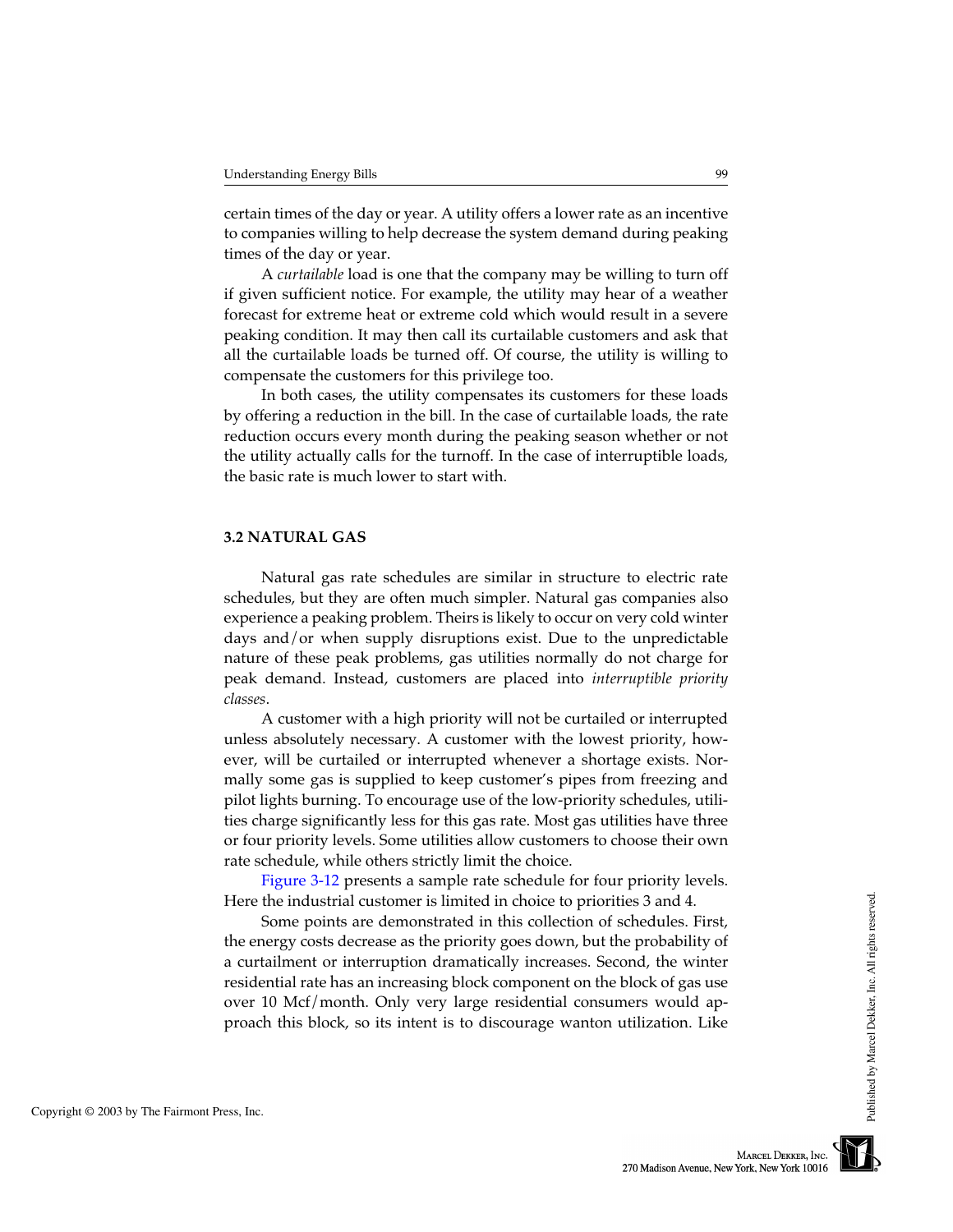certain times of the day or year. A utility offers a lower rate as an incentive to companies willing to help decrease the system demand during peaking times of the day or year.

A *curtailable* load is one that the company may be willing to turn off if given sufficient notice. For example, the utility may hear of a weather forecast for extreme heat or extreme cold which would result in a severe peaking condition. It may then call its curtailable customers and ask that all the curtailable loads be turned off. Of course, the utility is willing to compensate the customers for this privilege too.

In both cases, the utility compensates its customers for these loads by offering a reduction in the bill. In the case of curtailable loads, the rate reduction occurs every month during the peaking season whether or not the utility actually calls for the turnoff. In the case of interruptible loads, the basic rate is much lower to start with.

## **3.2 NATURAL GAS**

Natural gas rate schedules are similar in structure to electric rate schedules, but they are often much simpler. Natural gas companies also experience a peaking problem. Theirs is likely to occur on very cold winter days and/or when supply disruptions exist. Due to the unpredictable nature of these peak problems, gas utilities normally do not charge for peak demand. Instead, customers are placed into *interruptible priority classes*.

A customer with a high priority will not be curtailed or interrupted unless absolutely necessary. A customer with the lowest priority, however, will be curtailed or interrupted whenever a shortage exists. Normally some gas is supplied to keep customer's pipes from freezing and pilot lights burning. To encourage use of the low-priority schedules, utilities charge significantly less for this gas rate. Most gas utilities have three or four priority levels. Some utilities allow customers to choose their own rate schedule, while others strictly limit the choice.

[Figure 3-12](#page-31-0) presents a sample rate schedule for four priority levels. Here the industrial customer is limited in choice to priorities 3 and 4.

Some points are demonstrated in this collection of schedules. First, the energy costs decrease as the priority goes down, but the probability of a curtailment or interruption dramatically increases. Second, the winter residential rate has an increasing block component on the block of gas use over 10 Mcf/month. Only very large residential consumers would approach this block, so its intent is to discourage wanton utilization. Like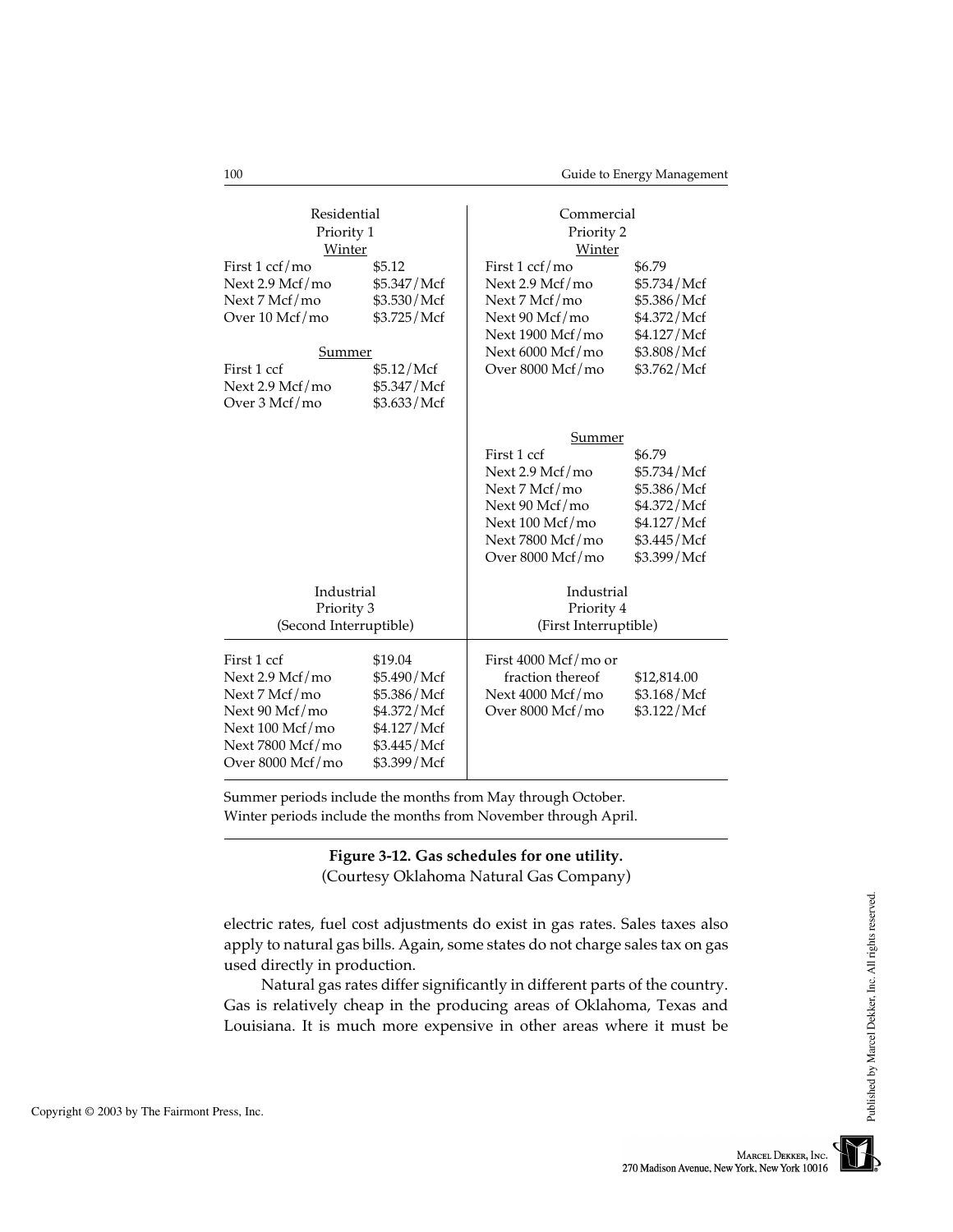<span id="page-31-0"></span>

| Residential<br>Priority 1<br>Winter |             | Commercial<br>Priority 2<br>Winter |             |  |
|-------------------------------------|-------------|------------------------------------|-------------|--|
|                                     |             |                                    |             |  |
| First $1 \text{ ccf/mo}$            | \$5.12      | First $1 \text{ ccf/mo}$           | \$6.79      |  |
| Next 2.9 Mcf/mo                     | \$5.347/Mcf | Next 2.9 Mcf/mo                    | \$5.734/Mcf |  |
| Next 7 Mcf/mo                       | \$3.530/Mcf | Next 7 Mcf/mo                      | \$5.386/Mcf |  |
| Over 10 Mcf/mo                      | \$3.725/Mcf | Next 90 Mcf/mo                     | \$4.372/Mcf |  |
|                                     |             | Next 1900 Mcf/mo                   | \$4.127/Mcf |  |
| Summer                              |             | Next 6000 Mcf/mo                   | \$3.808/Mcf |  |
| First 1 ccf                         | \$5.12/Mcf  | Over 8000 Mcf/mo                   | \$3.762/Mcf |  |
| Next 2.9 Mcf/mo                     | \$5.347/Mcf |                                    |             |  |
| Over 3 Mcf/mo                       | \$3.633/Mcf |                                    |             |  |
|                                     |             | Summer                             |             |  |
|                                     |             | First 1 ccf                        | \$6.79      |  |
|                                     |             | Next 2.9 Mcf/mo                    | \$5.734/Mcf |  |
|                                     |             | Next 7 Mcf/mo                      | \$5.386/Mcf |  |
|                                     |             | Next 90 Mcf/mo                     | \$4.372/Mcf |  |
|                                     |             | Next 100 Mcf/mo                    | \$4.127/Mcf |  |
|                                     |             | Next 7800 Mcf/mo                   | \$3.445/Mcf |  |
|                                     |             | Over 8000 Mcf/mo                   | \$3.399/Mcf |  |
|                                     |             |                                    |             |  |
| Industrial                          |             | Industrial                         |             |  |
| Priority 3                          |             | Priority 4                         |             |  |
| (Second Interruptible)              |             | (First Interruptible)              |             |  |
| First 1 ccf                         | \$19.04     | First 4000 Mcf/mo or               |             |  |
| Next 2.9 Mcf/mo                     | \$5.490/Mcf | fraction thereof                   | \$12,814.00 |  |
| Next 7 Mcf/mo                       | \$5.386/Mcf | Next 4000 Mcf/mo                   | \$3.168/Mcf |  |
| Next 90 Mcf/mo                      | \$4.372/Mcf | Over 8000 Mcf/mo                   | \$3.122/Mcf |  |
| Next 100 Mcf/mo                     | \$4.127/Mcf |                                    |             |  |
| Next 7800 Mcf/mo                    | \$3.445/Mcf |                                    |             |  |
| Over 8000 Mcf/mo                    | \$3.399/Mcf |                                    |             |  |
|                                     |             |                                    |             |  |

Summer periods include the months from May through October. Winter periods include the months from November through April.

## **Figure 3-12. Gas schedules for one utility.**

(Courtesy Oklahoma Natural Gas Company)

electric rates, fuel cost adjustments do exist in gas rates. Sales taxes also apply to natural gas bills. Again, some states do not charge sales tax on gas used directly in production.

Natural gas rates differ significantly in different parts of the country. Gas is relatively cheap in the producing areas of Oklahoma, Texas and Louisiana. It is much more expensive in other areas where it must be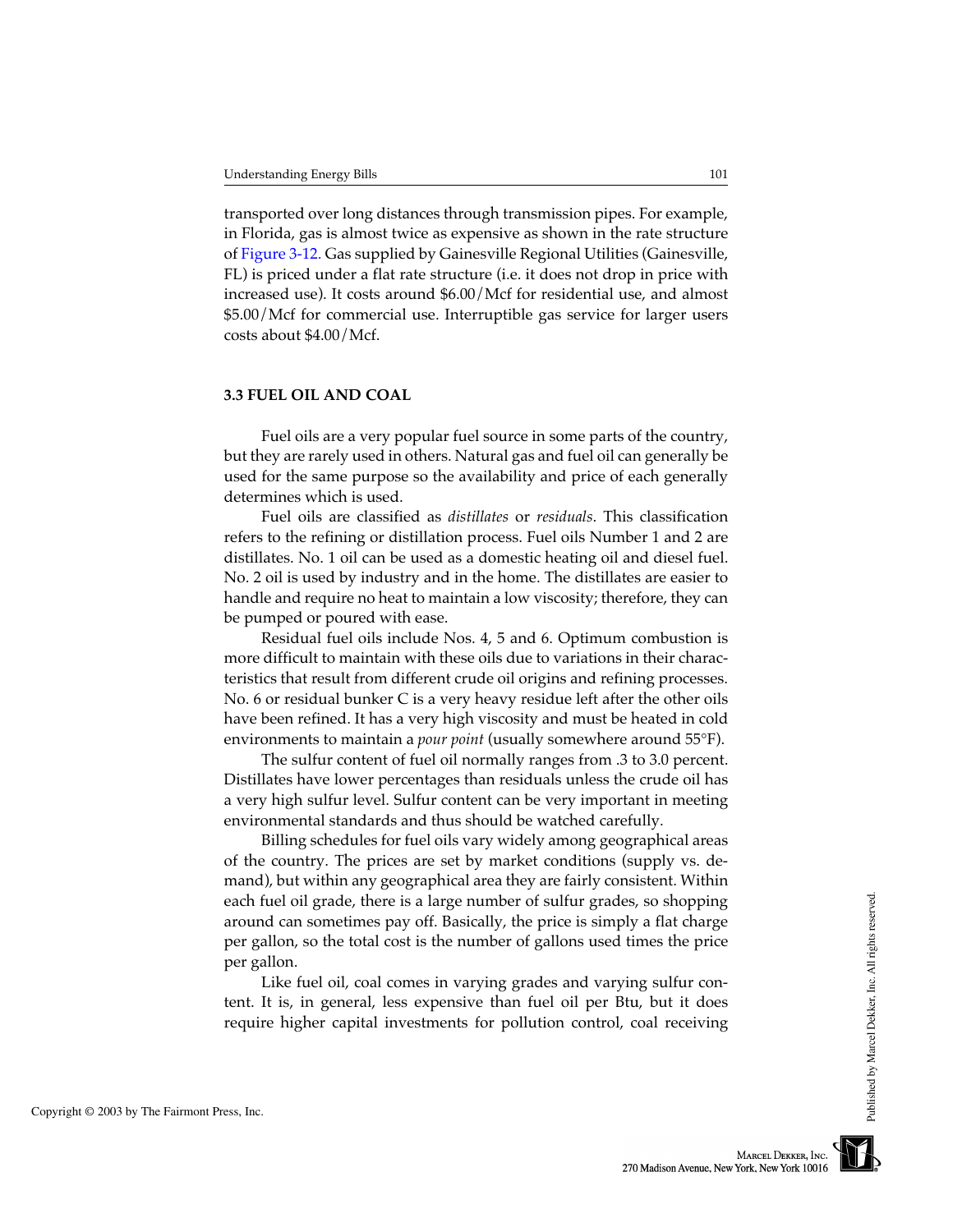transported over long distances through transmission pipes. For example, in Florida, gas is almost twice as expensive as shown in the rate structure of [Figure 3-12.](#page-31-0) Gas supplied by Gainesville Regional Utilities (Gainesville, FL) is priced under a flat rate structure (i.e. it does not drop in price with increased use). It costs around \$6.00/Mcf for residential use, and almost \$5.00/Mcf for commercial use. Interruptible gas service for larger users costs about \$4.00/Mcf.

## **3.3 FUEL OIL AND COAL**

Fuel oils are a very popular fuel source in some parts of the country, but they are rarely used in others. Natural gas and fuel oil can generally be used for the same purpose so the availability and price of each generally determines which is used.

Fuel oils are classified as *distillates* or *residuals*. This classification refers to the refining or distillation process. Fuel oils Number 1 and 2 are distillates. No. 1 oil can be used as a domestic heating oil and diesel fuel. No. 2 oil is used by industry and in the home. The distillates are easier to handle and require no heat to maintain a low viscosity; therefore, they can be pumped or poured with ease.

Residual fuel oils include Nos. 4, 5 and 6. Optimum combustion is more difficult to maintain with these oils due to variations in their characteristics that result from different crude oil origins and refining processes. No. 6 or residual bunker C is a very heavy residue left after the other oils have been refined. It has a very high viscosity and must be heated in cold environments to maintain a *pour point* (usually somewhere around 55°F).

The sulfur content of fuel oil normally ranges from .3 to 3.0 percent. Distillates have lower percentages than residuals unless the crude oil has a very high sulfur level. Sulfur content can be very important in meeting environmental standards and thus should be watched carefully.

Billing schedules for fuel oils vary widely among geographical areas of the country. The prices are set by market conditions (supply vs. demand), but within any geographical area they are fairly consistent. Within each fuel oil grade, there is a large number of sulfur grades, so shopping around can sometimes pay off. Basically, the price is simply a flat charge per gallon, so the total cost is the number of gallons used times the price per gallon.

Like fuel oil, coal comes in varying grades and varying sulfur content. It is, in general, less expensive than fuel oil per Btu, but it does require higher capital investments for pollution control, coal receiving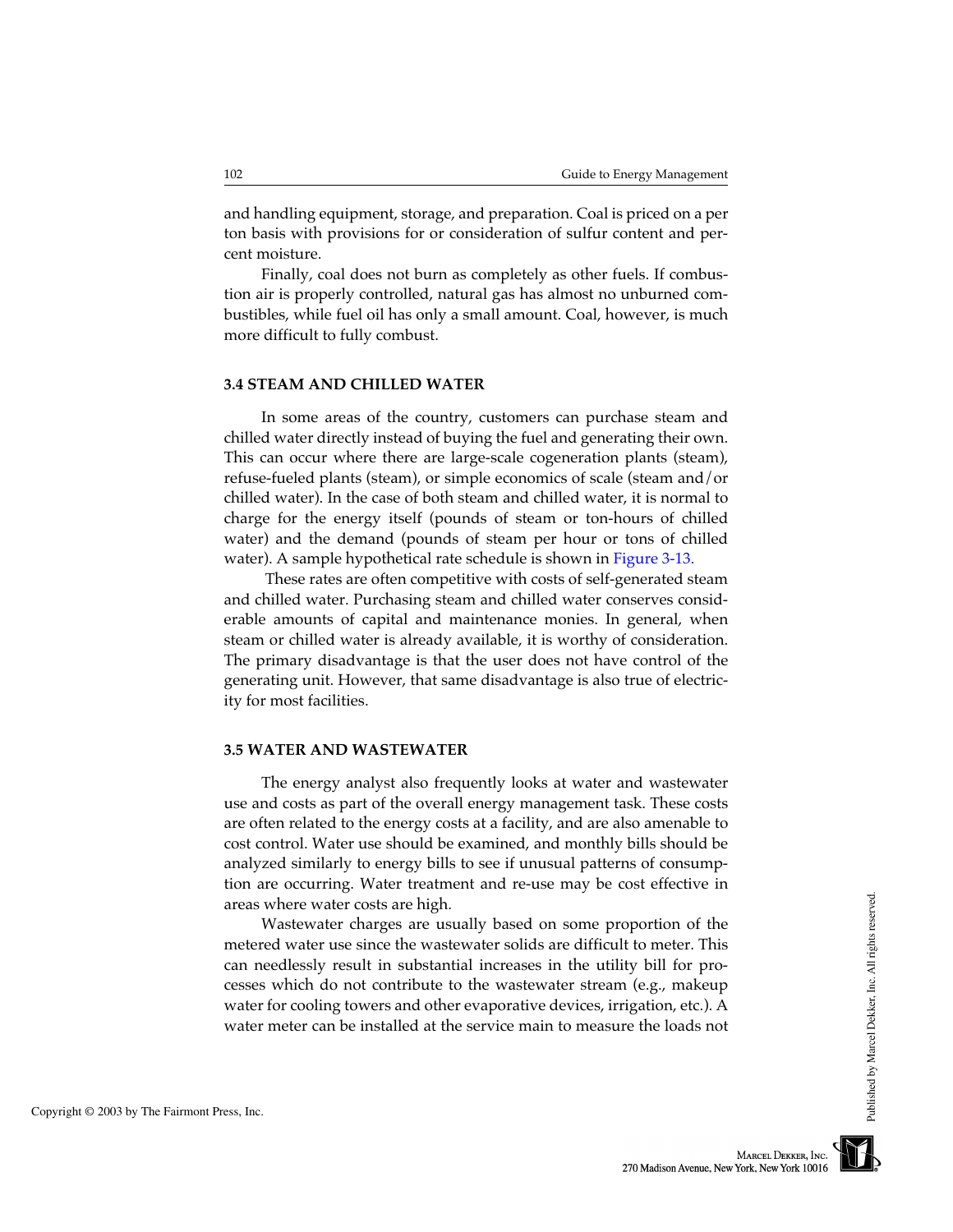and handling equipment, storage, and preparation. Coal is priced on a per ton basis with provisions for or consideration of sulfur content and percent moisture.

Finally, coal does not burn as completely as other fuels. If combustion air is properly controlled, natural gas has almost no unburned combustibles, while fuel oil has only a small amount. Coal, however, is much more difficult to fully combust.

## **3.4 STEAM AND CHILLED WATER**

In some areas of the country, customers can purchase steam and chilled water directly instead of buying the fuel and generating their own. This can occur where there are large-scale cogeneration plants (steam), refuse-fueled plants (steam), or simple economics of scale (steam and/or chilled water). In the case of both steam and chilled water, it is normal to charge for the energy itself (pounds of steam or ton-hours of chilled water) and the demand (pounds of steam per hour or tons of chilled water). A sample hypothetical rate schedule is shown i[n Figure 3-13.](#page-34-0)

 These rates are often competitive with costs of self-generated steam and chilled water. Purchasing steam and chilled water conserves considerable amounts of capital and maintenance monies. In general, when steam or chilled water is already available, it is worthy of consideration. The primary disadvantage is that the user does not have control of the generating unit. However, that same disadvantage is also true of electricity for most facilities.

#### **3.5 WATER AND WASTEWATER**

The energy analyst also frequently looks at water and wastewater use and costs as part of the overall energy management task. These costs are often related to the energy costs at a facility, and are also amenable to cost control. Water use should be examined, and monthly bills should be analyzed similarly to energy bills to see if unusual patterns of consumption are occurring. Water treatment and re-use may be cost effective in areas where water costs are high.

Wastewater charges are usually based on some proportion of the metered water use since the wastewater solids are difficult to meter. This can needlessly result in substantial increases in the utility bill for processes which do not contribute to the wastewater stream (e.g., makeup water for cooling towers and other evaporative devices, irrigation, etc.). A water meter can be installed at the service main to measure the loads not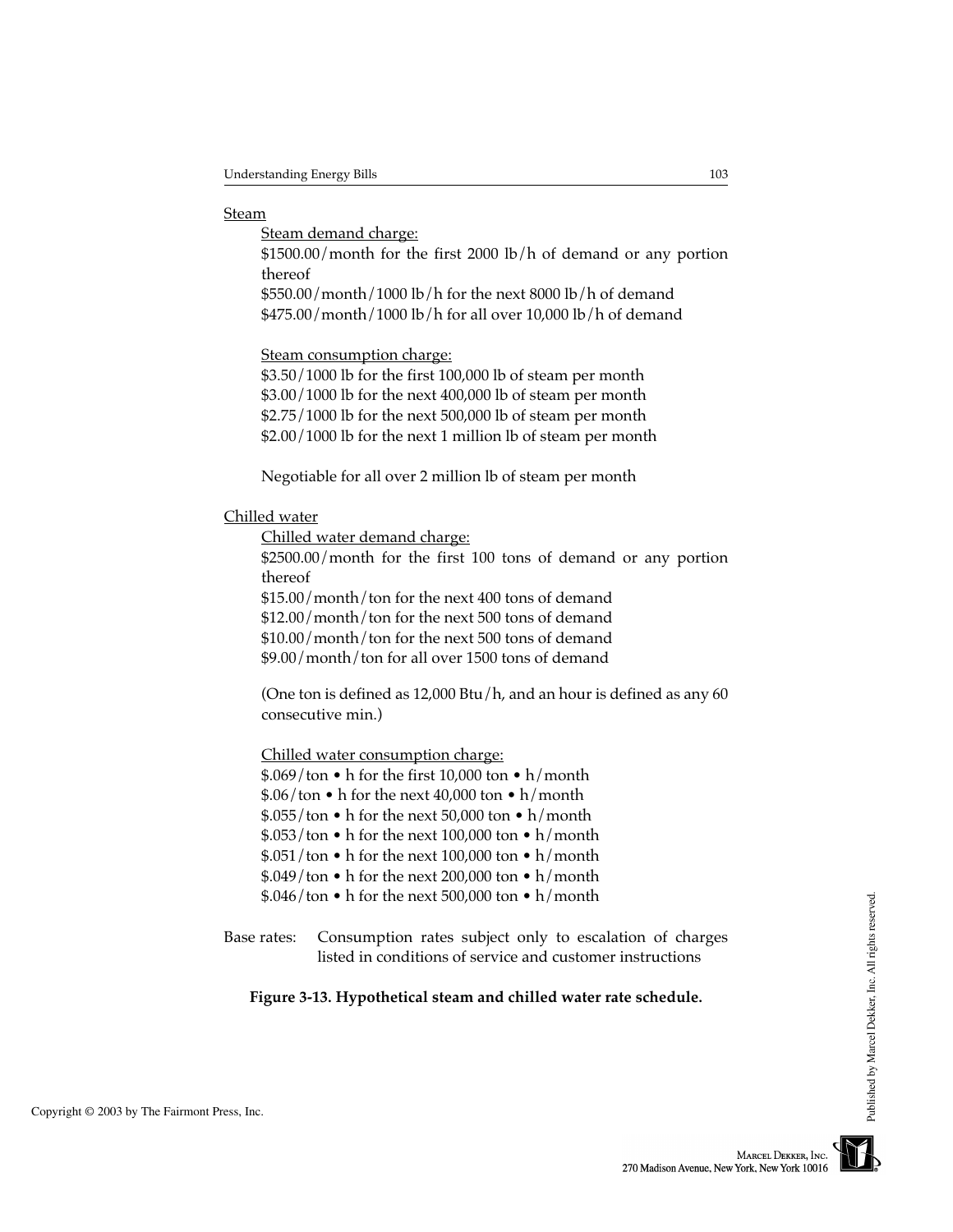## <span id="page-34-0"></span>Steam

Steam demand charge:

\$1500.00/month for the first 2000 lb/h of demand or any portion thereof

\$550.00/month/1000 lb/h for the next 8000 lb/h of demand \$475.00/month/1000 lb/h for all over 10,000 lb/h of demand

Steam consumption charge:

\$3.50/1000 lb for the first 100,000 lb of steam per month \$3.00/1000 lb for the next 400,000 lb of steam per month \$2.75/1000 lb for the next 500,000 lb of steam per month \$2.00/1000 lb for the next 1 million lb of steam per month

Negotiable for all over 2 million lb of steam per month

Chilled water

Chilled water demand charge:

\$2500.00/month for the first 100 tons of demand or any portion thereof

\$15.00/month/ton for the next 400 tons of demand

\$12.00/month/ton for the next 500 tons of demand

\$10.00/month/ton for the next 500 tons of demand

\$9.00/month/ton for all over 1500 tons of demand

(One ton is defined as 12,000 Btu/h, and an hour is defined as any 60 consecutive min.)

Chilled water consumption charge:

- $$.069/t$  on  $\bullet$  h for the first 10,000 ton  $\bullet$  h/month
- $$.06/t$  h for the next 40,000 ton h/month
- \$.055/ton h for the next 50,000 ton h/month
- \$.053/ton h for the next 100,000 ton h/month
- $$.051/ton \bullet h$  for the next 100,000 ton  $\bullet h/m$ onth
- \$.049/ton h for the next 200,000 ton h/month
- $$.046/t$ on h for the next 500,000 ton h/month
- Base rates: Consumption rates subject only to escalation of charges listed in conditions of service and customer instructions

## **Figure 3-13. Hypothetical steam and chilled water rate schedule.**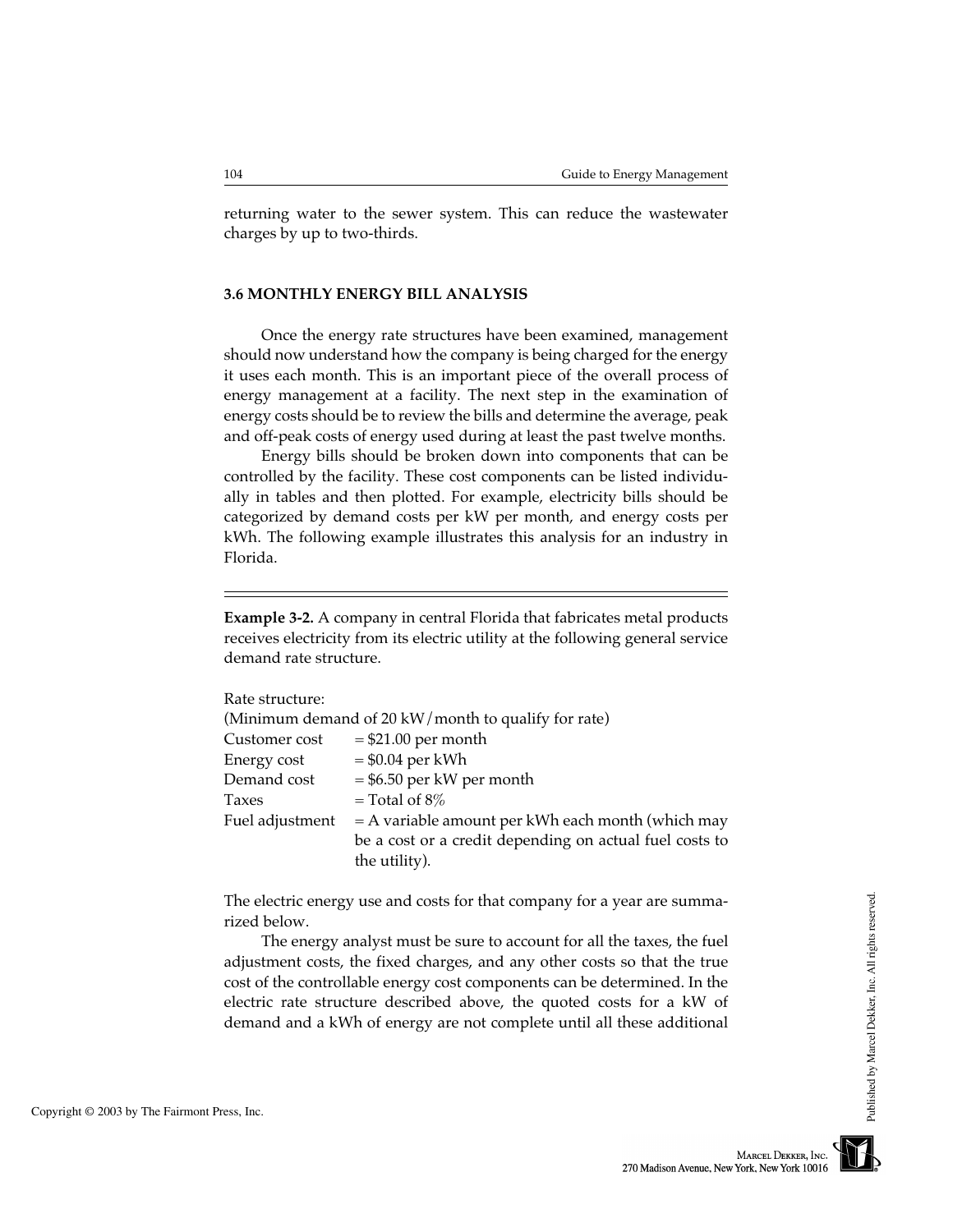returning water to the sewer system. This can reduce the wastewater charges by up to two-thirds.

#### **3.6 MONTHLY ENERGY BILL ANALYSIS**

Once the energy rate structures have been examined, management should now understand how the company is being charged for the energy it uses each month. This is an important piece of the overall process of energy management at a facility. The next step in the examination of energy costs should be to review the bills and determine the average, peak and off-peak costs of energy used during at least the past twelve months.

Energy bills should be broken down into components that can be controlled by the facility. These cost components can be listed individually in tables and then plotted. For example, electricity bills should be categorized by demand costs per kW per month, and energy costs per kWh. The following example illustrates this analysis for an industry in Florida.

**Example 3-2.** A company in central Florida that fabricates metal products receives electricity from its electric utility at the following general service demand rate structure.

| Rate structure: |                                                         |
|-----------------|---------------------------------------------------------|
|                 | (Minimum demand of 20 kW/month to qualify for rate)     |
| Customer cost   | $= $21.00$ per month                                    |
| Energy cost     | $= $0.04$ per kWh                                       |
| Demand cost     | $= $6.50$ per kW per month                              |
| Taxes           | $=$ Total of $8\%$                                      |
| Fuel adjustment | $=$ A variable amount per kWh each month (which may     |
|                 | be a cost or a credit depending on actual fuel costs to |
|                 | the utility).                                           |

The electric energy use and costs for that company for a year are summarized below.

The energy analyst must be sure to account for all the taxes, the fuel adjustment costs, the fixed charges, and any other costs so that the true cost of the controllable energy cost components can be determined. In the electric rate structure described above, the quoted costs for a kW of demand and a kWh of energy are not complete until all these additional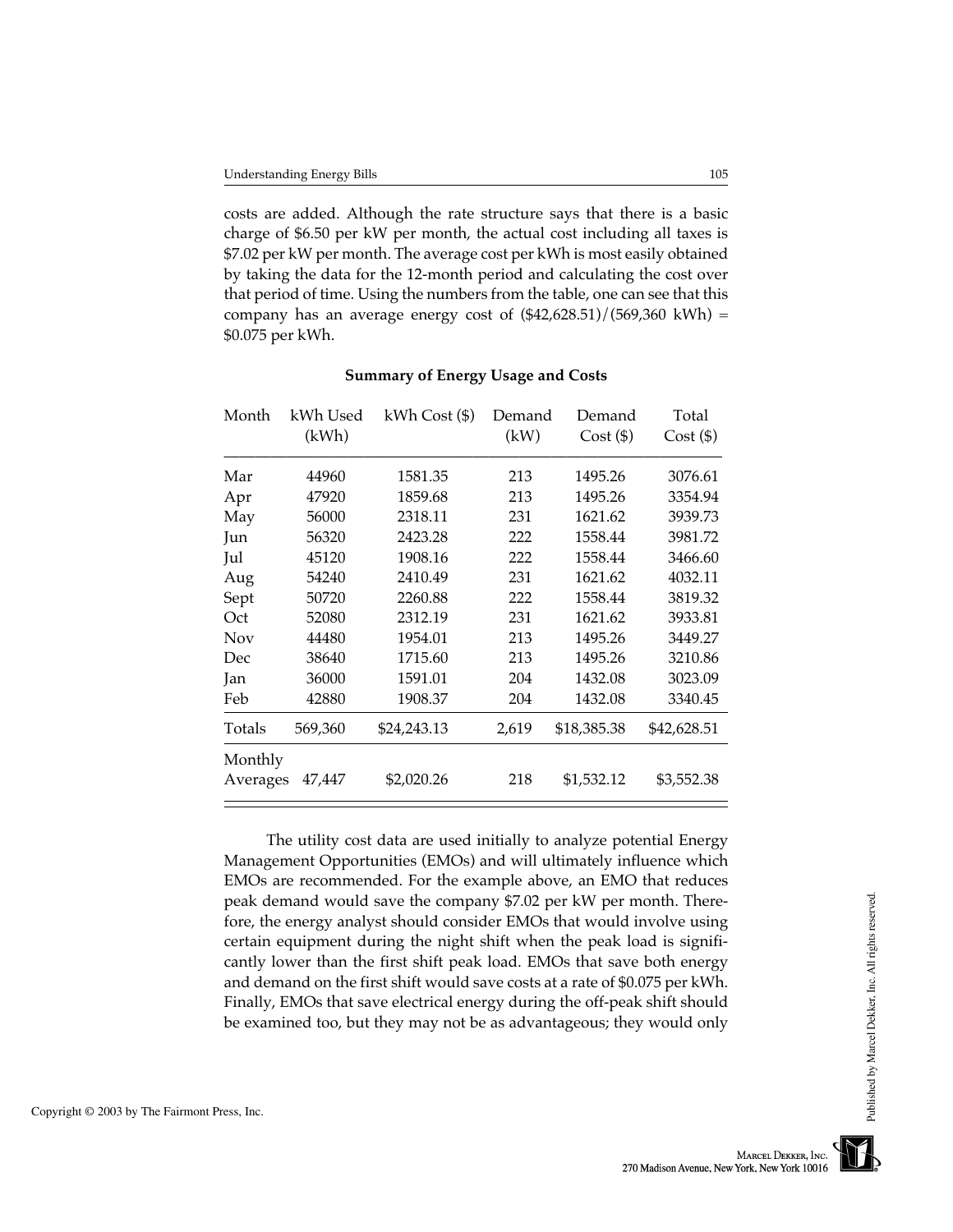costs are added. Although the rate structure says that there is a basic charge of \$6.50 per kW per month, the actual cost including all taxes is \$7.02 per kW per month. The average cost per kWh is most easily obtained by taking the data for the 12-month period and calculating the cost over that period of time. Using the numbers from the table, one can see that this company has an average energy cost of  $(\text{$42,628.51} )$ /(569,360 kWh) = \$0.075 per kWh.

| Month               | kWh Used<br>(kWh) | $kWh Cost$ (\$) | Demand<br>(kW) | Demand<br>Cost (\$) | Total<br>Cost ( \$ ) |
|---------------------|-------------------|-----------------|----------------|---------------------|----------------------|
| Mar                 | 44960             | 1581.35         | 213            | 1495.26             | 3076.61              |
| Apr                 | 47920             | 1859.68         | 213            | 1495.26             | 3354.94              |
| May                 | 56000             | 2318.11         | 231            | 1621.62             | 3939.73              |
| Jun                 | 56320             | 2423.28         | 222            | 1558.44             | 3981.72              |
| Jul                 | 45120             | 1908.16         | 222            | 1558.44             | 3466.60              |
| Aug                 | 54240             | 2410.49         | 231            | 1621.62             | 4032.11              |
| Sept                | 50720             | 2260.88         | 222            | 1558.44             | 3819.32              |
| Oct                 | 52080             | 2312.19         | 231            | 1621.62             | 3933.81              |
| <b>Nov</b>          | 44480             | 1954.01         | 213            | 1495.26             | 3449.27              |
| Dec                 | 38640             | 1715.60         | 213            | 1495.26             | 3210.86              |
| Jan                 | 36000             | 1591.01         | 204            | 1432.08             | 3023.09              |
| Feb                 | 42880             | 1908.37         | 204            | 1432.08             | 3340.45              |
| Totals              | 569,360           | \$24,243.13     | 2,619          | \$18,385.38         | \$42,628.51          |
| Monthly<br>Averages | 47,447            | \$2,020.26      | 218            | \$1,532.12          | \$3,552.38           |

## **Summary of Energy Usage and Costs**

 The utility cost data are used initially to analyze potential Energy Management Opportunities (EMOs) and will ultimately influence which EMOs are recommended. For the example above, an EMO that reduces peak demand would save the company \$7.02 per kW per month. Therefore, the energy analyst should consider EMOs that would involve using certain equipment during the night shift when the peak load is significantly lower than the first shift peak load. EMOs that save both energy and demand on the first shift would save costs at a rate of \$0.075 per kWh. Finally, EMOs that save electrical energy during the off-peak shift should be examined too, but they may not be as advantageous; they would only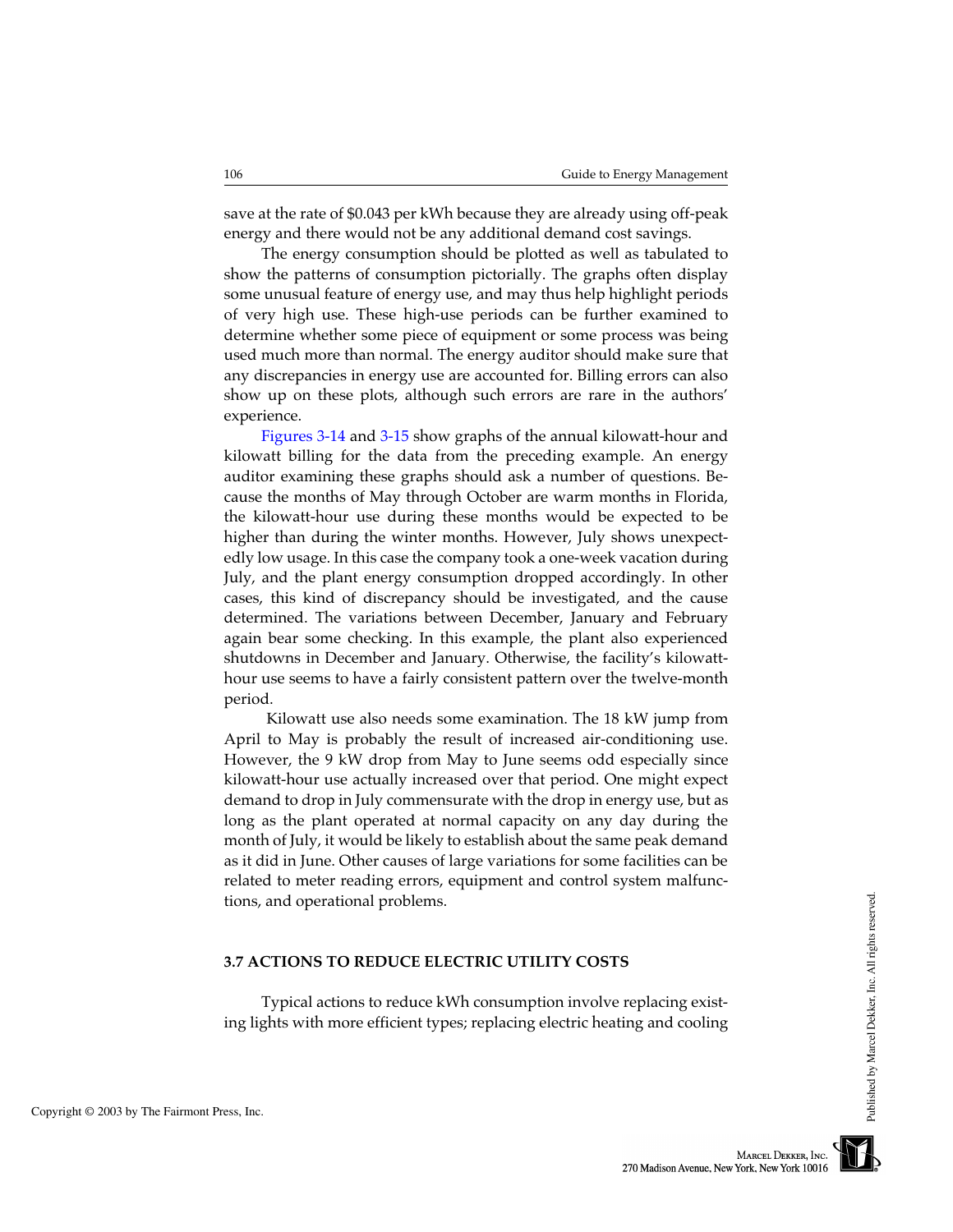save at the rate of \$0.043 per kWh because they are already using off-peak energy and there would not be any additional demand cost savings.

The energy consumption should be plotted as well as tabulated to show the patterns of consumption pictorially. The graphs often display some unusual feature of energy use, and may thus help highlight periods of very high use. These high-use periods can be further examined to determine whether some piece of equipment or some process was being used much more than normal. The energy auditor should make sure that any discrepancies in energy use are accounted for. Billing errors can also show up on these plots, although such errors are rare in the authors' experience.

[Figures 3-14](#page-38-0) and [3-15](#page-38-0) show graphs of the annual kilowatt-hour and kilowatt billing for the data from the preceding example. An energy auditor examining these graphs should ask a number of questions. Because the months of May through October are warm months in Florida, the kilowatt-hour use during these months would be expected to be higher than during the winter months. However, July shows unexpectedly low usage. In this case the company took a one-week vacation during July, and the plant energy consumption dropped accordingly. In other cases, this kind of discrepancy should be investigated, and the cause determined. The variations between December, January and February again bear some checking. In this example, the plant also experienced shutdowns in December and January. Otherwise, the facility's kilowatthour use seems to have a fairly consistent pattern over the twelve-month period.

 Kilowatt use also needs some examination. The 18 kW jump from April to May is probably the result of increased air-conditioning use. However, the 9 kW drop from May to June seems odd especially since kilowatt-hour use actually increased over that period. One might expect demand to drop in July commensurate with the drop in energy use, but as long as the plant operated at normal capacity on any day during the month of July, it would be likely to establish about the same peak demand as it did in June. Other causes of large variations for some facilities can be related to meter reading errors, equipment and control system malfunctions, and operational problems.

## **3.7 ACTIONS TO REDUCE ELECTRIC UTILITY COSTS**

Typical actions to reduce kWh consumption involve replacing existing lights with more efficient types; replacing electric heating and cooling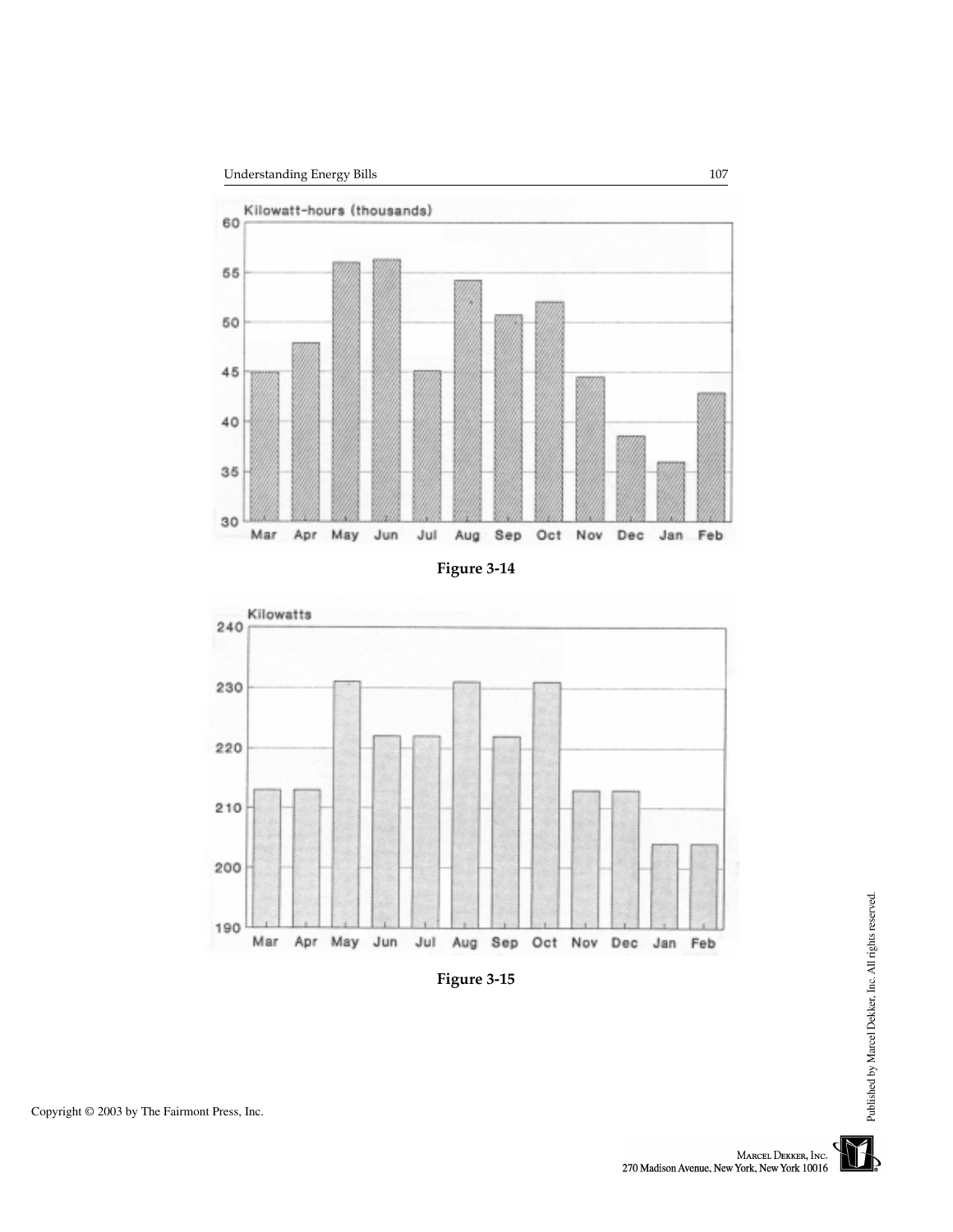<span id="page-38-0"></span>

**Figure 3-14**



**Figure 3-15**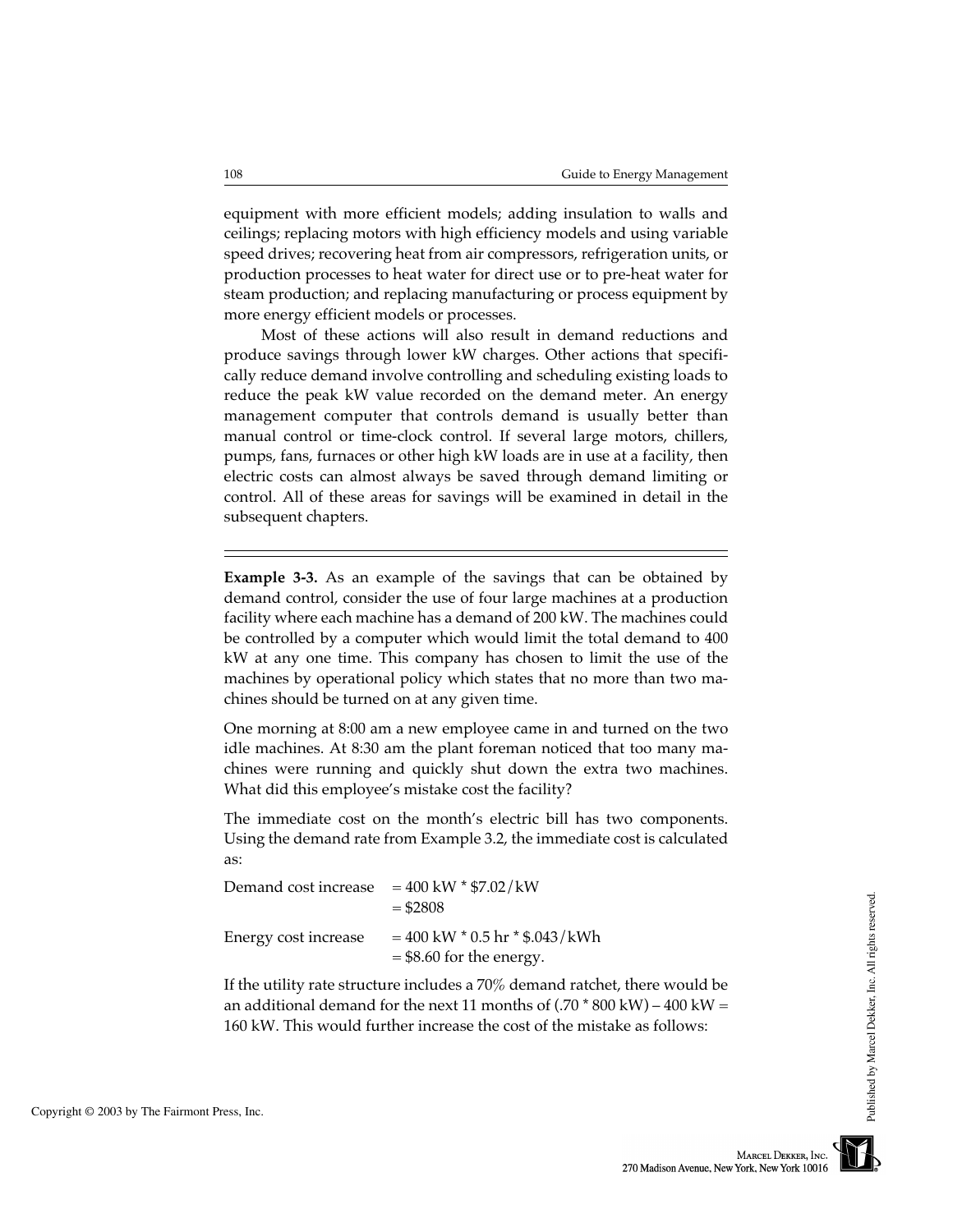equipment with more efficient models; adding insulation to walls and ceilings; replacing motors with high efficiency models and using variable speed drives; recovering heat from air compressors, refrigeration units, or production processes to heat water for direct use or to pre-heat water for steam production; and replacing manufacturing or process equipment by more energy efficient models or processes.

Most of these actions will also result in demand reductions and produce savings through lower kW charges. Other actions that specifically reduce demand involve controlling and scheduling existing loads to reduce the peak kW value recorded on the demand meter. An energy management computer that controls demand is usually better than manual control or time-clock control. If several large motors, chillers, pumps, fans, furnaces or other high kW loads are in use at a facility, then electric costs can almost always be saved through demand limiting or control. All of these areas for savings will be examined in detail in the subsequent chapters.

**Example 3-3.** As an example of the savings that can be obtained by demand control, consider the use of four large machines at a production facility where each machine has a demand of 200 kW. The machines could be controlled by a computer which would limit the total demand to 400 kW at any one time. This company has chosen to limit the use of the machines by operational policy which states that no more than two machines should be turned on at any given time.

One morning at 8:00 am a new employee came in and turned on the two idle machines. At 8:30 am the plant foreman noticed that too many machines were running and quickly shut down the extra two machines. What did this employee's mistake cost the facility?

The immediate cost on the month's electric bill has two components. Using the demand rate from Example 3.2, the immediate cost is calculated as:

| Demand cost increase | $=400$ kW $*$ \$7.02/kW<br>$=$ \$2808                             |
|----------------------|-------------------------------------------------------------------|
| Energy cost increase | $=400$ kW $*$ 0.5 hr $*$ \$.043/kWh<br>$=$ \$8.60 for the energy. |

If the utility rate structure includes a 70% demand ratchet, there would be an additional demand for the next 11 months of  $(.70 * 800 \text{ kW}) - 400 \text{ kW} =$ 160 kW. This would further increase the cost of the mistake as follows: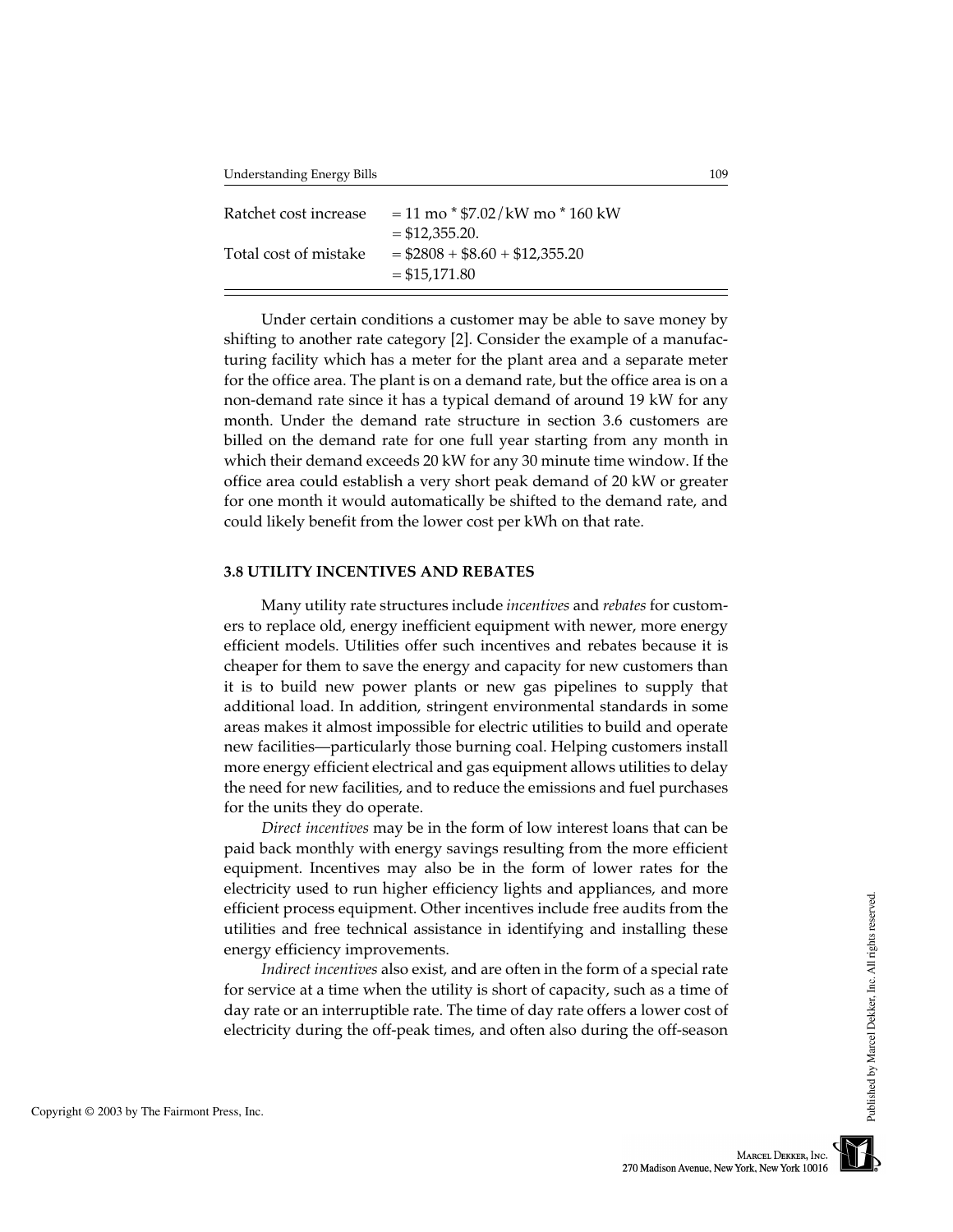| Ratchet cost increase | $= 11 \text{ mo} * $7.02 / kW \text{ mo} * 160 kW$<br>$=$ \$12,355.20. |
|-----------------------|------------------------------------------------------------------------|
| Total cost of mistake | $= $2808 + $8.60 + $12.355.20$<br>$= $15.171.80$                       |

Under certain conditions a customer may be able to save money by shifting to another rate category [2]. Consider the example of a manufacturing facility which has a meter for the plant area and a separate meter for the office area. The plant is on a demand rate, but the office area is on a non-demand rate since it has a typical demand of around 19 kW for any month. Under the demand rate structure in section 3.6 customers are billed on the demand rate for one full year starting from any month in which their demand exceeds 20 kW for any 30 minute time window. If the office area could establish a very short peak demand of 20 kW or greater for one month it would automatically be shifted to the demand rate, and could likely benefit from the lower cost per kWh on that rate.

## **3.8 UTILITY INCENTIVES AND REBATES**

Many utility rate structures include *incentives* and *rebates* for customers to replace old, energy inefficient equipment with newer, more energy efficient models. Utilities offer such incentives and rebates because it is cheaper for them to save the energy and capacity for new customers than it is to build new power plants or new gas pipelines to supply that additional load. In addition, stringent environmental standards in some areas makes it almost impossible for electric utilities to build and operate new facilities—particularly those burning coal. Helping customers install more energy efficient electrical and gas equipment allows utilities to delay the need for new facilities, and to reduce the emissions and fuel purchases for the units they do operate.

*Direct incentives* may be in the form of low interest loans that can be paid back monthly with energy savings resulting from the more efficient equipment. Incentives may also be in the form of lower rates for the electricity used to run higher efficiency lights and appliances, and more efficient process equipment. Other incentives include free audits from the utilities and free technical assistance in identifying and installing these energy efficiency improvements.

*Indirect incentives* also exist, and are often in the form of a special rate for service at a time when the utility is short of capacity, such as a time of day rate or an interruptible rate. The time of day rate offers a lower cost of electricity during the off-peak times, and often also during the off-season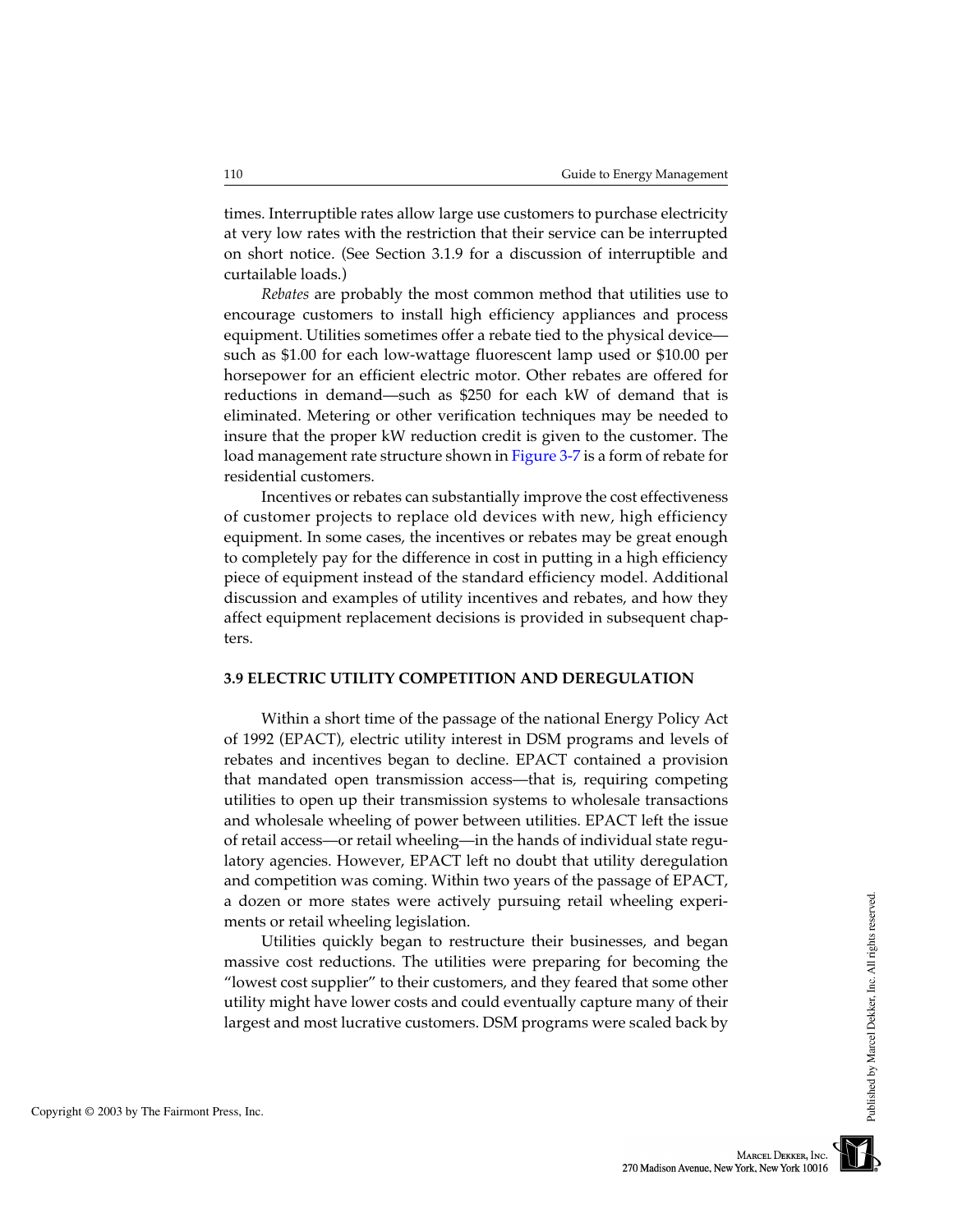times. Interruptible rates allow large use customers to purchase electricity at very low rates with the restriction that their service can be interrupted on short notice. (See Section 3.1.9 for a discussion of interruptible and curtailable loads.)

*Rebates* are probably the most common method that utilities use to encourage customers to install high efficiency appliances and process equipment. Utilities sometimes offer a rebate tied to the physical device such as \$1.00 for each low-wattage fluorescent lamp used or \$10.00 per horsepower for an efficient electric motor. Other rebates are offered for reductions in demand—such as \$250 for each kW of demand that is eliminated. Metering or other verification techniques may be needed to insure that the proper kW reduction credit is given to the customer. The load management rate structure shown in [Figure 3-7](#page-12-0) is a form of rebate for residential customers.

Incentives or rebates can substantially improve the cost effectiveness of customer projects to replace old devices with new, high efficiency equipment. In some cases, the incentives or rebates may be great enough to completely pay for the difference in cost in putting in a high efficiency piece of equipment instead of the standard efficiency model. Additional discussion and examples of utility incentives and rebates, and how they affect equipment replacement decisions is provided in subsequent chapters.

## **3.9 ELECTRIC UTILITY COMPETITION AND DEREGULATION**

Within a short time of the passage of the national Energy Policy Act of 1992 (EPACT), electric utility interest in DSM programs and levels of rebates and incentives began to decline. EPACT contained a provision that mandated open transmission access—that is, requiring competing utilities to open up their transmission systems to wholesale transactions and wholesale wheeling of power between utilities. EPACT left the issue of retail access—or retail wheeling—in the hands of individual state regulatory agencies. However, EPACT left no doubt that utility deregulation and competition was coming. Within two years of the passage of EPACT, a dozen or more states were actively pursuing retail wheeling experiments or retail wheeling legislation.

Utilities quickly began to restructure their businesses, and began massive cost reductions. The utilities were preparing for becoming the "lowest cost supplier" to their customers, and they feared that some other utility might have lower costs and could eventually capture many of their largest and most lucrative customers. DSM programs were scaled back by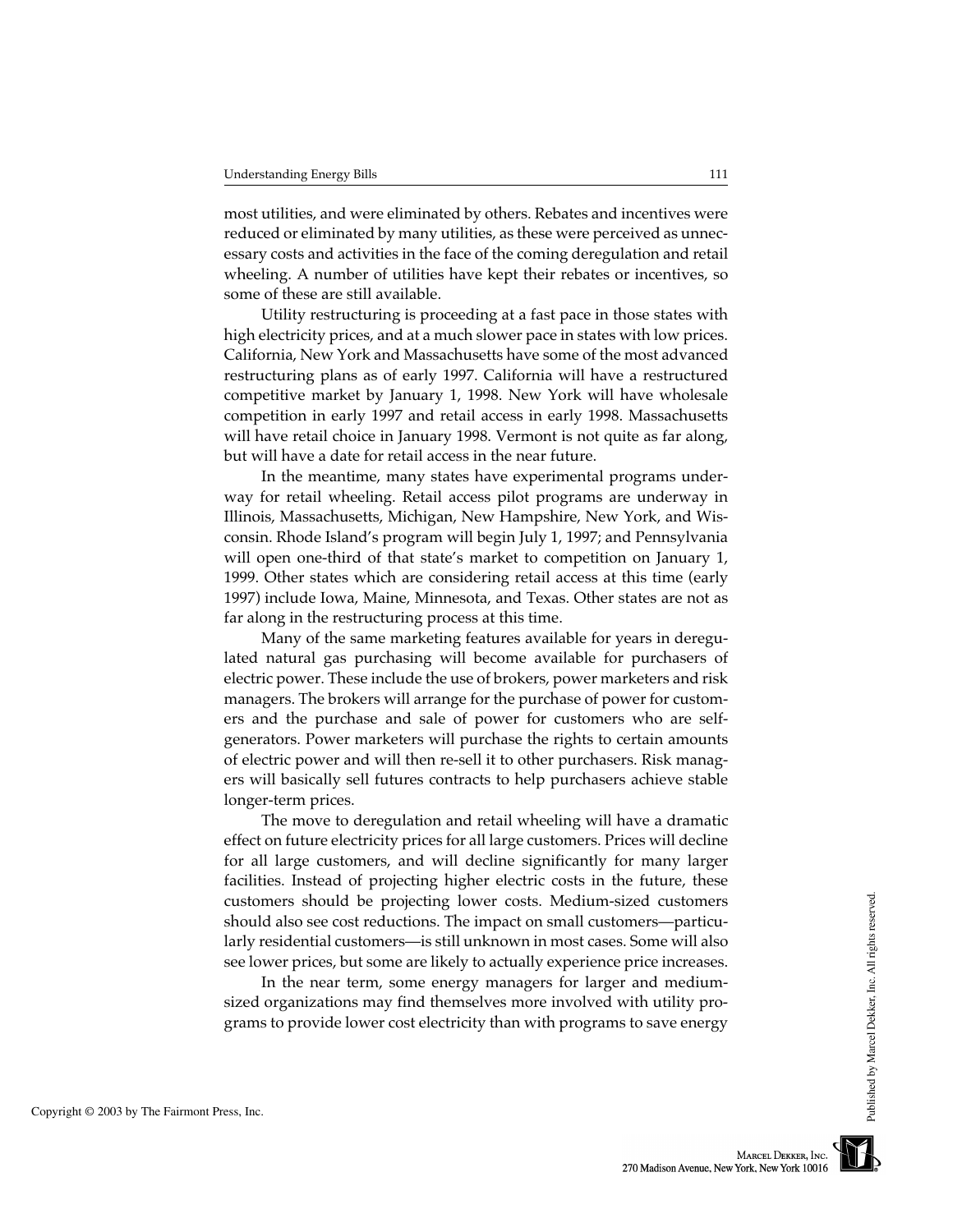most utilities, and were eliminated by others. Rebates and incentives were reduced or eliminated by many utilities, as these were perceived as unnecessary costs and activities in the face of the coming deregulation and retail wheeling. A number of utilities have kept their rebates or incentives, so some of these are still available.

Utility restructuring is proceeding at a fast pace in those states with high electricity prices, and at a much slower pace in states with low prices. California, New York and Massachusetts have some of the most advanced restructuring plans as of early 1997. California will have a restructured competitive market by January 1, 1998. New York will have wholesale competition in early 1997 and retail access in early 1998. Massachusetts will have retail choice in January 1998. Vermont is not quite as far along, but will have a date for retail access in the near future.

In the meantime, many states have experimental programs underway for retail wheeling. Retail access pilot programs are underway in Illinois, Massachusetts, Michigan, New Hampshire, New York, and Wisconsin. Rhode Island's program will begin July 1, 1997; and Pennsylvania will open one-third of that state's market to competition on January 1, 1999. Other states which are considering retail access at this time (early 1997) include Iowa, Maine, Minnesota, and Texas. Other states are not as far along in the restructuring process at this time.

Many of the same marketing features available for years in deregulated natural gas purchasing will become available for purchasers of electric power. These include the use of brokers, power marketers and risk managers. The brokers will arrange for the purchase of power for customers and the purchase and sale of power for customers who are selfgenerators. Power marketers will purchase the rights to certain amounts of electric power and will then re-sell it to other purchasers. Risk managers will basically sell futures contracts to help purchasers achieve stable longer-term prices.

The move to deregulation and retail wheeling will have a dramatic effect on future electricity prices for all large customers. Prices will decline for all large customers, and will decline significantly for many larger facilities. Instead of projecting higher electric costs in the future, these customers should be projecting lower costs. Medium-sized customers should also see cost reductions. The impact on small customers—particularly residential customers—is still unknown in most cases. Some will also see lower prices, but some are likely to actually experience price increases.

In the near term, some energy managers for larger and mediumsized organizations may find themselves more involved with utility programs to provide lower cost electricity than with programs to save energy